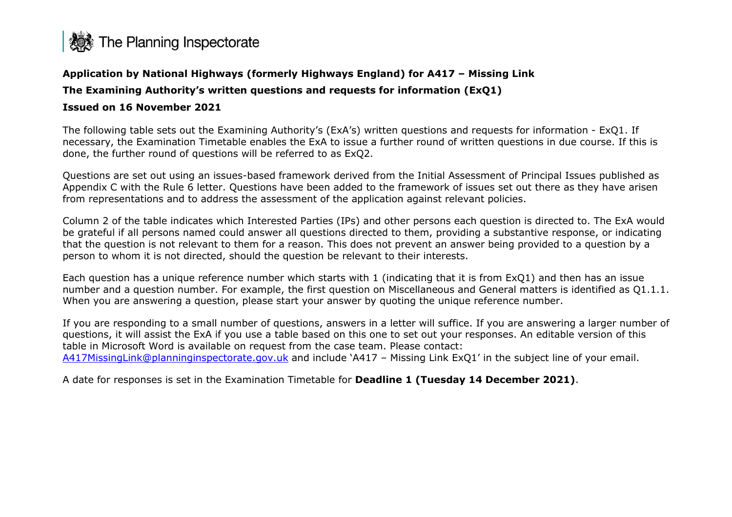

# **Application by National Highways (formerly Highways England) for A417 – Missing Link The Examining Authority's written questions and requests for information (ExQ1) Issued on 16 November 2021**

The following table sets out the Examining Authority's (ExA's) written questions and requests for information - ExQ1. If necessary, the Examination Timetable enables the ExA to issue a further round of written questions in due course. If this is done, the further round of questions will be referred to as ExQ2.

Questions are set out using an issues-based framework derived from the Initial Assessment of Principal Issues published as Appendix C with the Rule 6 letter. Questions have been added to the framework of issues set out there as they have arisen from representations and to address the assessment of the application against relevant policies.

Column 2 of the table indicates which Interested Parties (IPs) and other persons each question is directed to. The ExA would be grateful if all persons named could answer all questions directed to them, providing a substantive response, or indicating that the question is not relevant to them for a reason. This does not prevent an answer being provided to a question by a person to whom it is not directed, should the question be relevant to their interests.

Each question has a unique reference number which starts with 1 (indicating that it is from ExQ1) and then has an issue number and a question number. For example, the first question on Miscellaneous and General matters is identified as Q1.1.1. When you are answering a question, please start your answer by quoting the unique reference number.

If you are responding to a small number of questions, answers in a letter will suffice. If you are answering a larger number of questions, it will assist the ExA if you use a table based on this one to set out your responses. An editable version of this table in Microsoft Word is available on request from the case team. Please contact: [A417MissingLink@planninginspectorate.gov.uk](mailto:A417MissingLink@planninginspectorate.gov.uk) and include 'A417 – Missing Link ExQ1' in the subject line of your email.

A date for responses is set in the Examination Timetable for **Deadline 1 (Tuesday 14 December 2021)**.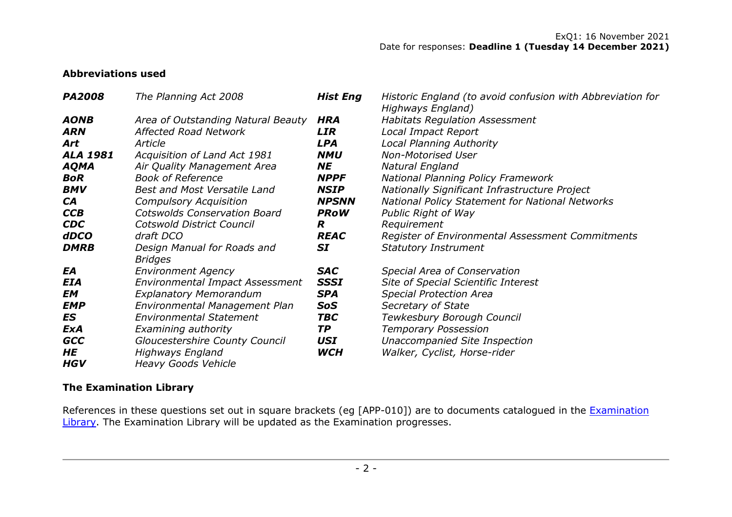ExQ1: 16 November 2021 Date for responses: **Deadline 1 (Tuesday 14 December 2021)**

# **Abbreviations used**

| <b>PA2008</b>   | The Planning Act 2008                  | <b>Hist Eng</b> | Historic England (to avoid confusion with Abbreviation for<br>Highways England) |
|-----------------|----------------------------------------|-----------------|---------------------------------------------------------------------------------|
| <b>AONB</b>     | Area of Outstanding Natural Beauty     | <b>HRA</b>      | <b>Habitats Regulation Assessment</b>                                           |
| <b>ARN</b>      | <b>Affected Road Network</b>           | <b>LIR</b>      | Local Impact Report                                                             |
| Art             | Article                                | <b>LPA</b>      | <b>Local Planning Authority</b>                                                 |
| <b>ALA 1981</b> | Acquisition of Land Act 1981           | <b>NMU</b>      | <b>Non-Motorised User</b>                                                       |
| <b>AQMA</b>     | Air Quality Management Area            | <b>NE</b>       | Natural England                                                                 |
| <b>BoR</b>      | <b>Book of Reference</b>               | <b>NPPF</b>     | <b>National Planning Policy Framework</b>                                       |
| <b>BMV</b>      | <b>Best and Most Versatile Land</b>    | <b>NSIP</b>     | Nationally Significant Infrastructure Project                                   |
| <b>CA</b>       | <b>Compulsory Acquisition</b>          | <b>NPSNN</b>    | <b>National Policy Statement for National Networks</b>                          |
| <b>CCB</b>      | <b>Cotswolds Conservation Board</b>    | <b>PRoW</b>     | Public Right of Way                                                             |
| <b>CDC</b>      | Cotswold District Council              | R               | Requirement                                                                     |
| <b>dDCO</b>     | draft DCO                              | <b>REAC</b>     | Register of Environmental Assessment Commitments                                |
| <b>DMRB</b>     | Design Manual for Roads and            | <b>SI</b>       | <b>Statutory Instrument</b>                                                     |
|                 | <b>Bridges</b>                         |                 |                                                                                 |
| EA              | <b>Environment Agency</b>              | <b>SAC</b>      | Special Area of Conservation                                                    |
| <b>EIA</b>      | <b>Environmental Impact Assessment</b> | <b>SSSI</b>     | Site of Special Scientific Interest                                             |
| EM              | <b>Explanatory Memorandum</b>          | <b>SPA</b>      | <b>Special Protection Area</b>                                                  |
| <b>EMP</b>      | Environmental Management Plan          | SoS             | Secretary of State                                                              |
| ES              | <b>Environmental Statement</b>         | <b>TBC</b>      | Tewkesbury Borough Council                                                      |
| <b>ExA</b>      | Examining authority                    | <b>TP</b>       | <b>Temporary Possession</b>                                                     |
| <b>GCC</b>      | Gloucestershire County Council         | USI             | Unaccompanied Site Inspection                                                   |
| HE              | Highways England                       | <b>WCH</b>      | Walker, Cyclist, Horse-rider                                                    |
| <b>HGV</b>      | <b>Heavy Goods Vehicle</b>             |                 |                                                                                 |

## **The Examination Library**

References in these questions set out in square brackets (eg [APP-010]) are to documents catalogued in the Examination [Library.](https://infrastructure.planninginspectorate.gov.uk/wp-content/ipc/uploads/projects/TR010056/TR010056-000657-A417%20Examination%20Library%20(pdf%20version).pdf) The Examination Library will be updated as the Examination progresses.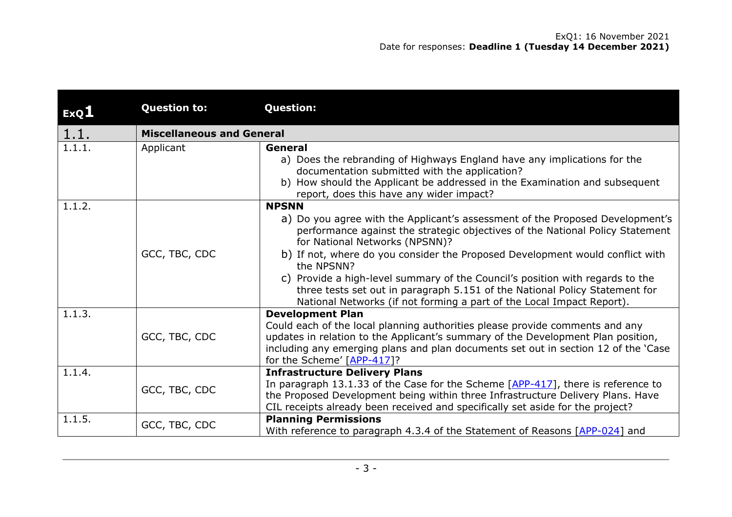|        | <b>Question to:</b>              | <b>Question:</b>                                                                                                                                                                                                                                                                                                                                                                                                                                                                                                                                         |
|--------|----------------------------------|----------------------------------------------------------------------------------------------------------------------------------------------------------------------------------------------------------------------------------------------------------------------------------------------------------------------------------------------------------------------------------------------------------------------------------------------------------------------------------------------------------------------------------------------------------|
| ExQ1   |                                  |                                                                                                                                                                                                                                                                                                                                                                                                                                                                                                                                                          |
| 1.1.   | <b>Miscellaneous and General</b> |                                                                                                                                                                                                                                                                                                                                                                                                                                                                                                                                                          |
| 1.1.1. | Applicant                        | General<br>a) Does the rebranding of Highways England have any implications for the<br>documentation submitted with the application?<br>b) How should the Applicant be addressed in the Examination and subsequent<br>report, does this have any wider impact?                                                                                                                                                                                                                                                                                           |
| 1.1.2. | GCC, TBC, CDC                    | <b>NPSNN</b><br>a) Do you agree with the Applicant's assessment of the Proposed Development's<br>performance against the strategic objectives of the National Policy Statement<br>for National Networks (NPSNN)?<br>b) If not, where do you consider the Proposed Development would conflict with<br>the NPSNN?<br>c) Provide a high-level summary of the Council's position with regards to the<br>three tests set out in paragraph 5.151 of the National Policy Statement for<br>National Networks (if not forming a part of the Local Impact Report). |
| 1.1.3. | GCC, TBC, CDC                    | <b>Development Plan</b><br>Could each of the local planning authorities please provide comments and any<br>updates in relation to the Applicant's summary of the Development Plan position,<br>including any emerging plans and plan documents set out in section 12 of the 'Case<br>for the Scheme' [APP-417]?                                                                                                                                                                                                                                          |
| 1.1.4. | GCC, TBC, CDC                    | <b>Infrastructure Delivery Plans</b><br>In paragraph 13.1.33 of the Case for the Scheme $[APP-417]$ , there is reference to<br>the Proposed Development being within three Infrastructure Delivery Plans. Have<br>CIL receipts already been received and specifically set aside for the project?                                                                                                                                                                                                                                                         |
| 1.1.5. | GCC, TBC, CDC                    | <b>Planning Permissions</b><br>With reference to paragraph 4.3.4 of the Statement of Reasons [APP-024] and                                                                                                                                                                                                                                                                                                                                                                                                                                               |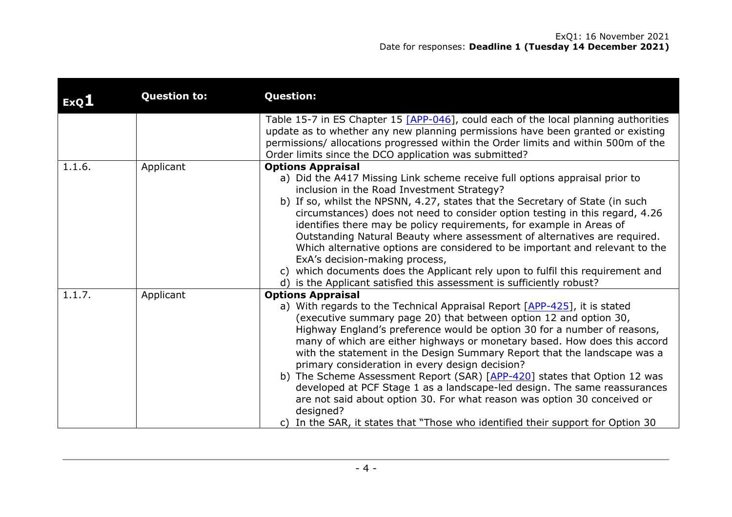| ExQ1   | <b>Question to:</b> | <b>Question:</b>                                                                                                                                                                                                                                                                                                                                                                                                                                                                                                                                                                                                                                                                                                                                                                                         |
|--------|---------------------|----------------------------------------------------------------------------------------------------------------------------------------------------------------------------------------------------------------------------------------------------------------------------------------------------------------------------------------------------------------------------------------------------------------------------------------------------------------------------------------------------------------------------------------------------------------------------------------------------------------------------------------------------------------------------------------------------------------------------------------------------------------------------------------------------------|
|        |                     | Table 15-7 in ES Chapter 15 $[APP-046]$ , could each of the local planning authorities<br>update as to whether any new planning permissions have been granted or existing<br>permissions/ allocations progressed within the Order limits and within 500m of the<br>Order limits since the DCO application was submitted?                                                                                                                                                                                                                                                                                                                                                                                                                                                                                 |
| 1.1.6. | Applicant           | <b>Options Appraisal</b><br>a) Did the A417 Missing Link scheme receive full options appraisal prior to<br>inclusion in the Road Investment Strategy?<br>b) If so, whilst the NPSNN, 4.27, states that the Secretary of State (in such<br>circumstances) does not need to consider option testing in this regard, 4.26<br>identifies there may be policy requirements, for example in Areas of<br>Outstanding Natural Beauty where assessment of alternatives are required.<br>Which alternative options are considered to be important and relevant to the<br>ExA's decision-making process,<br>which documents does the Applicant rely upon to fulfil this requirement and<br>C)<br>d) is the Applicant satisfied this assessment is sufficiently robust?                                              |
| 1.1.7. | Applicant           | <b>Options Appraisal</b><br>a) With regards to the Technical Appraisal Report [APP-425], it is stated<br>(executive summary page 20) that between option 12 and option 30,<br>Highway England's preference would be option 30 for a number of reasons,<br>many of which are either highways or monetary based. How does this accord<br>with the statement in the Design Summary Report that the landscape was a<br>primary consideration in every design decision?<br>b) The Scheme Assessment Report (SAR) [APP-420] states that Option 12 was<br>developed at PCF Stage 1 as a landscape-led design. The same reassurances<br>are not said about option 30. For what reason was option 30 conceived or<br>designed?<br>c) In the SAR, it states that "Those who identified their support for Option 30 |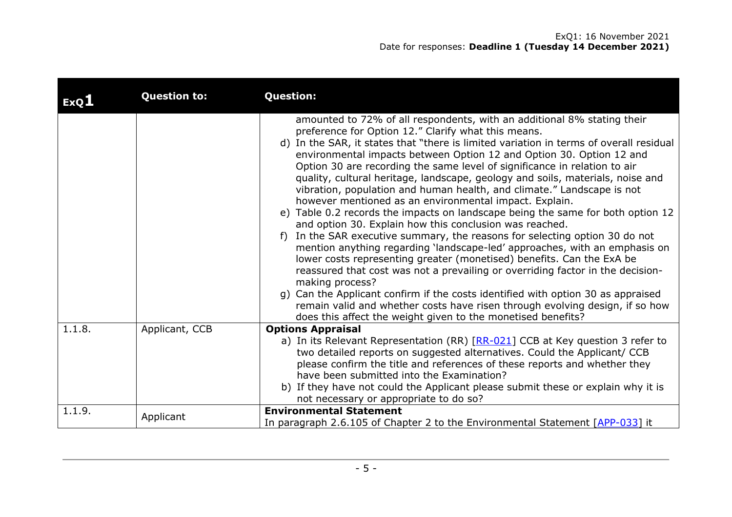| ExQL   | <b>Question to:</b> | <b>Question:</b>                                                                                                                                                                                                                                                                                                                                                                                                                                                                                                                                                                                                                                                                                                                                                                                                                                                                                                                                                                                                                                                                                                                                                                                                                                                                                                                    |
|--------|---------------------|-------------------------------------------------------------------------------------------------------------------------------------------------------------------------------------------------------------------------------------------------------------------------------------------------------------------------------------------------------------------------------------------------------------------------------------------------------------------------------------------------------------------------------------------------------------------------------------------------------------------------------------------------------------------------------------------------------------------------------------------------------------------------------------------------------------------------------------------------------------------------------------------------------------------------------------------------------------------------------------------------------------------------------------------------------------------------------------------------------------------------------------------------------------------------------------------------------------------------------------------------------------------------------------------------------------------------------------|
|        |                     | amounted to 72% of all respondents, with an additional 8% stating their<br>preference for Option 12." Clarify what this means.<br>d) In the SAR, it states that "there is limited variation in terms of overall residual<br>environmental impacts between Option 12 and Option 30. Option 12 and<br>Option 30 are recording the same level of significance in relation to air<br>quality, cultural heritage, landscape, geology and soils, materials, noise and<br>vibration, population and human health, and climate." Landscape is not<br>however mentioned as an environmental impact. Explain.<br>e) Table 0.2 records the impacts on landscape being the same for both option 12<br>and option 30. Explain how this conclusion was reached.<br>In the SAR executive summary, the reasons for selecting option 30 do not<br>f)<br>mention anything regarding 'landscape-led' approaches, with an emphasis on<br>lower costs representing greater (monetised) benefits. Can the ExA be<br>reassured that cost was not a prevailing or overriding factor in the decision-<br>making process?<br>g) Can the Applicant confirm if the costs identified with option 30 as appraised<br>remain valid and whether costs have risen through evolving design, if so how<br>does this affect the weight given to the monetised benefits? |
| 1.1.8. | Applicant, CCB      | <b>Options Appraisal</b><br>a) In its Relevant Representation (RR) [RR-021] CCB at Key question 3 refer to<br>two detailed reports on suggested alternatives. Could the Applicant/ CCB<br>please confirm the title and references of these reports and whether they<br>have been submitted into the Examination?<br>b) If they have not could the Applicant please submit these or explain why it is<br>not necessary or appropriate to do so?                                                                                                                                                                                                                                                                                                                                                                                                                                                                                                                                                                                                                                                                                                                                                                                                                                                                                      |
| 1.1.9. | Applicant           | <b>Environmental Statement</b><br>In paragraph 2.6.105 of Chapter 2 to the Environmental Statement [APP-033] it                                                                                                                                                                                                                                                                                                                                                                                                                                                                                                                                                                                                                                                                                                                                                                                                                                                                                                                                                                                                                                                                                                                                                                                                                     |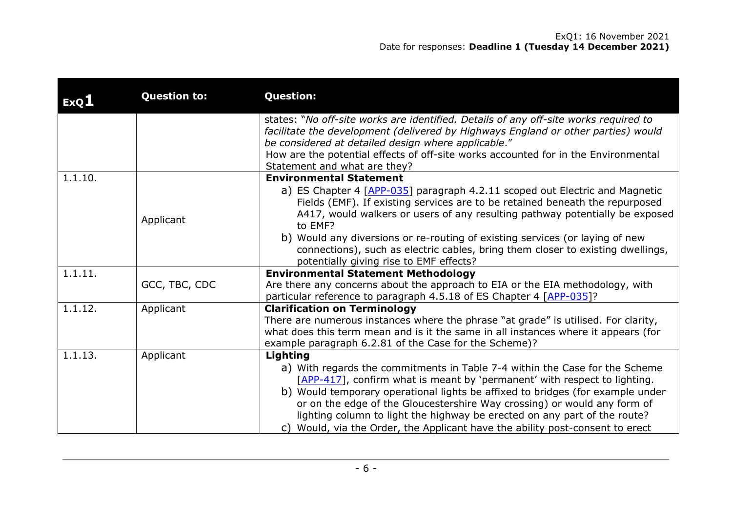| ExQ1    | <b>Question to:</b> | <b>Question:</b>                                                                                                                                                                                                                                                                                                                                                                                                                                                                                 |
|---------|---------------------|--------------------------------------------------------------------------------------------------------------------------------------------------------------------------------------------------------------------------------------------------------------------------------------------------------------------------------------------------------------------------------------------------------------------------------------------------------------------------------------------------|
|         |                     | states: "No off-site works are identified. Details of any off-site works required to<br>facilitate the development (delivered by Highways England or other parties) would<br>be considered at detailed design where applicable."<br>How are the potential effects of off-site works accounted for in the Environmental<br>Statement and what are they?                                                                                                                                           |
| 1.1.10. |                     | <b>Environmental Statement</b>                                                                                                                                                                                                                                                                                                                                                                                                                                                                   |
|         | Applicant           | a) ES Chapter 4 [APP-035] paragraph 4.2.11 scoped out Electric and Magnetic<br>Fields (EMF). If existing services are to be retained beneath the repurposed<br>A417, would walkers or users of any resulting pathway potentially be exposed<br>to EMF?<br>b) Would any diversions or re-routing of existing services (or laying of new<br>connections), such as electric cables, bring them closer to existing dwellings,<br>potentially giving rise to EMF effects?                             |
| 1.1.11. |                     | <b>Environmental Statement Methodology</b>                                                                                                                                                                                                                                                                                                                                                                                                                                                       |
|         | GCC, TBC, CDC       | Are there any concerns about the approach to EIA or the EIA methodology, with<br>particular reference to paragraph 4.5.18 of ES Chapter 4 [APP-035]?                                                                                                                                                                                                                                                                                                                                             |
| 1.1.12. | Applicant           | <b>Clarification on Terminology</b><br>There are numerous instances where the phrase "at grade" is utilised. For clarity,<br>what does this term mean and is it the same in all instances where it appears (for<br>example paragraph 6.2.81 of the Case for the Scheme)?                                                                                                                                                                                                                         |
| 1.1.13. | Applicant           | Lighting<br>a) With regards the commitments in Table 7-4 within the Case for the Scheme<br>[APP-417], confirm what is meant by 'permanent' with respect to lighting.<br>b) Would temporary operational lights be affixed to bridges (for example under<br>or on the edge of the Gloucestershire Way crossing) or would any form of<br>lighting column to light the highway be erected on any part of the route?<br>c) Would, via the Order, the Applicant have the ability post-consent to erect |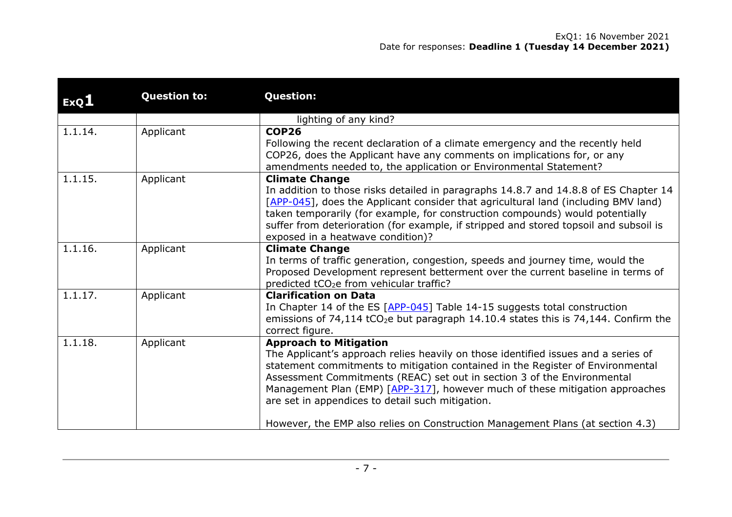| ExQ1    | <b>Question to:</b> | <b>Question:</b>                                                                                                                                                                                                                                                                                                                                                                                                                                                                                       |
|---------|---------------------|--------------------------------------------------------------------------------------------------------------------------------------------------------------------------------------------------------------------------------------------------------------------------------------------------------------------------------------------------------------------------------------------------------------------------------------------------------------------------------------------------------|
|         |                     | lighting of any kind?                                                                                                                                                                                                                                                                                                                                                                                                                                                                                  |
| 1.1.14. | Applicant           | <b>COP26</b><br>Following the recent declaration of a climate emergency and the recently held<br>COP26, does the Applicant have any comments on implications for, or any<br>amendments needed to, the application or Environmental Statement?                                                                                                                                                                                                                                                          |
| 1.1.15. | Applicant           | <b>Climate Change</b><br>In addition to those risks detailed in paragraphs 14.8.7 and 14.8.8 of ES Chapter 14<br>[APP-045], does the Applicant consider that agricultural land (including BMV land)<br>taken temporarily (for example, for construction compounds) would potentially<br>suffer from deterioration (for example, if stripped and stored topsoil and subsoil is<br>exposed in a heatwave condition)?                                                                                     |
| 1.1.16. | Applicant           | <b>Climate Change</b><br>In terms of traffic generation, congestion, speeds and journey time, would the<br>Proposed Development represent betterment over the current baseline in terms of<br>predicted tCO <sub>2</sub> e from vehicular traffic?                                                                                                                                                                                                                                                     |
| 1.1.17. | Applicant           | <b>Clarification on Data</b><br>In Chapter 14 of the ES [APP-045] Table 14-15 suggests total construction<br>emissions of 74,114 tCO <sub>2</sub> e but paragraph 14.10.4 states this is 74,144. Confirm the<br>correct figure.                                                                                                                                                                                                                                                                        |
| 1.1.18. | Applicant           | <b>Approach to Mitigation</b><br>The Applicant's approach relies heavily on those identified issues and a series of<br>statement commitments to mitigation contained in the Register of Environmental<br>Assessment Commitments (REAC) set out in section 3 of the Environmental<br>Management Plan (EMP) [APP-317], however much of these mitigation approaches<br>are set in appendices to detail such mitigation.<br>However, the EMP also relies on Construction Management Plans (at section 4.3) |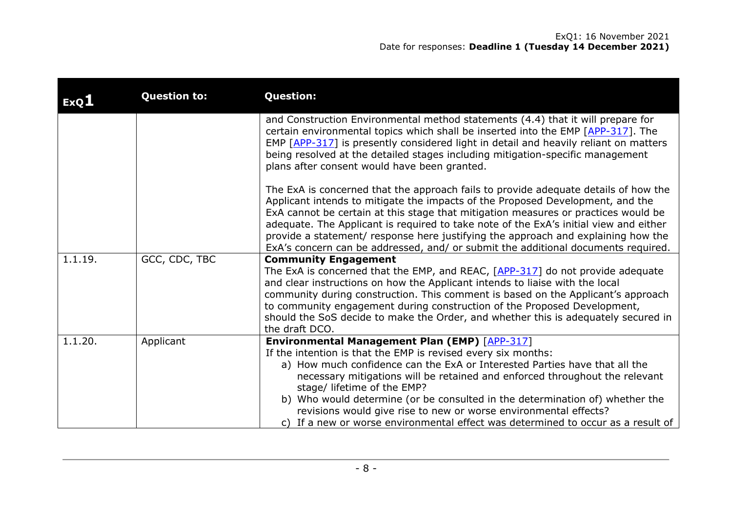| ExQ1    | <b>Question to:</b> | <b>Question:</b>                                                                                                                                                                                                                                                                                                                                                                                                                                                                                                                                          |
|---------|---------------------|-----------------------------------------------------------------------------------------------------------------------------------------------------------------------------------------------------------------------------------------------------------------------------------------------------------------------------------------------------------------------------------------------------------------------------------------------------------------------------------------------------------------------------------------------------------|
|         |                     | and Construction Environmental method statements (4.4) that it will prepare for<br>certain environmental topics which shall be inserted into the EMP [APP-317]. The<br>EMP $[APP-317]$ is presently considered light in detail and heavily reliant on matters<br>being resolved at the detailed stages including mitigation-specific management<br>plans after consent would have been granted.                                                                                                                                                           |
|         |                     | The ExA is concerned that the approach fails to provide adequate details of how the<br>Applicant intends to mitigate the impacts of the Proposed Development, and the<br>ExA cannot be certain at this stage that mitigation measures or practices would be<br>adequate. The Applicant is required to take note of the ExA's initial view and either<br>provide a statement/ response here justifying the approach and explaining how the<br>ExA's concern can be addressed, and/ or submit the additional documents required.                            |
| 1.1.19. | GCC, CDC, TBC       | <b>Community Engagement</b><br>The ExA is concerned that the EMP, and REAC, $[APP-317]$ do not provide adequate<br>and clear instructions on how the Applicant intends to liaise with the local<br>community during construction. This comment is based on the Applicant's approach<br>to community engagement during construction of the Proposed Development,<br>should the SoS decide to make the Order, and whether this is adequately secured in<br>the draft DCO.                                                                                   |
| 1.1.20. | Applicant           | <b>Environmental Management Plan (EMP)</b> [APP-317]<br>If the intention is that the EMP is revised every six months:<br>a) How much confidence can the ExA or Interested Parties have that all the<br>necessary mitigations will be retained and enforced throughout the relevant<br>stage/ lifetime of the EMP?<br>b) Who would determine (or be consulted in the determination of) whether the<br>revisions would give rise to new or worse environmental effects?<br>c) If a new or worse environmental effect was determined to occur as a result of |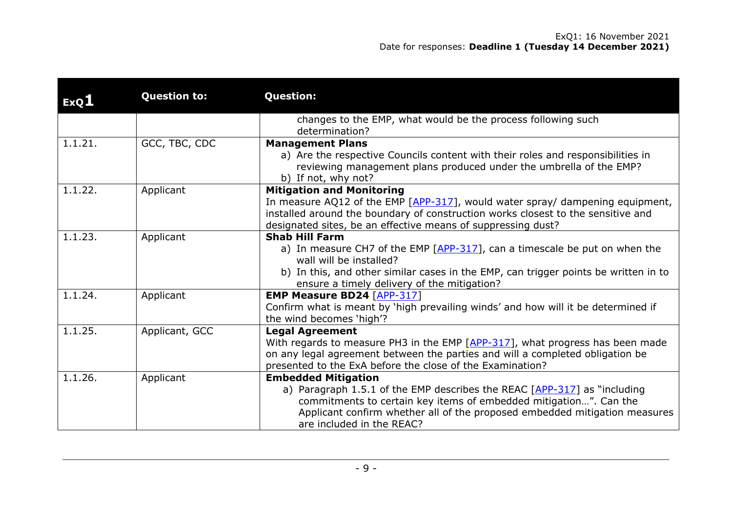| ExQ1    | <b>Question to:</b> | <b>Question:</b>                                                                                                                                                                                                                                                                       |
|---------|---------------------|----------------------------------------------------------------------------------------------------------------------------------------------------------------------------------------------------------------------------------------------------------------------------------------|
|         |                     | changes to the EMP, what would be the process following such                                                                                                                                                                                                                           |
|         |                     | determination?                                                                                                                                                                                                                                                                         |
| 1.1.21. | GCC, TBC, CDC       | <b>Management Plans</b><br>a) Are the respective Councils content with their roles and responsibilities in<br>reviewing management plans produced under the umbrella of the EMP?<br>b) If not, why not?                                                                                |
| 1.1.22. | Applicant           | <b>Mitigation and Monitoring</b><br>In measure AQ12 of the EMP [APP-317], would water spray/ dampening equipment,<br>installed around the boundary of construction works closest to the sensitive and<br>designated sites, be an effective means of suppressing dust?                  |
| 1.1.23. | Applicant           | <b>Shab Hill Farm</b><br>a) In measure CH7 of the EMP $[APP-317]$ , can a timescale be put on when the<br>wall will be installed?<br>b) In this, and other similar cases in the EMP, can trigger points be written in to<br>ensure a timely delivery of the mitigation?                |
| 1.1.24. | Applicant           | <b>EMP Measure BD24 [APP-317]</b><br>Confirm what is meant by 'high prevailing winds' and how will it be determined if<br>the wind becomes 'high'?                                                                                                                                     |
| 1.1.25. | Applicant, GCC      | <b>Legal Agreement</b><br>With regards to measure PH3 in the EMP [APP-317], what progress has been made<br>on any legal agreement between the parties and will a completed obligation be<br>presented to the ExA before the close of the Examination?                                  |
| 1.1.26. | Applicant           | <b>Embedded Mitigation</b><br>a) Paragraph 1.5.1 of the EMP describes the REAC [APP-317] as "including<br>commitments to certain key items of embedded mitigation". Can the<br>Applicant confirm whether all of the proposed embedded mitigation measures<br>are included in the REAC? |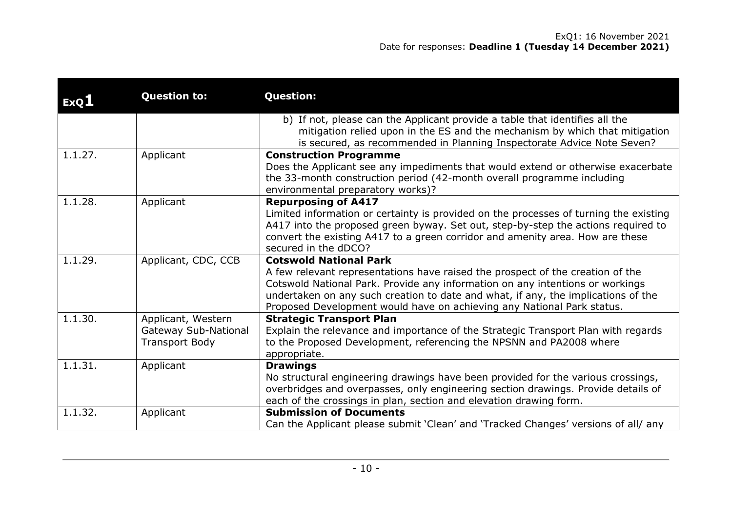| <b>ExQ1</b> | <b>Question to:</b>                                                        | <b>Question:</b>                                                                                                                                                                                                                                                                                                                                                |
|-------------|----------------------------------------------------------------------------|-----------------------------------------------------------------------------------------------------------------------------------------------------------------------------------------------------------------------------------------------------------------------------------------------------------------------------------------------------------------|
|             |                                                                            | b) If not, please can the Applicant provide a table that identifies all the<br>mitigation relied upon in the ES and the mechanism by which that mitigation<br>is secured, as recommended in Planning Inspectorate Advice Note Seven?                                                                                                                            |
| 1.1.27.     | Applicant                                                                  | <b>Construction Programme</b><br>Does the Applicant see any impediments that would extend or otherwise exacerbate<br>the 33-month construction period (42-month overall programme including<br>environmental preparatory works)?                                                                                                                                |
| 1.1.28.     | Applicant                                                                  | <b>Repurposing of A417</b><br>Limited information or certainty is provided on the processes of turning the existing<br>A417 into the proposed green byway. Set out, step-by-step the actions required to<br>convert the existing A417 to a green corridor and amenity area. How are these<br>secured in the dDCO?                                               |
| 1.1.29.     | Applicant, CDC, CCB                                                        | <b>Cotswold National Park</b><br>A few relevant representations have raised the prospect of the creation of the<br>Cotswold National Park. Provide any information on any intentions or workings<br>undertaken on any such creation to date and what, if any, the implications of the<br>Proposed Development would have on achieving any National Park status. |
| 1.1.30.     | Applicant, Western<br><b>Gateway Sub-National</b><br><b>Transport Body</b> | <b>Strategic Transport Plan</b><br>Explain the relevance and importance of the Strategic Transport Plan with regards<br>to the Proposed Development, referencing the NPSNN and PA2008 where<br>appropriate.                                                                                                                                                     |
| 1.1.31.     | Applicant                                                                  | <b>Drawings</b><br>No structural engineering drawings have been provided for the various crossings,<br>overbridges and overpasses, only engineering section drawings. Provide details of<br>each of the crossings in plan, section and elevation drawing form.                                                                                                  |
| 1.1.32.     | Applicant                                                                  | <b>Submission of Documents</b><br>Can the Applicant please submit 'Clean' and 'Tracked Changes' versions of all/ any                                                                                                                                                                                                                                            |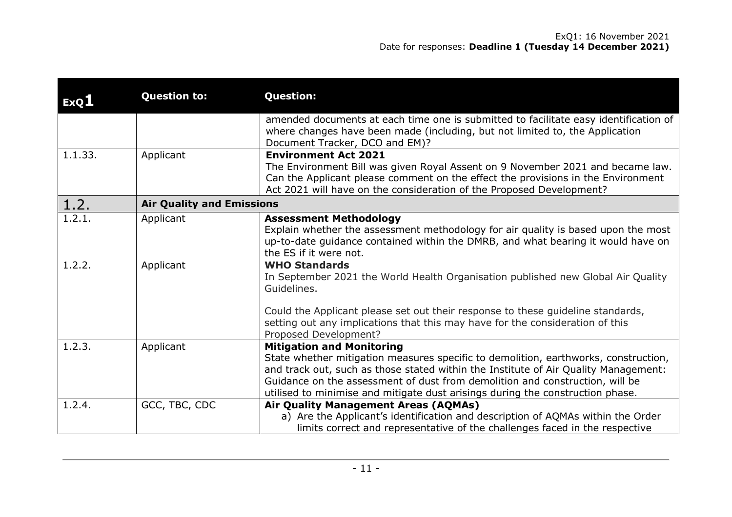| ExQL    | <b>Question to:</b>              | <b>Question:</b>                                                                                                                                                                                                                                                                                                                                                                 |
|---------|----------------------------------|----------------------------------------------------------------------------------------------------------------------------------------------------------------------------------------------------------------------------------------------------------------------------------------------------------------------------------------------------------------------------------|
|         |                                  | amended documents at each time one is submitted to facilitate easy identification of<br>where changes have been made (including, but not limited to, the Application<br>Document Tracker, DCO and EM)?                                                                                                                                                                           |
| 1.1.33. | Applicant                        | <b>Environment Act 2021</b><br>The Environment Bill was given Royal Assent on 9 November 2021 and became law.<br>Can the Applicant please comment on the effect the provisions in the Environment<br>Act 2021 will have on the consideration of the Proposed Development?                                                                                                        |
| 1.2.    | <b>Air Quality and Emissions</b> |                                                                                                                                                                                                                                                                                                                                                                                  |
| 1.2.1.  | Applicant                        | <b>Assessment Methodology</b><br>Explain whether the assessment methodology for air quality is based upon the most<br>up-to-date guidance contained within the DMRB, and what bearing it would have on<br>the ES if it were not.                                                                                                                                                 |
| 1.2.2.  | Applicant                        | <b>WHO Standards</b><br>In September 2021 the World Health Organisation published new Global Air Quality<br>Guidelines.                                                                                                                                                                                                                                                          |
|         |                                  | Could the Applicant please set out their response to these guideline standards,<br>setting out any implications that this may have for the consideration of this<br>Proposed Development?                                                                                                                                                                                        |
| 1.2.3.  | Applicant                        | <b>Mitigation and Monitoring</b><br>State whether mitigation measures specific to demolition, earthworks, construction,<br>and track out, such as those stated within the Institute of Air Quality Management:<br>Guidance on the assessment of dust from demolition and construction, will be<br>utilised to minimise and mitigate dust arisings during the construction phase. |
| 1.2.4.  | GCC, TBC, CDC                    | Air Quality Management Areas (AQMAs)<br>a) Are the Applicant's identification and description of AQMAs within the Order<br>limits correct and representative of the challenges faced in the respective                                                                                                                                                                           |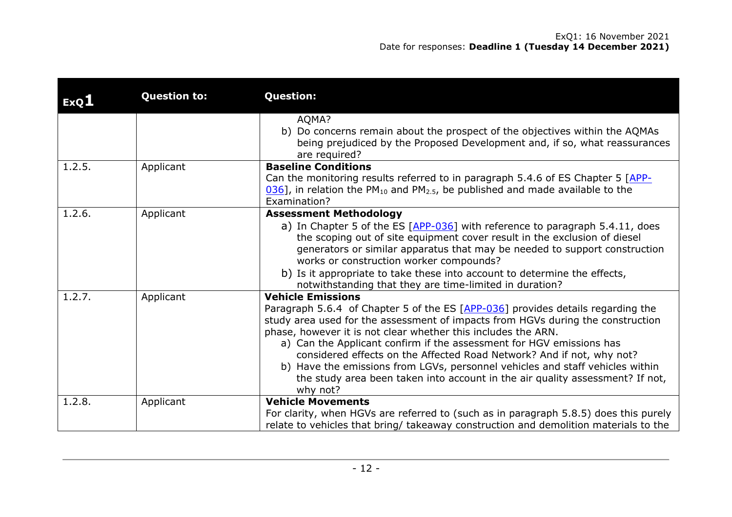| ExQ1   | <b>Question to:</b> | <b>Question:</b>                                                                                                                                                                                                                                                                                                                                                                                                                                                                                                                                                                               |
|--------|---------------------|------------------------------------------------------------------------------------------------------------------------------------------------------------------------------------------------------------------------------------------------------------------------------------------------------------------------------------------------------------------------------------------------------------------------------------------------------------------------------------------------------------------------------------------------------------------------------------------------|
|        |                     | AQMA?<br>b) Do concerns remain about the prospect of the objectives within the AQMAs<br>being prejudiced by the Proposed Development and, if so, what reassurances<br>are required?                                                                                                                                                                                                                                                                                                                                                                                                            |
| 1.2.5. | Applicant           | <b>Baseline Conditions</b><br>Can the monitoring results referred to in paragraph 5.4.6 of ES Chapter 5 [APP-<br>$[036]$ , in relation the PM <sub>10</sub> and PM <sub>2.5</sub> , be published and made available to the<br>Examination?                                                                                                                                                                                                                                                                                                                                                     |
| 1.2.6. | Applicant           | <b>Assessment Methodology</b><br>a) In Chapter 5 of the ES [APP-036] with reference to paragraph 5.4.11, does<br>the scoping out of site equipment cover result in the exclusion of diesel<br>generators or similar apparatus that may be needed to support construction<br>works or construction worker compounds?<br>b) Is it appropriate to take these into account to determine the effects,<br>notwithstanding that they are time-limited in duration?                                                                                                                                    |
| 1.2.7. | Applicant           | <b>Vehicle Emissions</b><br>Paragraph 5.6.4 of Chapter 5 of the ES [APP-036] provides details regarding the<br>study area used for the assessment of impacts from HGVs during the construction<br>phase, however it is not clear whether this includes the ARN.<br>a) Can the Applicant confirm if the assessment for HGV emissions has<br>considered effects on the Affected Road Network? And if not, why not?<br>b) Have the emissions from LGVs, personnel vehicles and staff vehicles within<br>the study area been taken into account in the air quality assessment? If not,<br>why not? |
| 1.2.8. | Applicant           | <b>Vehicle Movements</b><br>For clarity, when HGVs are referred to (such as in paragraph 5.8.5) does this purely<br>relate to vehicles that bring/ takeaway construction and demolition materials to the                                                                                                                                                                                                                                                                                                                                                                                       |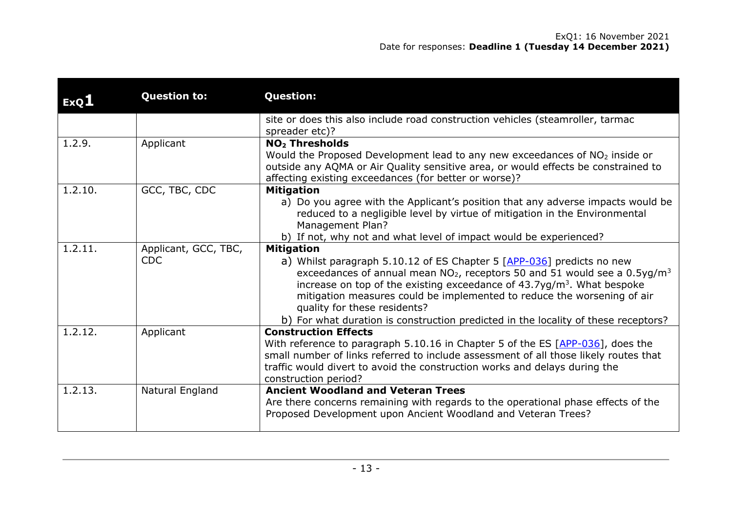| ExQ1    | <b>Question to:</b>                | <b>Question:</b>                                                                                                                                                                                                                                                                                                                                                                                                                                                                |
|---------|------------------------------------|---------------------------------------------------------------------------------------------------------------------------------------------------------------------------------------------------------------------------------------------------------------------------------------------------------------------------------------------------------------------------------------------------------------------------------------------------------------------------------|
|         |                                    | site or does this also include road construction vehicles (steamroller, tarmac<br>spreader etc)?                                                                                                                                                                                                                                                                                                                                                                                |
| 1.2.9.  | Applicant                          | <b>NO<sub>2</sub> Thresholds</b><br>Would the Proposed Development lead to any new exceedances of NO <sub>2</sub> inside or<br>outside any AQMA or Air Quality sensitive area, or would effects be constrained to<br>affecting existing exceedances (for better or worse)?                                                                                                                                                                                                      |
| 1.2.10. | GCC, TBC, CDC                      | <b>Mitigation</b><br>a) Do you agree with the Applicant's position that any adverse impacts would be<br>reduced to a negligible level by virtue of mitigation in the Environmental<br>Management Plan?<br>b) If not, why not and what level of impact would be experienced?                                                                                                                                                                                                     |
| 1.2.11. | Applicant, GCC, TBC,<br><b>CDC</b> | <b>Mitigation</b><br>a) Whilst paragraph 5.10.12 of ES Chapter 5 [APP-036] predicts no new<br>exceedances of annual mean $NO2$ , receptors 50 and 51 would see a 0.5yg/m <sup>3</sup><br>increase on top of the existing exceedance of $43.7$ yg/m <sup>3</sup> . What bespoke<br>mitigation measures could be implemented to reduce the worsening of air<br>quality for these residents?<br>b) For what duration is construction predicted in the locality of these receptors? |
| 1.2.12. | Applicant                          | <b>Construction Effects</b><br>With reference to paragraph 5.10.16 in Chapter 5 of the ES [APP-036], does the<br>small number of links referred to include assessment of all those likely routes that<br>traffic would divert to avoid the construction works and delays during the<br>construction period?                                                                                                                                                                     |
| 1.2.13. | Natural England                    | <b>Ancient Woodland and Veteran Trees</b><br>Are there concerns remaining with regards to the operational phase effects of the<br>Proposed Development upon Ancient Woodland and Veteran Trees?                                                                                                                                                                                                                                                                                 |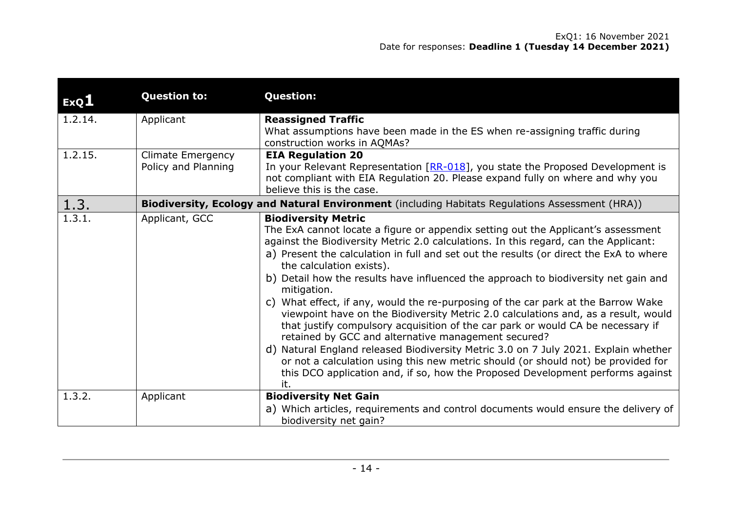| ExQ1    | <b>Question to:</b>                             | <b>Question:</b>                                                                                                                                                                                                                                                                                                                                                                                                                                                                                                                                                                                                                                                                                                                                                                                                                                                                                                                                                                                                              |
|---------|-------------------------------------------------|-------------------------------------------------------------------------------------------------------------------------------------------------------------------------------------------------------------------------------------------------------------------------------------------------------------------------------------------------------------------------------------------------------------------------------------------------------------------------------------------------------------------------------------------------------------------------------------------------------------------------------------------------------------------------------------------------------------------------------------------------------------------------------------------------------------------------------------------------------------------------------------------------------------------------------------------------------------------------------------------------------------------------------|
| 1.2.14. | Applicant                                       | <b>Reassigned Traffic</b><br>What assumptions have been made in the ES when re-assigning traffic during<br>construction works in AQMAs?                                                                                                                                                                                                                                                                                                                                                                                                                                                                                                                                                                                                                                                                                                                                                                                                                                                                                       |
| 1.2.15. | <b>Climate Emergency</b><br>Policy and Planning | <b>EIA Regulation 20</b><br>In your Relevant Representation $[RR-018]$ , you state the Proposed Development is<br>not compliant with EIA Regulation 20. Please expand fully on where and why you<br>believe this is the case.                                                                                                                                                                                                                                                                                                                                                                                                                                                                                                                                                                                                                                                                                                                                                                                                 |
| 1.3.    |                                                 | Biodiversity, Ecology and Natural Environment (including Habitats Regulations Assessment (HRA))                                                                                                                                                                                                                                                                                                                                                                                                                                                                                                                                                                                                                                                                                                                                                                                                                                                                                                                               |
| 1.3.1.  | Applicant, GCC                                  | <b>Biodiversity Metric</b><br>The ExA cannot locate a figure or appendix setting out the Applicant's assessment<br>against the Biodiversity Metric 2.0 calculations. In this regard, can the Applicant:<br>a) Present the calculation in full and set out the results (or direct the ExA to where<br>the calculation exists).<br>b) Detail how the results have influenced the approach to biodiversity net gain and<br>mitigation.<br>c) What effect, if any, would the re-purposing of the car park at the Barrow Wake<br>viewpoint have on the Biodiversity Metric 2.0 calculations and, as a result, would<br>that justify compulsory acquisition of the car park or would CA be necessary if<br>retained by GCC and alternative management secured?<br>d) Natural England released Biodiversity Metric 3.0 on 7 July 2021. Explain whether<br>or not a calculation using this new metric should (or should not) be provided for<br>this DCO application and, if so, how the Proposed Development performs against<br>it. |
| 1.3.2.  | Applicant                                       | <b>Biodiversity Net Gain</b><br>a) Which articles, requirements and control documents would ensure the delivery of<br>biodiversity net gain?                                                                                                                                                                                                                                                                                                                                                                                                                                                                                                                                                                                                                                                                                                                                                                                                                                                                                  |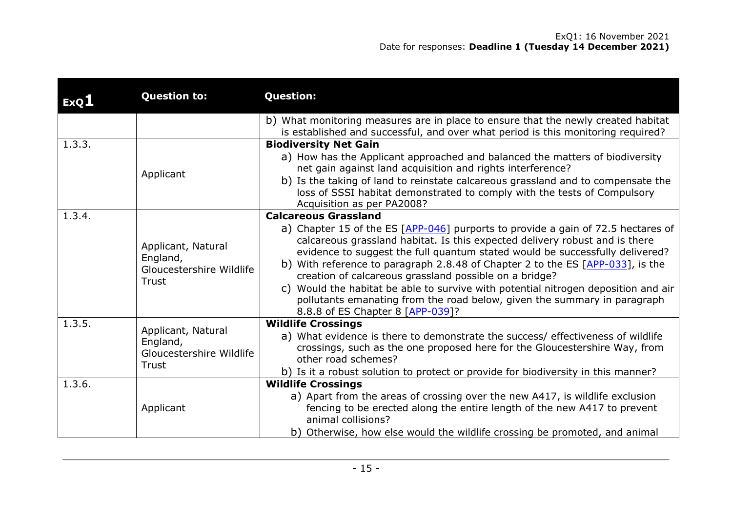| ExQ1   | <b>Question to:</b>                                                 | <b>Question:</b>                                                                                                                                                                                                                                                                                                                                                                                                                                                                                                                                                                                                                    |
|--------|---------------------------------------------------------------------|-------------------------------------------------------------------------------------------------------------------------------------------------------------------------------------------------------------------------------------------------------------------------------------------------------------------------------------------------------------------------------------------------------------------------------------------------------------------------------------------------------------------------------------------------------------------------------------------------------------------------------------|
|        |                                                                     | b) What monitoring measures are in place to ensure that the newly created habitat<br>is established and successful, and over what period is this monitoring required?                                                                                                                                                                                                                                                                                                                                                                                                                                                               |
| 1.3.3. | Applicant                                                           | <b>Biodiversity Net Gain</b><br>a) How has the Applicant approached and balanced the matters of biodiversity<br>net gain against land acquisition and rights interference?<br>b) Is the taking of land to reinstate calcareous grassland and to compensate the<br>loss of SSSI habitat demonstrated to comply with the tests of Compulsory<br>Acquisition as per PA2008?                                                                                                                                                                                                                                                            |
| 1.3.4. | Applicant, Natural<br>England,<br>Gloucestershire Wildlife<br>Trust | <b>Calcareous Grassland</b><br>a) Chapter 15 of the ES [APP-046] purports to provide a gain of 72.5 hectares of<br>calcareous grassland habitat. Is this expected delivery robust and is there<br>evidence to suggest the full quantum stated would be successfully delivered?<br>b) With reference to paragraph 2.8.48 of Chapter 2 to the ES $[APP-033]$ , is the<br>creation of calcareous grassland possible on a bridge?<br>c) Would the habitat be able to survive with potential nitrogen deposition and air<br>pollutants emanating from the road below, given the summary in paragraph<br>8.8.8 of ES Chapter 8 [APP-039]? |
| 1.3.5. | Applicant, Natural<br>England,<br>Gloucestershire Wildlife<br>Trust | <b>Wildlife Crossings</b><br>a) What evidence is there to demonstrate the success/ effectiveness of wildlife<br>crossings, such as the one proposed here for the Gloucestershire Way, from<br>other road schemes?<br>b) Is it a robust solution to protect or provide for biodiversity in this manner?                                                                                                                                                                                                                                                                                                                              |
| 1.3.6. | Applicant                                                           | <b>Wildlife Crossings</b><br>a) Apart from the areas of crossing over the new A417, is wildlife exclusion<br>fencing to be erected along the entire length of the new A417 to prevent<br>animal collisions?<br>b) Otherwise, how else would the wildlife crossing be promoted, and animal                                                                                                                                                                                                                                                                                                                                           |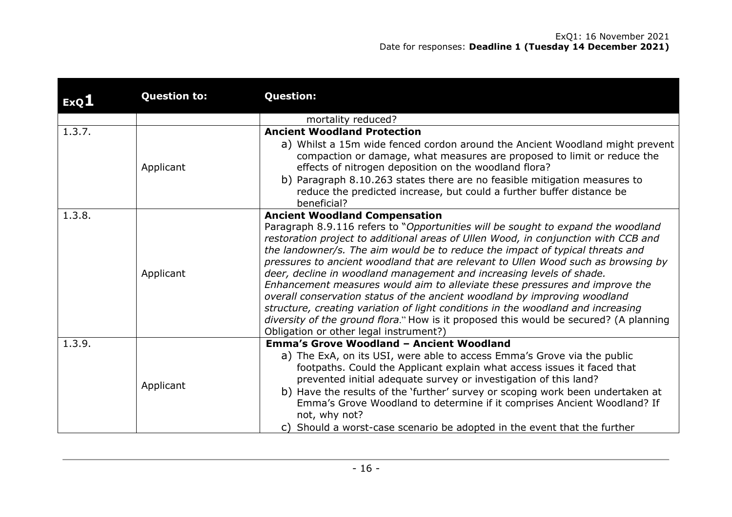| ExQL   | <b>Question to:</b> | <b>Question:</b>                                                                                                                                                                                                                                                                                                                                                                                                                                                                                                                                                                                                                                                                                                                                                                                                                                |
|--------|---------------------|-------------------------------------------------------------------------------------------------------------------------------------------------------------------------------------------------------------------------------------------------------------------------------------------------------------------------------------------------------------------------------------------------------------------------------------------------------------------------------------------------------------------------------------------------------------------------------------------------------------------------------------------------------------------------------------------------------------------------------------------------------------------------------------------------------------------------------------------------|
|        |                     | mortality reduced?                                                                                                                                                                                                                                                                                                                                                                                                                                                                                                                                                                                                                                                                                                                                                                                                                              |
| 1.3.7. | Applicant           | <b>Ancient Woodland Protection</b><br>a) Whilst a 15m wide fenced cordon around the Ancient Woodland might prevent<br>compaction or damage, what measures are proposed to limit or reduce the<br>effects of nitrogen deposition on the woodland flora?<br>b) Paragraph 8.10.263 states there are no feasible mitigation measures to<br>reduce the predicted increase, but could a further buffer distance be<br>beneficial?                                                                                                                                                                                                                                                                                                                                                                                                                     |
| 1.3.8. | Applicant           | <b>Ancient Woodland Compensation</b><br>Paragraph 8.9.116 refers to "Opportunities will be sought to expand the woodland<br>restoration project to additional areas of Ullen Wood, in conjunction with CCB and<br>the landowner/s. The aim would be to reduce the impact of typical threats and<br>pressures to ancient woodland that are relevant to Ullen Wood such as browsing by<br>deer, decline in woodland management and increasing levels of shade.<br>Enhancement measures would aim to alleviate these pressures and improve the<br>overall conservation status of the ancient woodland by improving woodland<br>structure, creating variation of light conditions in the woodland and increasing<br>diversity of the ground flora." How is it proposed this would be secured? (A planning<br>Obligation or other legal instrument?) |
| 1.3.9. | Applicant           | <b>Emma's Grove Woodland - Ancient Woodland</b><br>a) The ExA, on its USI, were able to access Emma's Grove via the public<br>footpaths. Could the Applicant explain what access issues it faced that<br>prevented initial adequate survey or investigation of this land?<br>b) Have the results of the 'further' survey or scoping work been undertaken at<br>Emma's Grove Woodland to determine if it comprises Ancient Woodland? If<br>not, why not?<br>c) Should a worst-case scenario be adopted in the event that the further                                                                                                                                                                                                                                                                                                             |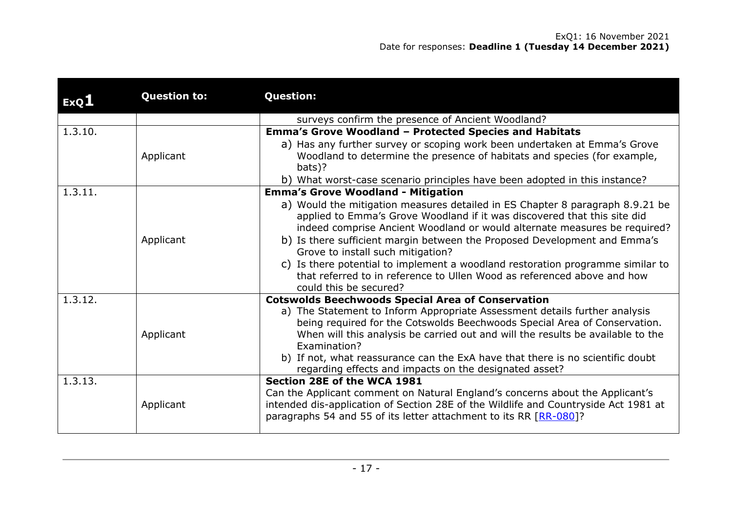| ExQ <sub>1</sub> | <b>Question to:</b> | <b>Question:</b>                                                                                                                                                                                                                                                                                                                                                                                                                                                                                                      |
|------------------|---------------------|-----------------------------------------------------------------------------------------------------------------------------------------------------------------------------------------------------------------------------------------------------------------------------------------------------------------------------------------------------------------------------------------------------------------------------------------------------------------------------------------------------------------------|
|                  |                     | surveys confirm the presence of Ancient Woodland?                                                                                                                                                                                                                                                                                                                                                                                                                                                                     |
| 1.3.10.          |                     | <b>Emma's Grove Woodland - Protected Species and Habitats</b>                                                                                                                                                                                                                                                                                                                                                                                                                                                         |
|                  | Applicant           | a) Has any further survey or scoping work been undertaken at Emma's Grove<br>Woodland to determine the presence of habitats and species (for example,<br>bats)?                                                                                                                                                                                                                                                                                                                                                       |
| 1.3.11.          |                     | b) What worst-case scenario principles have been adopted in this instance?<br><b>Emma's Grove Woodland - Mitigation</b>                                                                                                                                                                                                                                                                                                                                                                                               |
|                  | Applicant           | a) Would the mitigation measures detailed in ES Chapter 8 paragraph 8.9.21 be<br>applied to Emma's Grove Woodland if it was discovered that this site did<br>indeed comprise Ancient Woodland or would alternate measures be required?<br>b) Is there sufficient margin between the Proposed Development and Emma's<br>Grove to install such mitigation?<br>c) Is there potential to implement a woodland restoration programme similar to<br>that referred to in reference to Ullen Wood as referenced above and how |
| 1.3.12.          |                     | could this be secured?<br><b>Cotswolds Beechwoods Special Area of Conservation</b>                                                                                                                                                                                                                                                                                                                                                                                                                                    |
|                  | Applicant           | a) The Statement to Inform Appropriate Assessment details further analysis<br>being required for the Cotswolds Beechwoods Special Area of Conservation.<br>When will this analysis be carried out and will the results be available to the<br>Examination?<br>b) If not, what reassurance can the ExA have that there is no scientific doubt<br>regarding effects and impacts on the designated asset?                                                                                                                |
| 1.3.13.          | Applicant           | Section 28E of the WCA 1981<br>Can the Applicant comment on Natural England's concerns about the Applicant's<br>intended dis-application of Section 28E of the Wildlife and Countryside Act 1981 at<br>paragraphs 54 and 55 of its letter attachment to its RR [RR-080]?                                                                                                                                                                                                                                              |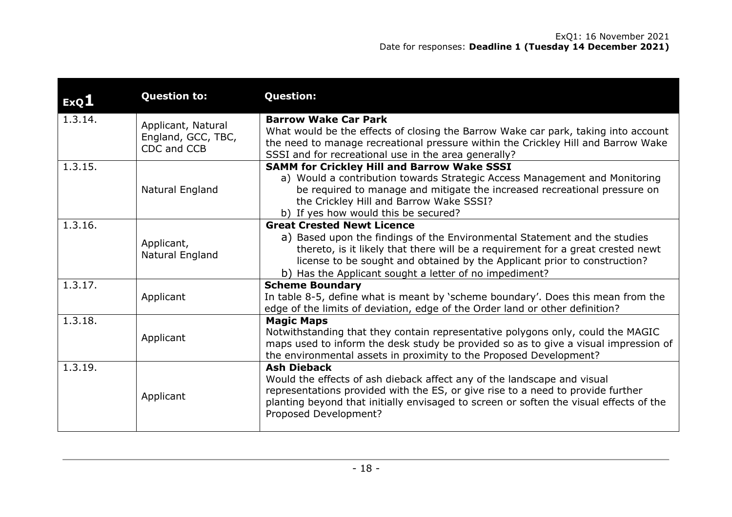| ExQ <sub>1</sub> | <b>Question to:</b>                                     | <b>Question:</b>                                                                                                                                                                                                                                                                                                                         |
|------------------|---------------------------------------------------------|------------------------------------------------------------------------------------------------------------------------------------------------------------------------------------------------------------------------------------------------------------------------------------------------------------------------------------------|
| 1.3.14.          | Applicant, Natural<br>England, GCC, TBC,<br>CDC and CCB | <b>Barrow Wake Car Park</b><br>What would be the effects of closing the Barrow Wake car park, taking into account<br>the need to manage recreational pressure within the Crickley Hill and Barrow Wake<br>SSSI and for recreational use in the area generally?                                                                           |
| 1.3.15.          | Natural England                                         | <b>SAMM for Crickley Hill and Barrow Wake SSSI</b><br>a) Would a contribution towards Strategic Access Management and Monitoring<br>be required to manage and mitigate the increased recreational pressure on<br>the Crickley Hill and Barrow Wake SSSI?<br>b) If yes how would this be secured?                                         |
| 1.3.16.          | Applicant,<br>Natural England                           | <b>Great Crested Newt Licence</b><br>a) Based upon the findings of the Environmental Statement and the studies<br>thereto, is it likely that there will be a requirement for a great crested newt<br>license to be sought and obtained by the Applicant prior to construction?<br>b) Has the Applicant sought a letter of no impediment? |
| 1.3.17.          | Applicant                                               | <b>Scheme Boundary</b><br>In table 8-5, define what is meant by 'scheme boundary'. Does this mean from the<br>edge of the limits of deviation, edge of the Order land or other definition?                                                                                                                                               |
| 1.3.18.          | Applicant                                               | <b>Magic Maps</b><br>Notwithstanding that they contain representative polygons only, could the MAGIC<br>maps used to inform the desk study be provided so as to give a visual impression of<br>the environmental assets in proximity to the Proposed Development?                                                                        |
| 1.3.19.          | Applicant                                               | <b>Ash Dieback</b><br>Would the effects of ash dieback affect any of the landscape and visual<br>representations provided with the ES, or give rise to a need to provide further<br>planting beyond that initially envisaged to screen or soften the visual effects of the<br>Proposed Development?                                      |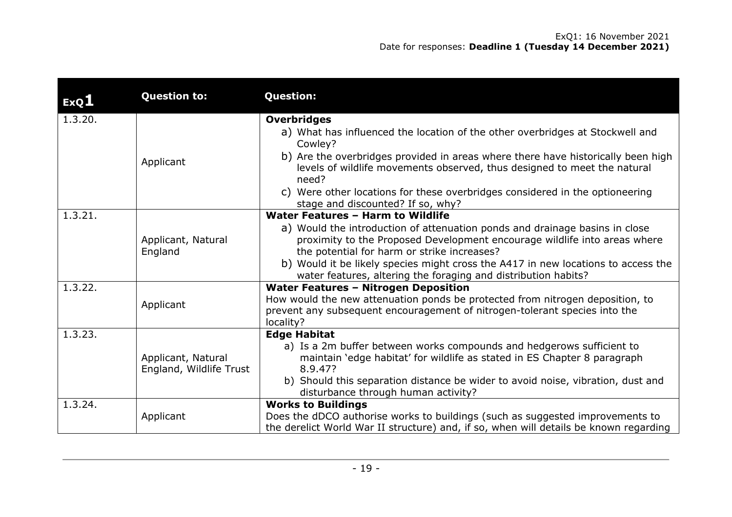| ExQ1    | <b>Question to:</b>                           | <b>Question:</b>                                                                                                                                                                                                                                                                                                                                                        |
|---------|-----------------------------------------------|-------------------------------------------------------------------------------------------------------------------------------------------------------------------------------------------------------------------------------------------------------------------------------------------------------------------------------------------------------------------------|
| 1.3.20. | Applicant                                     | <b>Overbridges</b><br>a) What has influenced the location of the other overbridges at Stockwell and<br>Cowley?<br>b) Are the overbridges provided in areas where there have historically been high<br>levels of wildlife movements observed, thus designed to meet the natural<br>need?<br>c) Were other locations for these overbridges considered in the optioneering |
| 1.3.21. |                                               | stage and discounted? If so, why?<br>Water Features - Harm to Wildlife                                                                                                                                                                                                                                                                                                  |
|         | Applicant, Natural<br>England                 | a) Would the introduction of attenuation ponds and drainage basins in close<br>proximity to the Proposed Development encourage wildlife into areas where<br>the potential for harm or strike increases?<br>b) Would it be likely species might cross the A417 in new locations to access the<br>water features, altering the foraging and distribution habits?          |
| 1.3.22. | Applicant                                     | <b>Water Features - Nitrogen Deposition</b><br>How would the new attenuation ponds be protected from nitrogen deposition, to<br>prevent any subsequent encouragement of nitrogen-tolerant species into the<br>locality?                                                                                                                                                 |
| 1.3.23. | Applicant, Natural<br>England, Wildlife Trust | <b>Edge Habitat</b><br>a) Is a 2m buffer between works compounds and hedgerows sufficient to<br>maintain 'edge habitat' for wildlife as stated in ES Chapter 8 paragraph<br>8.9.47?<br>b) Should this separation distance be wider to avoid noise, vibration, dust and<br>disturbance through human activity?                                                           |
| 1.3.24. | Applicant                                     | <b>Works to Buildings</b><br>Does the dDCO authorise works to buildings (such as suggested improvements to<br>the derelict World War II structure) and, if so, when will details be known regarding                                                                                                                                                                     |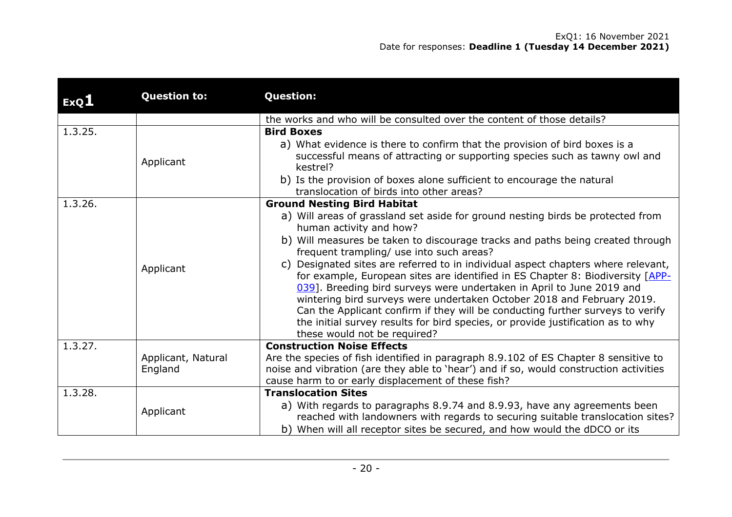| ExQL    | <b>Question to:</b>           | <b>Question:</b>                                                                                                                                                                                                                                                                                                                                                                                                                                                                                                               |
|---------|-------------------------------|--------------------------------------------------------------------------------------------------------------------------------------------------------------------------------------------------------------------------------------------------------------------------------------------------------------------------------------------------------------------------------------------------------------------------------------------------------------------------------------------------------------------------------|
|         |                               | the works and who will be consulted over the content of those details?                                                                                                                                                                                                                                                                                                                                                                                                                                                         |
| 1.3.25. |                               | <b>Bird Boxes</b>                                                                                                                                                                                                                                                                                                                                                                                                                                                                                                              |
|         | Applicant                     | a) What evidence is there to confirm that the provision of bird boxes is a<br>successful means of attracting or supporting species such as tawny owl and<br>kestrel?                                                                                                                                                                                                                                                                                                                                                           |
|         |                               | b) Is the provision of boxes alone sufficient to encourage the natural                                                                                                                                                                                                                                                                                                                                                                                                                                                         |
|         |                               | translocation of birds into other areas?                                                                                                                                                                                                                                                                                                                                                                                                                                                                                       |
| 1.3.26. |                               | <b>Ground Nesting Bird Habitat</b>                                                                                                                                                                                                                                                                                                                                                                                                                                                                                             |
|         |                               | a) Will areas of grassland set aside for ground nesting birds be protected from<br>human activity and how?                                                                                                                                                                                                                                                                                                                                                                                                                     |
|         |                               | b) Will measures be taken to discourage tracks and paths being created through<br>frequent trampling/ use into such areas?                                                                                                                                                                                                                                                                                                                                                                                                     |
|         | Applicant                     | Designated sites are referred to in individual aspect chapters where relevant,<br>C)<br>for example, European sites are identified in ES Chapter 8: Biodiversity [APP-<br>039]. Breeding bird surveys were undertaken in April to June 2019 and<br>wintering bird surveys were undertaken October 2018 and February 2019.<br>Can the Applicant confirm if they will be conducting further surveys to verify<br>the initial survey results for bird species, or provide justification as to why<br>these would not be required? |
| 1.3.27. |                               | <b>Construction Noise Effects</b>                                                                                                                                                                                                                                                                                                                                                                                                                                                                                              |
|         | Applicant, Natural<br>England | Are the species of fish identified in paragraph 8.9.102 of ES Chapter 8 sensitive to<br>noise and vibration (are they able to 'hear') and if so, would construction activities<br>cause harm to or early displacement of these fish?                                                                                                                                                                                                                                                                                           |
| 1.3.28. |                               | <b>Translocation Sites</b>                                                                                                                                                                                                                                                                                                                                                                                                                                                                                                     |
|         | Applicant                     | a) With regards to paragraphs 8.9.74 and 8.9.93, have any agreements been<br>reached with landowners with regards to securing suitable translocation sites?<br>b) When will all receptor sites be secured, and how would the dDCO or its                                                                                                                                                                                                                                                                                       |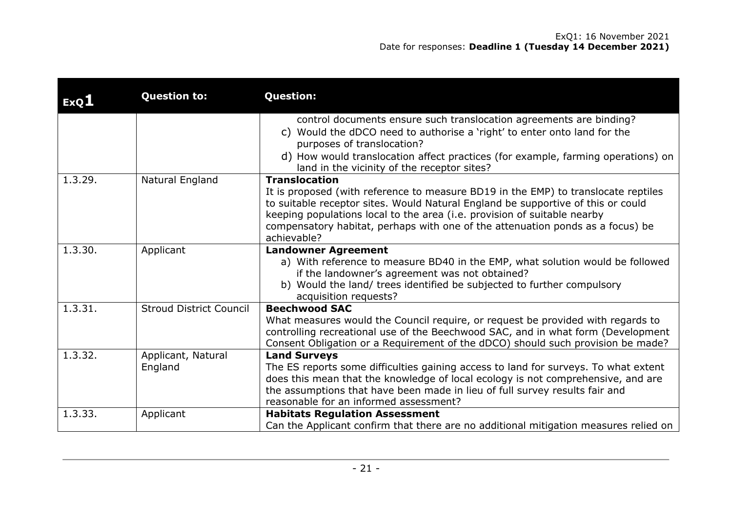| ExQ1    | <b>Question to:</b>            | <b>Question:</b>                                                                                                                                                                                                                                                                                                                                                            |
|---------|--------------------------------|-----------------------------------------------------------------------------------------------------------------------------------------------------------------------------------------------------------------------------------------------------------------------------------------------------------------------------------------------------------------------------|
|         |                                | control documents ensure such translocation agreements are binding?<br>c) Would the dDCO need to authorise a 'right' to enter onto land for the<br>purposes of translocation?<br>d) How would translocation affect practices (for example, farming operations) on<br>land in the vicinity of the receptor sites?                                                            |
| 1.3.29. | Natural England                | <b>Translocation</b><br>It is proposed (with reference to measure BD19 in the EMP) to translocate reptiles<br>to suitable receptor sites. Would Natural England be supportive of this or could<br>keeping populations local to the area (i.e. provision of suitable nearby<br>compensatory habitat, perhaps with one of the attenuation ponds as a focus) be<br>achievable? |
| 1.3.30. | Applicant                      | <b>Landowner Agreement</b><br>a) With reference to measure BD40 in the EMP, what solution would be followed<br>if the landowner's agreement was not obtained?<br>b) Would the land/ trees identified be subjected to further compulsory<br>acquisition requests?                                                                                                            |
| 1.3.31. | <b>Stroud District Council</b> | <b>Beechwood SAC</b><br>What measures would the Council require, or request be provided with regards to<br>controlling recreational use of the Beechwood SAC, and in what form (Development<br>Consent Obligation or a Requirement of the dDCO) should such provision be made?                                                                                              |
| 1.3.32. | Applicant, Natural<br>England  | <b>Land Surveys</b><br>The ES reports some difficulties gaining access to land for surveys. To what extent<br>does this mean that the knowledge of local ecology is not comprehensive, and are<br>the assumptions that have been made in lieu of full survey results fair and<br>reasonable for an informed assessment?                                                     |
| 1.3.33. | Applicant                      | <b>Habitats Regulation Assessment</b><br>Can the Applicant confirm that there are no additional mitigation measures relied on                                                                                                                                                                                                                                               |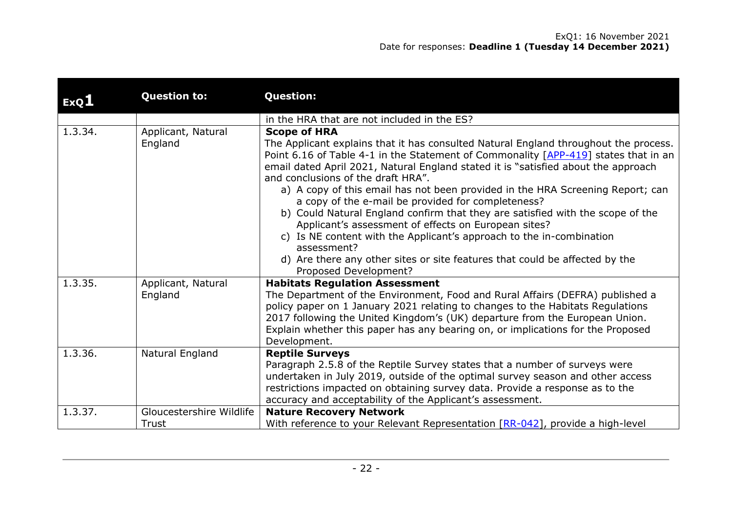| ExQ1    | <b>Question to:</b>               | <b>Question:</b>                                                                                                                                                                                                                                                                                                                                                                                                                                                                                                                                                                                                                                                                                                                                                                                                |
|---------|-----------------------------------|-----------------------------------------------------------------------------------------------------------------------------------------------------------------------------------------------------------------------------------------------------------------------------------------------------------------------------------------------------------------------------------------------------------------------------------------------------------------------------------------------------------------------------------------------------------------------------------------------------------------------------------------------------------------------------------------------------------------------------------------------------------------------------------------------------------------|
|         |                                   | in the HRA that are not included in the ES?                                                                                                                                                                                                                                                                                                                                                                                                                                                                                                                                                                                                                                                                                                                                                                     |
| 1.3.34. | Applicant, Natural<br>England     | <b>Scope of HRA</b><br>The Applicant explains that it has consulted Natural England throughout the process.<br>Point 6.16 of Table 4-1 in the Statement of Commonality [APP-419] states that in an<br>email dated April 2021, Natural England stated it is "satisfied about the approach<br>and conclusions of the draft HRA".<br>a) A copy of this email has not been provided in the HRA Screening Report; can<br>a copy of the e-mail be provided for completeness?<br>b) Could Natural England confirm that they are satisfied with the scope of the<br>Applicant's assessment of effects on European sites?<br>c) Is NE content with the Applicant's approach to the in-combination<br>assessment?<br>d) Are there any other sites or site features that could be affected by the<br>Proposed Development? |
| 1.3.35. | Applicant, Natural<br>England     | <b>Habitats Regulation Assessment</b><br>The Department of the Environment, Food and Rural Affairs (DEFRA) published a<br>policy paper on 1 January 2021 relating to changes to the Habitats Regulations<br>2017 following the United Kingdom's (UK) departure from the European Union.<br>Explain whether this paper has any bearing on, or implications for the Proposed<br>Development.                                                                                                                                                                                                                                                                                                                                                                                                                      |
| 1.3.36. | Natural England                   | <b>Reptile Surveys</b><br>Paragraph 2.5.8 of the Reptile Survey states that a number of surveys were<br>undertaken in July 2019, outside of the optimal survey season and other access<br>restrictions impacted on obtaining survey data. Provide a response as to the<br>accuracy and acceptability of the Applicant's assessment.                                                                                                                                                                                                                                                                                                                                                                                                                                                                             |
| 1.3.37. | Gloucestershire Wildlife<br>Trust | <b>Nature Recovery Network</b><br>With reference to your Relevant Representation [RR-042], provide a high-level                                                                                                                                                                                                                                                                                                                                                                                                                                                                                                                                                                                                                                                                                                 |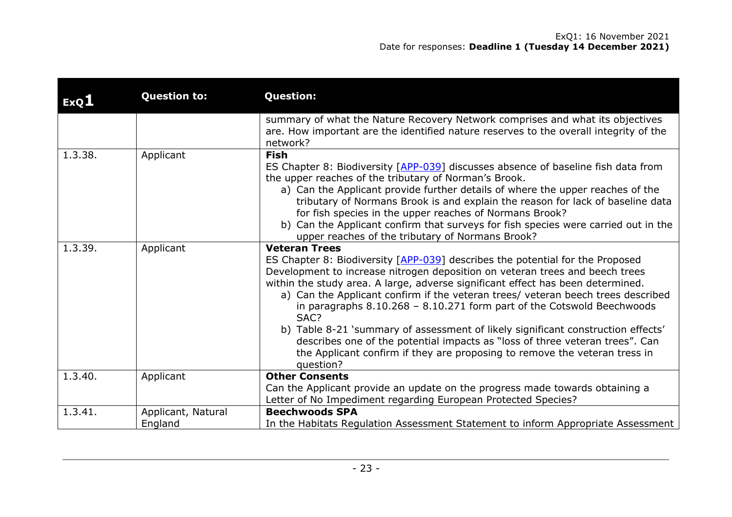| ExQ1    | <b>Question to:</b>           | <b>Question:</b>                                                                                                                                                                                                                                                                                                                                                                                                                                                                                                                                                                                                                                                                                                |
|---------|-------------------------------|-----------------------------------------------------------------------------------------------------------------------------------------------------------------------------------------------------------------------------------------------------------------------------------------------------------------------------------------------------------------------------------------------------------------------------------------------------------------------------------------------------------------------------------------------------------------------------------------------------------------------------------------------------------------------------------------------------------------|
|         |                               | summary of what the Nature Recovery Network comprises and what its objectives<br>are. How important are the identified nature reserves to the overall integrity of the<br>network?                                                                                                                                                                                                                                                                                                                                                                                                                                                                                                                              |
| 1.3.38. | Applicant                     | <b>Fish</b><br>ES Chapter 8: Biodiversity [APP-039] discusses absence of baseline fish data from<br>the upper reaches of the tributary of Norman's Brook.<br>a) Can the Applicant provide further details of where the upper reaches of the<br>tributary of Normans Brook is and explain the reason for lack of baseline data<br>for fish species in the upper reaches of Normans Brook?<br>b) Can the Applicant confirm that surveys for fish species were carried out in the<br>upper reaches of the tributary of Normans Brook?                                                                                                                                                                              |
| 1.3.39. | Applicant                     | <b>Veteran Trees</b><br>ES Chapter 8: Biodiversity [APP-039] describes the potential for the Proposed<br>Development to increase nitrogen deposition on veteran trees and beech trees<br>within the study area. A large, adverse significant effect has been determined.<br>a) Can the Applicant confirm if the veteran trees/ veteran beech trees described<br>in paragraphs $8.10.268 - 8.10.271$ form part of the Cotswold Beechwoods<br>SAC?<br>b) Table 8-21 'summary of assessment of likely significant construction effects'<br>describes one of the potential impacts as "loss of three veteran trees". Can<br>the Applicant confirm if they are proposing to remove the veteran tress in<br>question? |
| 1.3.40. | Applicant                     | <b>Other Consents</b><br>Can the Applicant provide an update on the progress made towards obtaining a<br>Letter of No Impediment regarding European Protected Species?                                                                                                                                                                                                                                                                                                                                                                                                                                                                                                                                          |
| 1.3.41. | Applicant, Natural<br>England | <b>Beechwoods SPA</b><br>In the Habitats Regulation Assessment Statement to inform Appropriate Assessment                                                                                                                                                                                                                                                                                                                                                                                                                                                                                                                                                                                                       |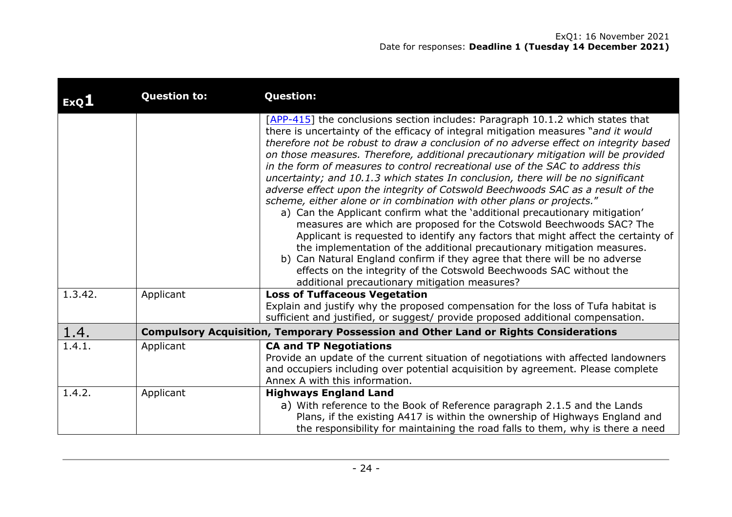| ExQL    | <b>Question to:</b> | <b>Question:</b>                                                                                                                                                                                                                                                                                                                                                                                                                                                                                                                                                                                                                                                                                                                                                                                                                                                                                                                                                                                                                                                                                                                                                                                                  |
|---------|---------------------|-------------------------------------------------------------------------------------------------------------------------------------------------------------------------------------------------------------------------------------------------------------------------------------------------------------------------------------------------------------------------------------------------------------------------------------------------------------------------------------------------------------------------------------------------------------------------------------------------------------------------------------------------------------------------------------------------------------------------------------------------------------------------------------------------------------------------------------------------------------------------------------------------------------------------------------------------------------------------------------------------------------------------------------------------------------------------------------------------------------------------------------------------------------------------------------------------------------------|
|         |                     | [APP-415] the conclusions section includes: Paragraph 10.1.2 which states that<br>there is uncertainty of the efficacy of integral mitigation measures "and it would<br>therefore not be robust to draw a conclusion of no adverse effect on integrity based<br>on those measures. Therefore, additional precautionary mitigation will be provided<br>in the form of measures to control recreational use of the SAC to address this<br>uncertainty; and 10.1.3 which states In conclusion, there will be no significant<br>adverse effect upon the integrity of Cotswold Beechwoods SAC as a result of the<br>scheme, either alone or in combination with other plans or projects."<br>a) Can the Applicant confirm what the 'additional precautionary mitigation'<br>measures are which are proposed for the Cotswold Beechwoods SAC? The<br>Applicant is requested to identify any factors that might affect the certainty of<br>the implementation of the additional precautionary mitigation measures.<br>b) Can Natural England confirm if they agree that there will be no adverse<br>effects on the integrity of the Cotswold Beechwoods SAC without the<br>additional precautionary mitigation measures? |
| 1.3.42. | Applicant           | <b>Loss of Tuffaceous Vegetation</b><br>Explain and justify why the proposed compensation for the loss of Tufa habitat is<br>sufficient and justified, or suggest/ provide proposed additional compensation.                                                                                                                                                                                                                                                                                                                                                                                                                                                                                                                                                                                                                                                                                                                                                                                                                                                                                                                                                                                                      |
| 1.4.    |                     | <b>Compulsory Acquisition, Temporary Possession and Other Land or Rights Considerations</b>                                                                                                                                                                                                                                                                                                                                                                                                                                                                                                                                                                                                                                                                                                                                                                                                                                                                                                                                                                                                                                                                                                                       |
| 1.4.1.  | Applicant           | <b>CA and TP Negotiations</b><br>Provide an update of the current situation of negotiations with affected landowners<br>and occupiers including over potential acquisition by agreement. Please complete<br>Annex A with this information.                                                                                                                                                                                                                                                                                                                                                                                                                                                                                                                                                                                                                                                                                                                                                                                                                                                                                                                                                                        |
| 1.4.2.  | Applicant           | <b>Highways England Land</b><br>a) With reference to the Book of Reference paragraph 2.1.5 and the Lands<br>Plans, if the existing A417 is within the ownership of Highways England and<br>the responsibility for maintaining the road falls to them, why is there a need                                                                                                                                                                                                                                                                                                                                                                                                                                                                                                                                                                                                                                                                                                                                                                                                                                                                                                                                         |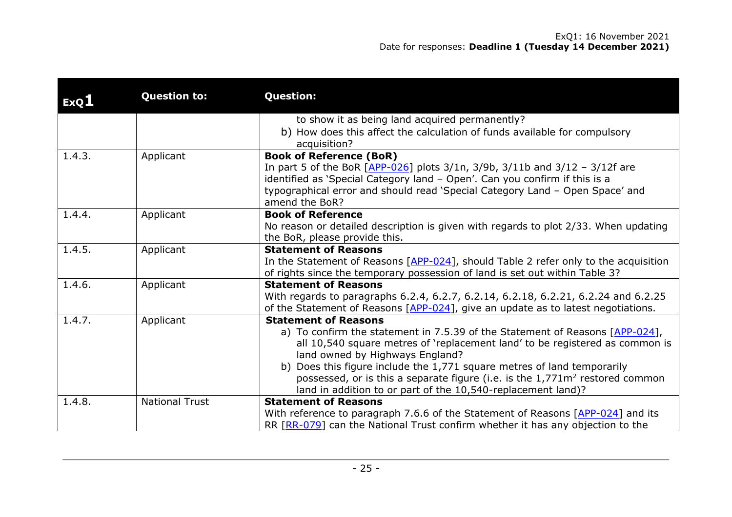| ExQ1   | <b>Question to:</b>   | <b>Question:</b>                                                                                                   |
|--------|-----------------------|--------------------------------------------------------------------------------------------------------------------|
|        |                       | to show it as being land acquired permanently?                                                                     |
|        |                       | b) How does this affect the calculation of funds available for compulsory<br>acquisition?                          |
| 1.4.3. | Applicant             | <b>Book of Reference (BoR)</b>                                                                                     |
|        |                       | In part 5 of the BoR $[APP-026]$ plots 3/1n, 3/9b, 3/11b and 3/12 - 3/12f are                                      |
|        |                       | identified as 'Special Category land - Open'. Can you confirm if this is a                                         |
|        |                       | typographical error and should read 'Special Category Land - Open Space' and<br>amend the BoR?                     |
| 1.4.4. | Applicant             | <b>Book of Reference</b>                                                                                           |
|        |                       | No reason or detailed description is given with regards to plot 2/33. When updating                                |
|        |                       | the BoR, please provide this.                                                                                      |
| 1.4.5. | Applicant             | <b>Statement of Reasons</b>                                                                                        |
|        |                       | In the Statement of Reasons $[APP-024]$ , should Table 2 refer only to the acquisition                             |
|        |                       | of rights since the temporary possession of land is set out within Table 3?                                        |
| 1.4.6. | Applicant             | <b>Statement of Reasons</b>                                                                                        |
|        |                       | With regards to paragraphs 6.2.4, 6.2.7, 6.2.14, 6.2.18, 6.2.21, 6.2.24 and 6.2.25                                 |
| 1.4.7. |                       | of the Statement of Reasons $[APP-024]$ , give an update as to latest negotiations.<br><b>Statement of Reasons</b> |
|        | Applicant             | a) To confirm the statement in 7.5.39 of the Statement of Reasons [APP-024],                                       |
|        |                       | all 10,540 square metres of 'replacement land' to be registered as common is                                       |
|        |                       | land owned by Highways England?                                                                                    |
|        |                       | b) Does this figure include the 1,771 square metres of land temporarily                                            |
|        |                       | possessed, or is this a separate figure (i.e. is the 1,771m <sup>2</sup> restored common                           |
|        |                       | land in addition to or part of the 10,540-replacement land)?                                                       |
| 1.4.8. | <b>National Trust</b> | <b>Statement of Reasons</b>                                                                                        |
|        |                       | With reference to paragraph 7.6.6 of the Statement of Reasons [APP-024] and its                                    |
|        |                       | RR [RR-079] can the National Trust confirm whether it has any objection to the                                     |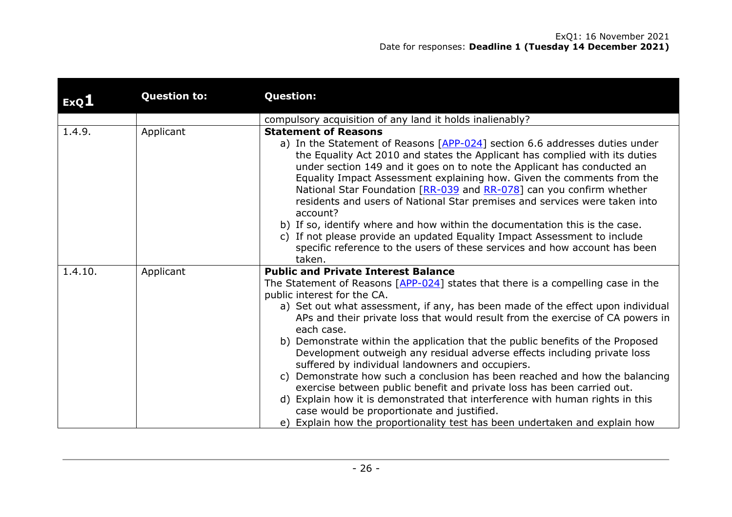| ExQ1    | <b>Question to:</b> | <b>Question:</b>                                                                                                                                                                                                                                                                                                                                                                                                                                                                                                                                                                                                                                                                                                                                                                                                                                                                                 |
|---------|---------------------|--------------------------------------------------------------------------------------------------------------------------------------------------------------------------------------------------------------------------------------------------------------------------------------------------------------------------------------------------------------------------------------------------------------------------------------------------------------------------------------------------------------------------------------------------------------------------------------------------------------------------------------------------------------------------------------------------------------------------------------------------------------------------------------------------------------------------------------------------------------------------------------------------|
|         |                     | compulsory acquisition of any land it holds inalienably?                                                                                                                                                                                                                                                                                                                                                                                                                                                                                                                                                                                                                                                                                                                                                                                                                                         |
| 1.4.9.  | Applicant           | <b>Statement of Reasons</b><br>a) In the Statement of Reasons [APP-024] section 6.6 addresses duties under<br>the Equality Act 2010 and states the Applicant has complied with its duties<br>under section 149 and it goes on to note the Applicant has conducted an<br>Equality Impact Assessment explaining how. Given the comments from the<br>National Star Foundation [RR-039 and RR-078] can you confirm whether<br>residents and users of National Star premises and services were taken into<br>account?<br>b) If so, identify where and how within the documentation this is the case.<br>c) If not please provide an updated Equality Impact Assessment to include<br>specific reference to the users of these services and how account has been<br>taken.                                                                                                                             |
| 1.4.10. | Applicant           | <b>Public and Private Interest Balance</b>                                                                                                                                                                                                                                                                                                                                                                                                                                                                                                                                                                                                                                                                                                                                                                                                                                                       |
|         |                     | The Statement of Reasons $[APP-024]$ states that there is a compelling case in the<br>public interest for the CA.<br>a) Set out what assessment, if any, has been made of the effect upon individual<br>APs and their private loss that would result from the exercise of CA powers in<br>each case.<br>b) Demonstrate within the application that the public benefits of the Proposed<br>Development outweigh any residual adverse effects including private loss<br>suffered by individual landowners and occupiers.<br>Demonstrate how such a conclusion has been reached and how the balancing<br>C)<br>exercise between public benefit and private loss has been carried out.<br>d) Explain how it is demonstrated that interference with human rights in this<br>case would be proportionate and justified.<br>e) Explain how the proportionality test has been undertaken and explain how |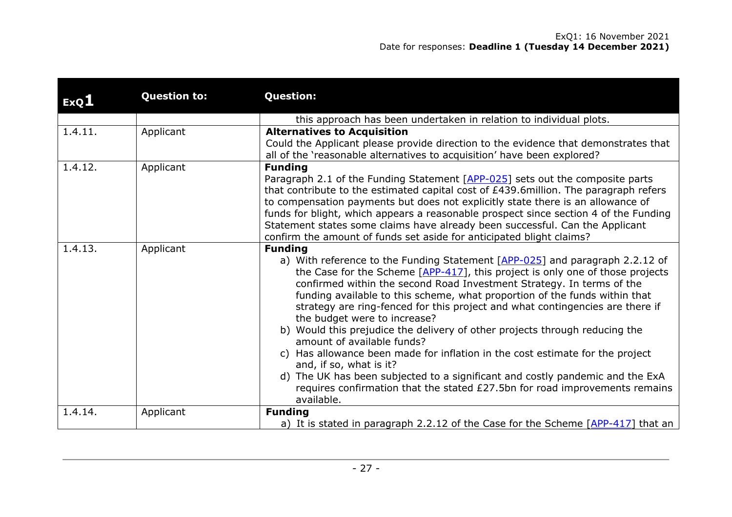| ExQ1    | <b>Question to:</b> | <b>Question:</b>                                                                                                                                                                                                                                                                                                                                                                                                                                                                                                                                                                                                                                                                                                                                                                                                                                                  |
|---------|---------------------|-------------------------------------------------------------------------------------------------------------------------------------------------------------------------------------------------------------------------------------------------------------------------------------------------------------------------------------------------------------------------------------------------------------------------------------------------------------------------------------------------------------------------------------------------------------------------------------------------------------------------------------------------------------------------------------------------------------------------------------------------------------------------------------------------------------------------------------------------------------------|
|         |                     | this approach has been undertaken in relation to individual plots.                                                                                                                                                                                                                                                                                                                                                                                                                                                                                                                                                                                                                                                                                                                                                                                                |
| 1.4.11. | Applicant           | <b>Alternatives to Acquisition</b>                                                                                                                                                                                                                                                                                                                                                                                                                                                                                                                                                                                                                                                                                                                                                                                                                                |
|         |                     | Could the Applicant please provide direction to the evidence that demonstrates that<br>all of the 'reasonable alternatives to acquisition' have been explored?                                                                                                                                                                                                                                                                                                                                                                                                                                                                                                                                                                                                                                                                                                    |
| 1.4.12. | Applicant           | <b>Funding</b>                                                                                                                                                                                                                                                                                                                                                                                                                                                                                                                                                                                                                                                                                                                                                                                                                                                    |
|         |                     | Paragraph 2.1 of the Funding Statement [APP-025] sets out the composite parts<br>that contribute to the estimated capital cost of £439.6million. The paragraph refers<br>to compensation payments but does not explicitly state there is an allowance of<br>funds for blight, which appears a reasonable prospect since section 4 of the Funding<br>Statement states some claims have already been successful. Can the Applicant<br>confirm the amount of funds set aside for anticipated blight claims?                                                                                                                                                                                                                                                                                                                                                          |
| 1.4.13. | Applicant           | <b>Funding</b><br>a) With reference to the Funding Statement [APP-025] and paragraph 2.2.12 of<br>the Case for the Scheme $[APP-417]$ , this project is only one of those projects<br>confirmed within the second Road Investment Strategy. In terms of the<br>funding available to this scheme, what proportion of the funds within that<br>strategy are ring-fenced for this project and what contingencies are there if<br>the budget were to increase?<br>b) Would this prejudice the delivery of other projects through reducing the<br>amount of available funds?<br>c) Has allowance been made for inflation in the cost estimate for the project<br>and, if so, what is it?<br>d) The UK has been subjected to a significant and costly pandemic and the ExA<br>requires confirmation that the stated £27.5bn for road improvements remains<br>available. |
| 1.4.14. | Applicant           | <b>Funding</b>                                                                                                                                                                                                                                                                                                                                                                                                                                                                                                                                                                                                                                                                                                                                                                                                                                                    |
|         |                     | a) It is stated in paragraph 2.2.12 of the Case for the Scheme [APP-417] that an                                                                                                                                                                                                                                                                                                                                                                                                                                                                                                                                                                                                                                                                                                                                                                                  |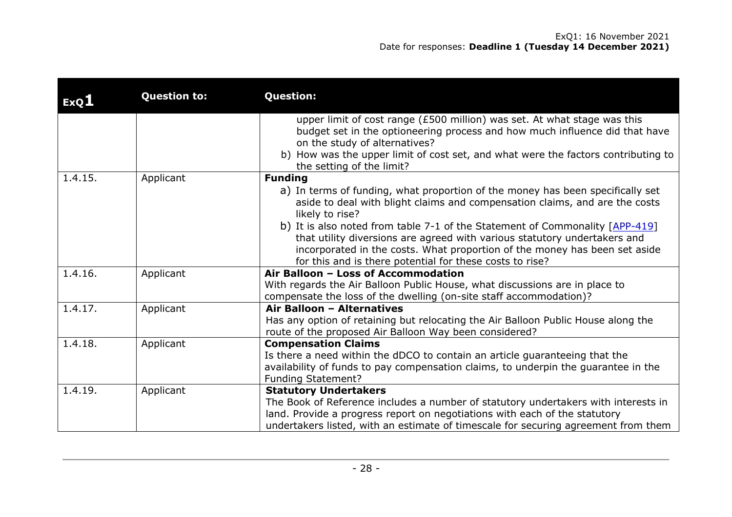| ExQ1    | <b>Question to:</b> | <b>Question:</b>                                                                                                                                                                                                                                                                                    |
|---------|---------------------|-----------------------------------------------------------------------------------------------------------------------------------------------------------------------------------------------------------------------------------------------------------------------------------------------------|
|         |                     | upper limit of cost range (£500 million) was set. At what stage was this<br>budget set in the optioneering process and how much influence did that have<br>on the study of alternatives?<br>b) How was the upper limit of cost set, and what were the factors contributing to                       |
| 1.4.15. |                     | the setting of the limit?<br><b>Funding</b>                                                                                                                                                                                                                                                         |
|         | Applicant           | a) In terms of funding, what proportion of the money has been specifically set<br>aside to deal with blight claims and compensation claims, and are the costs<br>likely to rise?                                                                                                                    |
|         |                     | b) It is also noted from table 7-1 of the Statement of Commonality [APP-419]<br>that utility diversions are agreed with various statutory undertakers and<br>incorporated in the costs. What proportion of the money has been set aside<br>for this and is there potential for these costs to rise? |
| 1.4.16. | Applicant           | Air Balloon - Loss of Accommodation<br>With regards the Air Balloon Public House, what discussions are in place to<br>compensate the loss of the dwelling (on-site staff accommodation)?                                                                                                            |
| 1.4.17. | Applicant           | Air Balloon - Alternatives<br>Has any option of retaining but relocating the Air Balloon Public House along the<br>route of the proposed Air Balloon Way been considered?                                                                                                                           |
| 1.4.18. | Applicant           | <b>Compensation Claims</b><br>Is there a need within the dDCO to contain an article guaranteeing that the<br>availability of funds to pay compensation claims, to underpin the guarantee in the<br><b>Funding Statement?</b>                                                                        |
| 1.4.19. | Applicant           | <b>Statutory Undertakers</b><br>The Book of Reference includes a number of statutory undertakers with interests in<br>land. Provide a progress report on negotiations with each of the statutory<br>undertakers listed, with an estimate of timescale for securing agreement from them              |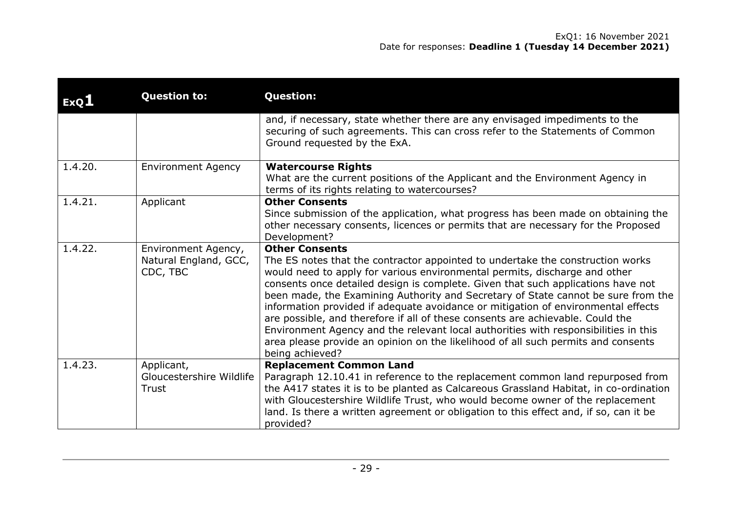| ExQ <sub>1</sub> | <b>Question to:</b>                                      | <b>Question:</b>                                                                                                                                                                                                                                                                                                                                                                                                                                                                                                                                                                                                                                                                                                                     |
|------------------|----------------------------------------------------------|--------------------------------------------------------------------------------------------------------------------------------------------------------------------------------------------------------------------------------------------------------------------------------------------------------------------------------------------------------------------------------------------------------------------------------------------------------------------------------------------------------------------------------------------------------------------------------------------------------------------------------------------------------------------------------------------------------------------------------------|
|                  |                                                          | and, if necessary, state whether there are any envisaged impediments to the<br>securing of such agreements. This can cross refer to the Statements of Common<br>Ground requested by the ExA.                                                                                                                                                                                                                                                                                                                                                                                                                                                                                                                                         |
| 1.4.20.          | <b>Environment Agency</b>                                | <b>Watercourse Rights</b><br>What are the current positions of the Applicant and the Environment Agency in<br>terms of its rights relating to watercourses?                                                                                                                                                                                                                                                                                                                                                                                                                                                                                                                                                                          |
| 1.4.21.          | Applicant                                                | <b>Other Consents</b><br>Since submission of the application, what progress has been made on obtaining the<br>other necessary consents, licences or permits that are necessary for the Proposed<br>Development?                                                                                                                                                                                                                                                                                                                                                                                                                                                                                                                      |
| 1.4.22.          | Environment Agency,<br>Natural England, GCC,<br>CDC, TBC | <b>Other Consents</b><br>The ES notes that the contractor appointed to undertake the construction works<br>would need to apply for various environmental permits, discharge and other<br>consents once detailed design is complete. Given that such applications have not<br>been made, the Examining Authority and Secretary of State cannot be sure from the<br>information provided if adequate avoidance or mitigation of environmental effects<br>are possible, and therefore if all of these consents are achievable. Could the<br>Environment Agency and the relevant local authorities with responsibilities in this<br>area please provide an opinion on the likelihood of all such permits and consents<br>being achieved? |
| 1.4.23.          | Applicant,<br>Gloucestershire Wildlife<br>Trust          | <b>Replacement Common Land</b><br>Paragraph 12.10.41 in reference to the replacement common land repurposed from<br>the A417 states it is to be planted as Calcareous Grassland Habitat, in co-ordination<br>with Gloucestershire Wildlife Trust, who would become owner of the replacement<br>land. Is there a written agreement or obligation to this effect and, if so, can it be<br>provided?                                                                                                                                                                                                                                                                                                                                    |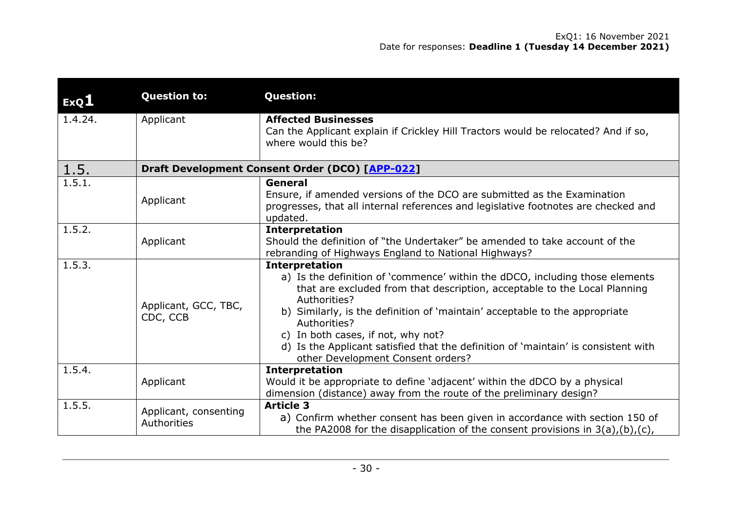| ExQ1    | <b>Question to:</b>                  | <b>Question:</b>                                                                                                                                                                                                                                                                                                                                                                                                                                                   |
|---------|--------------------------------------|--------------------------------------------------------------------------------------------------------------------------------------------------------------------------------------------------------------------------------------------------------------------------------------------------------------------------------------------------------------------------------------------------------------------------------------------------------------------|
| 1.4.24. | Applicant                            | <b>Affected Businesses</b><br>Can the Applicant explain if Crickley Hill Tractors would be relocated? And if so,<br>where would this be?                                                                                                                                                                                                                                                                                                                           |
| 1.5.    |                                      | Draft Development Consent Order (DCO) [APP-022]                                                                                                                                                                                                                                                                                                                                                                                                                    |
| 1.5.1.  | Applicant                            | General<br>Ensure, if amended versions of the DCO are submitted as the Examination<br>progresses, that all internal references and legislative footnotes are checked and<br>updated.                                                                                                                                                                                                                                                                               |
| 1.5.2.  | Applicant                            | <b>Interpretation</b><br>Should the definition of "the Undertaker" be amended to take account of the<br>rebranding of Highways England to National Highways?                                                                                                                                                                                                                                                                                                       |
| 1.5.3.  | Applicant, GCC, TBC,<br>CDC, CCB     | <b>Interpretation</b><br>a) Is the definition of 'commence' within the dDCO, including those elements<br>that are excluded from that description, acceptable to the Local Planning<br>Authorities?<br>b) Similarly, is the definition of 'maintain' acceptable to the appropriate<br>Authorities?<br>c) In both cases, if not, why not?<br>d) Is the Applicant satisfied that the definition of 'maintain' is consistent with<br>other Development Consent orders? |
| 1.5.4.  | Applicant                            | <b>Interpretation</b><br>Would it be appropriate to define 'adjacent' within the dDCO by a physical<br>dimension (distance) away from the route of the preliminary design?                                                                                                                                                                                                                                                                                         |
| 1.5.5.  | Applicant, consenting<br>Authorities | <b>Article 3</b><br>a) Confirm whether consent has been given in accordance with section 150 of<br>the PA2008 for the disapplication of the consent provisions in $3(a)$ , $(b)$ , $(c)$ ,                                                                                                                                                                                                                                                                         |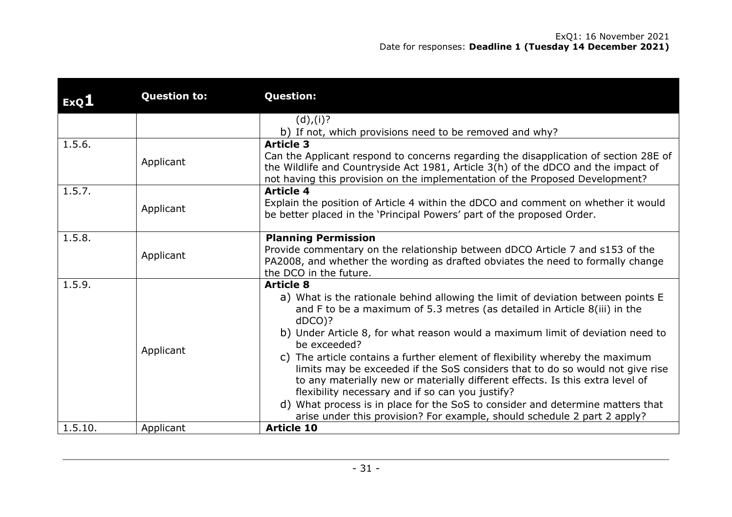| ExQ1    | <b>Question to:</b> | <b>Question:</b>                                                                                                                                                                                                                                                                                                                                                                                                                                                                                                                                                                                                                                                                                                                                                     |
|---------|---------------------|----------------------------------------------------------------------------------------------------------------------------------------------------------------------------------------------------------------------------------------------------------------------------------------------------------------------------------------------------------------------------------------------------------------------------------------------------------------------------------------------------------------------------------------------------------------------------------------------------------------------------------------------------------------------------------------------------------------------------------------------------------------------|
|         |                     | (d), (i)?<br>b) If not, which provisions need to be removed and why?                                                                                                                                                                                                                                                                                                                                                                                                                                                                                                                                                                                                                                                                                                 |
| 1.5.6.  | Applicant           | <b>Article 3</b><br>Can the Applicant respond to concerns regarding the disapplication of section 28E of<br>the Wildlife and Countryside Act 1981, Article 3(h) of the dDCO and the impact of<br>not having this provision on the implementation of the Proposed Development?                                                                                                                                                                                                                                                                                                                                                                                                                                                                                        |
| 1.5.7.  | Applicant           | <b>Article 4</b><br>Explain the position of Article 4 within the dDCO and comment on whether it would<br>be better placed in the 'Principal Powers' part of the proposed Order.                                                                                                                                                                                                                                                                                                                                                                                                                                                                                                                                                                                      |
| 1.5.8.  | Applicant           | <b>Planning Permission</b><br>Provide commentary on the relationship between dDCO Article 7 and s153 of the<br>PA2008, and whether the wording as drafted obviates the need to formally change<br>the DCO in the future.                                                                                                                                                                                                                                                                                                                                                                                                                                                                                                                                             |
| 1.5.9.  | Applicant           | <b>Article 8</b><br>a) What is the rationale behind allowing the limit of deviation between points E<br>and F to be a maximum of 5.3 metres (as detailed in Article 8(iii) in the<br>$dDCO$ )?<br>b) Under Article 8, for what reason would a maximum limit of deviation need to<br>be exceeded?<br>c) The article contains a further element of flexibility whereby the maximum<br>limits may be exceeded if the SoS considers that to do so would not give rise<br>to any materially new or materially different effects. Is this extra level of<br>flexibility necessary and if so can you justify?<br>d) What process is in place for the SoS to consider and determine matters that<br>arise under this provision? For example, should schedule 2 part 2 apply? |
| 1.5.10. | Applicant           | <b>Article 10</b>                                                                                                                                                                                                                                                                                                                                                                                                                                                                                                                                                                                                                                                                                                                                                    |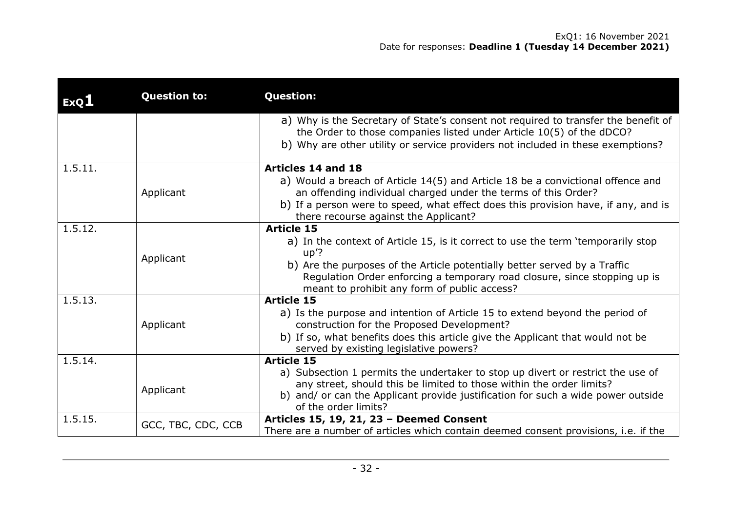| ExQI    | <b>Question to:</b> | <b>Question:</b>                                                                                                                                                                                                                                                                                     |
|---------|---------------------|------------------------------------------------------------------------------------------------------------------------------------------------------------------------------------------------------------------------------------------------------------------------------------------------------|
|         |                     | a) Why is the Secretary of State's consent not required to transfer the benefit of<br>the Order to those companies listed under Article 10(5) of the dDCO?<br>b) Why are other utility or service providers not included in these exemptions?                                                        |
| 1.5.11. |                     | Articles 14 and 18                                                                                                                                                                                                                                                                                   |
|         | Applicant           | a) Would a breach of Article 14(5) and Article 18 be a convictional offence and<br>an offending individual charged under the terms of this Order?<br>b) If a person were to speed, what effect does this provision have, if any, and is<br>there recourse against the Applicant?                     |
| 1.5.12. |                     | <b>Article 15</b>                                                                                                                                                                                                                                                                                    |
|         | Applicant           | a) In the context of Article 15, is it correct to use the term 'temporarily stop<br>$up$ ?<br>b) Are the purposes of the Article potentially better served by a Traffic<br>Regulation Order enforcing a temporary road closure, since stopping up is<br>meant to prohibit any form of public access? |
| 1.5.13. | Applicant           | <b>Article 15</b><br>a) Is the purpose and intention of Article 15 to extend beyond the period of<br>construction for the Proposed Development?<br>b) If so, what benefits does this article give the Applicant that would not be<br>served by existing legislative powers?                          |
| 1.5.14. |                     | <b>Article 15</b>                                                                                                                                                                                                                                                                                    |
|         | Applicant           | a) Subsection 1 permits the undertaker to stop up divert or restrict the use of<br>any street, should this be limited to those within the order limits?<br>b) and/ or can the Applicant provide justification for such a wide power outside<br>of the order limits?                                  |
| 1.5.15. | GCC, TBC, CDC, CCB  | Articles 15, 19, 21, 23 - Deemed Consent<br>There are a number of articles which contain deemed consent provisions, i.e. if the                                                                                                                                                                      |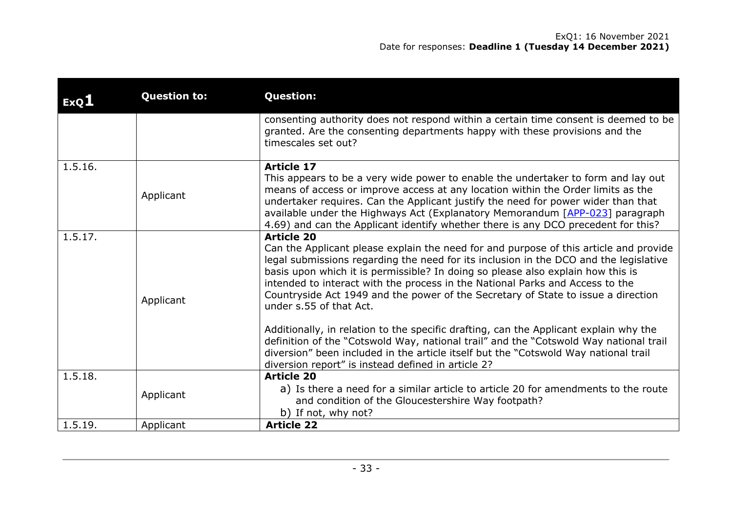| ExQ1    | <b>Question to:</b> | <b>Question:</b>                                                                                                                                                                                                                                                                                                                                                                                                                                                                        |
|---------|---------------------|-----------------------------------------------------------------------------------------------------------------------------------------------------------------------------------------------------------------------------------------------------------------------------------------------------------------------------------------------------------------------------------------------------------------------------------------------------------------------------------------|
|         |                     | consenting authority does not respond within a certain time consent is deemed to be<br>granted. Are the consenting departments happy with these provisions and the<br>timescales set out?                                                                                                                                                                                                                                                                                               |
| 1.5.16. | Applicant           | <b>Article 17</b><br>This appears to be a very wide power to enable the undertaker to form and lay out<br>means of access or improve access at any location within the Order limits as the<br>undertaker requires. Can the Applicant justify the need for power wider than that<br>available under the Highways Act (Explanatory Memorandum [APP-023] paragraph<br>4.69) and can the Applicant identify whether there is any DCO precedent for this?                                    |
| 1.5.17. | Applicant           | <b>Article 20</b><br>Can the Applicant please explain the need for and purpose of this article and provide<br>legal submissions regarding the need for its inclusion in the DCO and the legislative<br>basis upon which it is permissible? In doing so please also explain how this is<br>intended to interact with the process in the National Parks and Access to the<br>Countryside Act 1949 and the power of the Secretary of State to issue a direction<br>under s.55 of that Act. |
|         |                     | Additionally, in relation to the specific drafting, can the Applicant explain why the<br>definition of the "Cotswold Way, national trail" and the "Cotswold Way national trail<br>diversion" been included in the article itself but the "Cotswold Way national trail<br>diversion report" is instead defined in article 2?                                                                                                                                                             |
| 1.5.18. | Applicant           | <b>Article 20</b><br>a) Is there a need for a similar article to article 20 for amendments to the route<br>and condition of the Gloucestershire Way footpath?<br>b) If not, why not?                                                                                                                                                                                                                                                                                                    |
| 1.5.19. | Applicant           | <b>Article 22</b>                                                                                                                                                                                                                                                                                                                                                                                                                                                                       |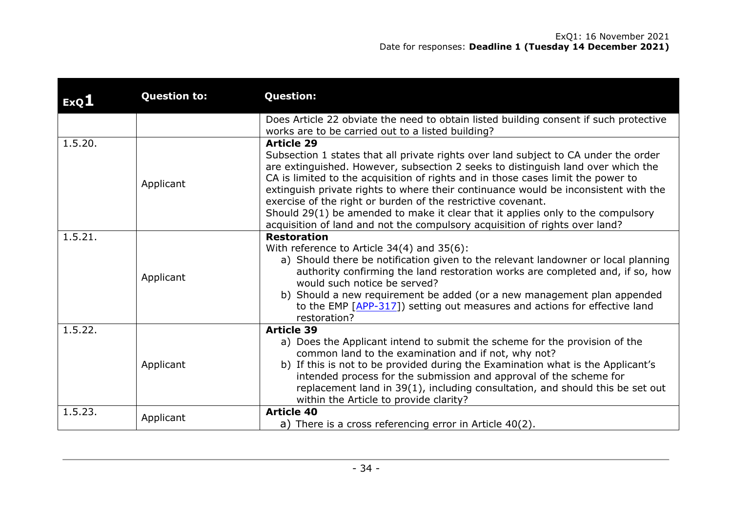| ExQ1    | <b>Question to:</b> | <b>Question:</b>                                                                                                                                                                                                                                                                                                                                                                                                                                                                                                                                                                                          |
|---------|---------------------|-----------------------------------------------------------------------------------------------------------------------------------------------------------------------------------------------------------------------------------------------------------------------------------------------------------------------------------------------------------------------------------------------------------------------------------------------------------------------------------------------------------------------------------------------------------------------------------------------------------|
|         |                     | Does Article 22 obviate the need to obtain listed building consent if such protective<br>works are to be carried out to a listed building?                                                                                                                                                                                                                                                                                                                                                                                                                                                                |
| 1.5.20. | Applicant           | <b>Article 29</b><br>Subsection 1 states that all private rights over land subject to CA under the order<br>are extinguished. However, subsection 2 seeks to distinguish land over which the<br>CA is limited to the acquisition of rights and in those cases limit the power to<br>extinguish private rights to where their continuance would be inconsistent with the<br>exercise of the right or burden of the restrictive covenant.<br>Should 29(1) be amended to make it clear that it applies only to the compulsory<br>acquisition of land and not the compulsory acquisition of rights over land? |
| 1.5.21. | Applicant           | <b>Restoration</b><br>With reference to Article $34(4)$ and $35(6)$ :<br>a) Should there be notification given to the relevant landowner or local planning<br>authority confirming the land restoration works are completed and, if so, how<br>would such notice be served?<br>b) Should a new requirement be added (or a new management plan appended<br>to the EMP [APP-317]) setting out measures and actions for effective land<br>restoration?                                                                                                                                                       |
| 1.5.22. | Applicant           | <b>Article 39</b><br>a) Does the Applicant intend to submit the scheme for the provision of the<br>common land to the examination and if not, why not?<br>b) If this is not to be provided during the Examination what is the Applicant's<br>intended process for the submission and approval of the scheme for<br>replacement land in 39(1), including consultation, and should this be set out<br>within the Article to provide clarity?                                                                                                                                                                |
| 1.5.23. | Applicant           | <b>Article 40</b><br>a) There is a cross referencing error in Article 40(2).                                                                                                                                                                                                                                                                                                                                                                                                                                                                                                                              |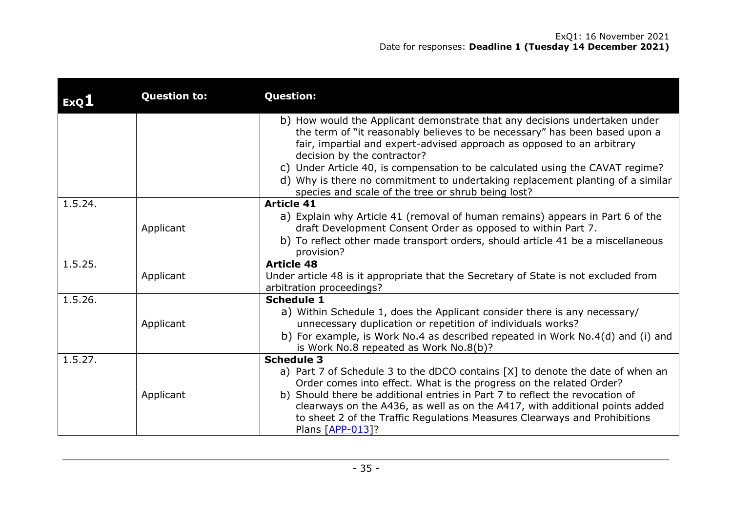| ExQ1    | <b>Question to:</b> | <b>Question:</b>                                                                                                                                                                                                                                                                                                                                                                                                                           |
|---------|---------------------|--------------------------------------------------------------------------------------------------------------------------------------------------------------------------------------------------------------------------------------------------------------------------------------------------------------------------------------------------------------------------------------------------------------------------------------------|
|         |                     | b) How would the Applicant demonstrate that any decisions undertaken under<br>the term of "it reasonably believes to be necessary" has been based upon a<br>fair, impartial and expert-advised approach as opposed to an arbitrary<br>decision by the contractor?                                                                                                                                                                          |
|         |                     | c) Under Article 40, is compensation to be calculated using the CAVAT regime?<br>d) Why is there no commitment to undertaking replacement planting of a similar<br>species and scale of the tree or shrub being lost?                                                                                                                                                                                                                      |
| 1.5.24. | Applicant           | <b>Article 41</b><br>a) Explain why Article 41 (removal of human remains) appears in Part 6 of the<br>draft Development Consent Order as opposed to within Part 7.<br>b) To reflect other made transport orders, should article 41 be a miscellaneous<br>provision?                                                                                                                                                                        |
| 1.5.25. | Applicant           | <b>Article 48</b><br>Under article 48 is it appropriate that the Secretary of State is not excluded from<br>arbitration proceedings?                                                                                                                                                                                                                                                                                                       |
| 1.5.26. | Applicant           | <b>Schedule 1</b><br>a) Within Schedule 1, does the Applicant consider there is any necessary/<br>unnecessary duplication or repetition of individuals works?<br>b) For example, is Work No.4 as described repeated in Work No.4(d) and (i) and<br>is Work No.8 repeated as Work No.8(b)?                                                                                                                                                  |
| 1.5.27. | Applicant           | <b>Schedule 3</b><br>a) Part 7 of Schedule 3 to the dDCO contains [X] to denote the date of when an<br>Order comes into effect. What is the progress on the related Order?<br>b) Should there be additional entries in Part 7 to reflect the revocation of<br>clearways on the A436, as well as on the A417, with additional points added<br>to sheet 2 of the Traffic Regulations Measures Clearways and Prohibitions<br>Plans [APP-013]? |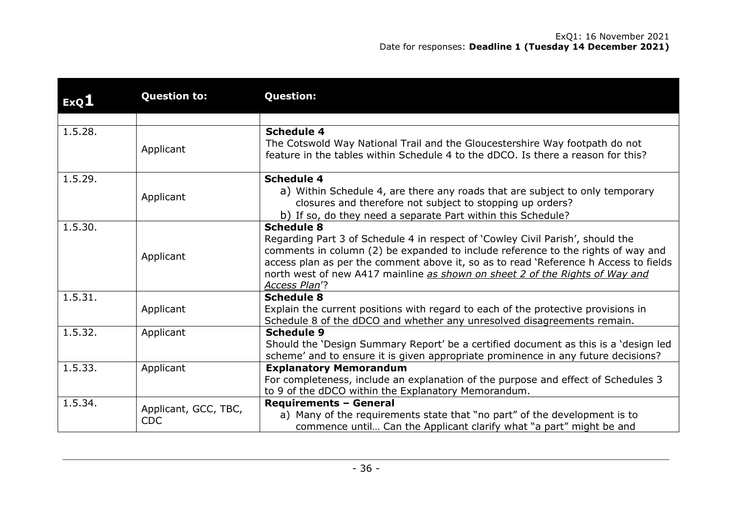| ExQ1    | <b>Question to:</b>                | <b>Question:</b>                                                                                                                                                                                                                                                                                                                                                                 |
|---------|------------------------------------|----------------------------------------------------------------------------------------------------------------------------------------------------------------------------------------------------------------------------------------------------------------------------------------------------------------------------------------------------------------------------------|
|         |                                    |                                                                                                                                                                                                                                                                                                                                                                                  |
| 1.5.28. | Applicant                          | <b>Schedule 4</b><br>The Cotswold Way National Trail and the Gloucestershire Way footpath do not<br>feature in the tables within Schedule 4 to the dDCO. Is there a reason for this?                                                                                                                                                                                             |
| 1.5.29. | Applicant                          | <b>Schedule 4</b><br>a) Within Schedule 4, are there any roads that are subject to only temporary<br>closures and therefore not subject to stopping up orders?<br>b) If so, do they need a separate Part within this Schedule?                                                                                                                                                   |
| 1.5.30. | Applicant                          | <b>Schedule 8</b><br>Regarding Part 3 of Schedule 4 in respect of 'Cowley Civil Parish', should the<br>comments in column (2) be expanded to include reference to the rights of way and<br>access plan as per the comment above it, so as to read 'Reference h Access to fields<br>north west of new A417 mainline as shown on sheet 2 of the Rights of Way and<br>Access Plan'? |
| 1.5.31. | Applicant                          | <b>Schedule 8</b><br>Explain the current positions with regard to each of the protective provisions in<br>Schedule 8 of the dDCO and whether any unresolved disagreements remain.                                                                                                                                                                                                |
| 1.5.32. | Applicant                          | <b>Schedule 9</b><br>Should the 'Design Summary Report' be a certified document as this is a 'design led<br>scheme' and to ensure it is given appropriate prominence in any future decisions?                                                                                                                                                                                    |
| 1.5.33. | Applicant                          | <b>Explanatory Memorandum</b><br>For completeness, include an explanation of the purpose and effect of Schedules 3<br>to 9 of the dDCO within the Explanatory Memorandum.                                                                                                                                                                                                        |
| 1.5.34. | Applicant, GCC, TBC,<br><b>CDC</b> | <b>Requirements - General</b><br>a) Many of the requirements state that "no part" of the development is to<br>commence until Can the Applicant clarify what "a part" might be and                                                                                                                                                                                                |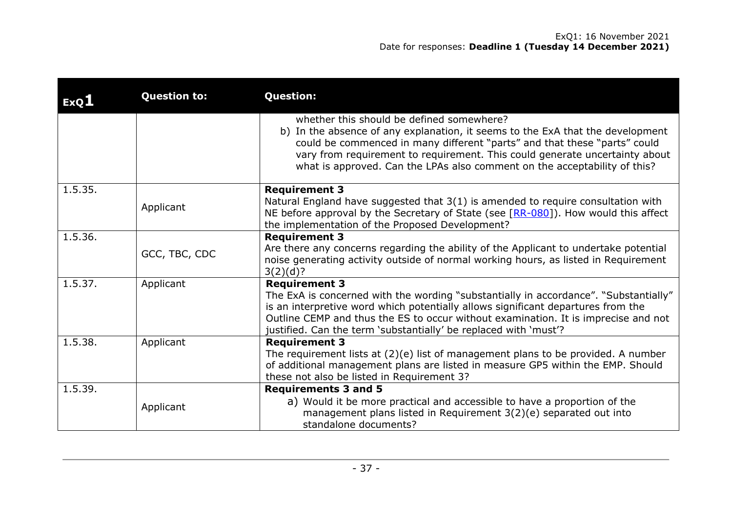| ExQ1    | <b>Question to:</b> | <b>Question:</b>                                                                                                                                                                                                                                                                                                                                                     |
|---------|---------------------|----------------------------------------------------------------------------------------------------------------------------------------------------------------------------------------------------------------------------------------------------------------------------------------------------------------------------------------------------------------------|
|         |                     | whether this should be defined somewhere?<br>b) In the absence of any explanation, it seems to the ExA that the development<br>could be commenced in many different "parts" and that these "parts" could<br>vary from requirement to requirement. This could generate uncertainty about<br>what is approved. Can the LPAs also comment on the acceptability of this? |
| 1.5.35. | Applicant           | <b>Requirement 3</b><br>Natural England have suggested that 3(1) is amended to require consultation with<br>NE before approval by the Secretary of State (see [RR-080]). How would this affect<br>the implementation of the Proposed Development?                                                                                                                    |
| 1.5.36. | GCC, TBC, CDC       | <b>Requirement 3</b><br>Are there any concerns regarding the ability of the Applicant to undertake potential<br>noise generating activity outside of normal working hours, as listed in Requirement<br>3(2)(d)?                                                                                                                                                      |
| 1.5.37. | Applicant           | <b>Requirement 3</b><br>The ExA is concerned with the wording "substantially in accordance". "Substantially"<br>is an interpretive word which potentially allows significant departures from the<br>Outline CEMP and thus the ES to occur without examination. It is imprecise and not<br>justified. Can the term 'substantially' be replaced with 'must'?           |
| 1.5.38. | Applicant           | <b>Requirement 3</b><br>The requirement lists at $(2)(e)$ list of management plans to be provided. A number<br>of additional management plans are listed in measure GP5 within the EMP. Should<br>these not also be listed in Requirement 3?                                                                                                                         |
| 1.5.39. | Applicant           | <b>Requirements 3 and 5</b><br>a) Would it be more practical and accessible to have a proportion of the<br>management plans listed in Requirement $3(2)(e)$ separated out into<br>standalone documents?                                                                                                                                                              |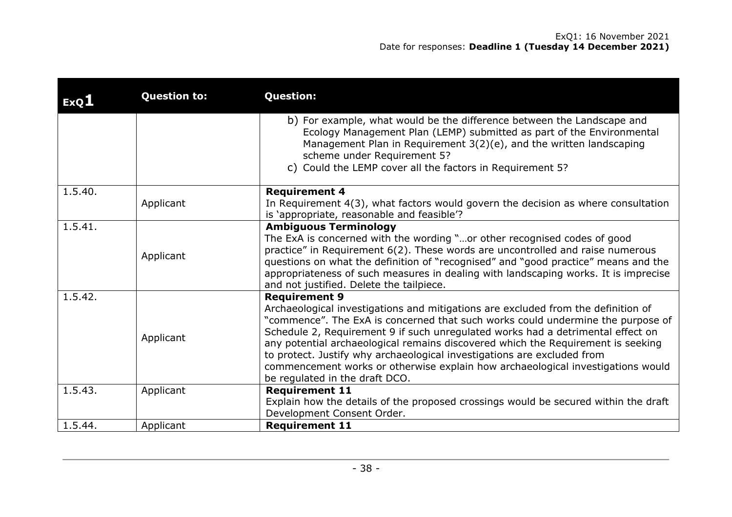| ExQ1    | <b>Question to:</b> | <b>Question:</b>                                                                                                                                                                                                                                                                                                                                                                                                                                                                                                                                                    |
|---------|---------------------|---------------------------------------------------------------------------------------------------------------------------------------------------------------------------------------------------------------------------------------------------------------------------------------------------------------------------------------------------------------------------------------------------------------------------------------------------------------------------------------------------------------------------------------------------------------------|
|         |                     | b) For example, what would be the difference between the Landscape and<br>Ecology Management Plan (LEMP) submitted as part of the Environmental<br>Management Plan in Requirement 3(2)(e), and the written landscaping<br>scheme under Requirement 5?                                                                                                                                                                                                                                                                                                               |
|         |                     | c) Could the LEMP cover all the factors in Requirement 5?                                                                                                                                                                                                                                                                                                                                                                                                                                                                                                           |
| 1.5.40. |                     | <b>Requirement 4</b>                                                                                                                                                                                                                                                                                                                                                                                                                                                                                                                                                |
|         | Applicant           | In Requirement $4(3)$ , what factors would govern the decision as where consultation<br>is 'appropriate, reasonable and feasible'?                                                                                                                                                                                                                                                                                                                                                                                                                                  |
| 1.5.41. |                     | <b>Ambiguous Terminology</b>                                                                                                                                                                                                                                                                                                                                                                                                                                                                                                                                        |
|         | Applicant           | The ExA is concerned with the wording "or other recognised codes of good<br>practice" in Requirement 6(2). These words are uncontrolled and raise numerous<br>questions on what the definition of "recognised" and "good practice" means and the<br>appropriateness of such measures in dealing with landscaping works. It is imprecise<br>and not justified. Delete the tailpiece.                                                                                                                                                                                 |
| 1.5.42. | Applicant           | <b>Requirement 9</b><br>Archaeological investigations and mitigations are excluded from the definition of<br>"commence". The ExA is concerned that such works could undermine the purpose of<br>Schedule 2, Requirement 9 if such unregulated works had a detrimental effect on<br>any potential archaeological remains discovered which the Requirement is seeking<br>to protect. Justify why archaeological investigations are excluded from<br>commencement works or otherwise explain how archaeological investigations would<br>be regulated in the draft DCO. |
| 1.5.43. | Applicant           | <b>Requirement 11</b><br>Explain how the details of the proposed crossings would be secured within the draft<br>Development Consent Order.                                                                                                                                                                                                                                                                                                                                                                                                                          |
| 1.5.44. | Applicant           | <b>Requirement 11</b>                                                                                                                                                                                                                                                                                                                                                                                                                                                                                                                                               |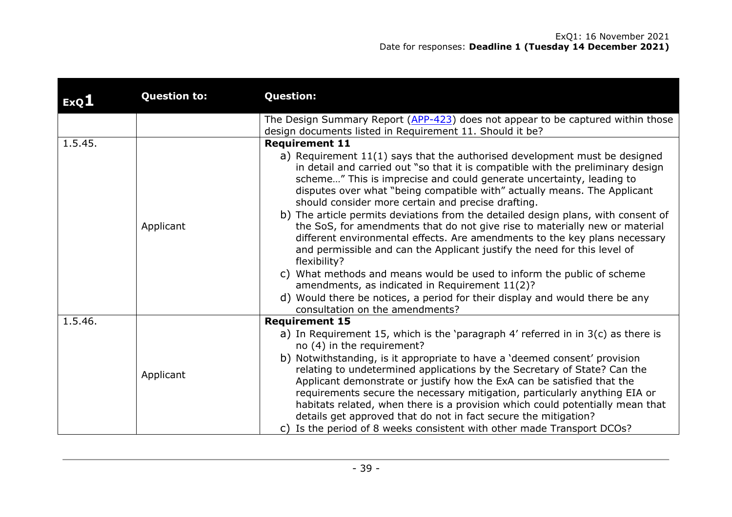| ExQ1    | <b>Question to:</b> | <b>Question:</b>                                                                                                                                                                                                                                                                                                                                                                                                                                                                                                                                                                                                                                                                                                                                                                                                                                                                                                                                                                                 |
|---------|---------------------|--------------------------------------------------------------------------------------------------------------------------------------------------------------------------------------------------------------------------------------------------------------------------------------------------------------------------------------------------------------------------------------------------------------------------------------------------------------------------------------------------------------------------------------------------------------------------------------------------------------------------------------------------------------------------------------------------------------------------------------------------------------------------------------------------------------------------------------------------------------------------------------------------------------------------------------------------------------------------------------------------|
|         |                     | The Design Summary Report (APP-423) does not appear to be captured within those<br>design documents listed in Requirement 11. Should it be?                                                                                                                                                                                                                                                                                                                                                                                                                                                                                                                                                                                                                                                                                                                                                                                                                                                      |
| 1.5.45. | Applicant           | <b>Requirement 11</b><br>a) Requirement 11(1) says that the authorised development must be designed<br>in detail and carried out "so that it is compatible with the preliminary design<br>scheme" This is imprecise and could generate uncertainty, leading to<br>disputes over what "being compatible with" actually means. The Applicant<br>should consider more certain and precise drafting.<br>b) The article permits deviations from the detailed design plans, with consent of<br>the SoS, for amendments that do not give rise to materially new or material<br>different environmental effects. Are amendments to the key plans necessary<br>and permissible and can the Applicant justify the need for this level of<br>flexibility?<br>What methods and means would be used to inform the public of scheme<br>C)<br>amendments, as indicated in Requirement 11(2)?<br>d) Would there be notices, a period for their display and would there be any<br>consultation on the amendments? |
| 1.5.46. | Applicant           | <b>Requirement 15</b><br>a) In Requirement 15, which is the 'paragraph $4'$ referred in in $3(c)$ as there is<br>no (4) in the requirement?<br>b) Notwithstanding, is it appropriate to have a 'deemed consent' provision<br>relating to undetermined applications by the Secretary of State? Can the<br>Applicant demonstrate or justify how the ExA can be satisfied that the<br>requirements secure the necessary mitigation, particularly anything EIA or<br>habitats related, when there is a provision which could potentially mean that<br>details get approved that do not in fact secure the mitigation?<br>c) Is the period of 8 weeks consistent with other made Transport DCOs?                                                                                                                                                                                                                                                                                                      |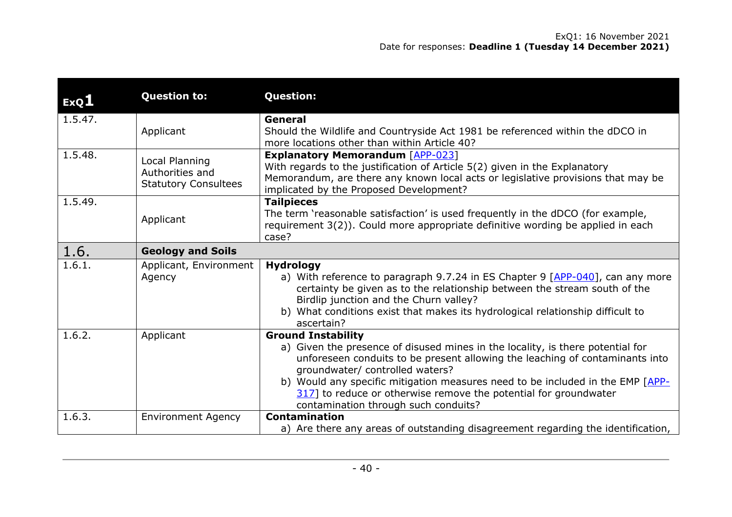| ExQ1    | <b>Question to:</b>                                              | <b>Question:</b>                                                                                                                                                                                                                                                                                                                                                                                                             |
|---------|------------------------------------------------------------------|------------------------------------------------------------------------------------------------------------------------------------------------------------------------------------------------------------------------------------------------------------------------------------------------------------------------------------------------------------------------------------------------------------------------------|
| 1.5.47. | Applicant                                                        | General<br>Should the Wildlife and Countryside Act 1981 be referenced within the dDCO in<br>more locations other than within Article 40?                                                                                                                                                                                                                                                                                     |
| 1.5.48. | Local Planning<br>Authorities and<br><b>Statutory Consultees</b> | <b>Explanatory Memorandum [APP-023]</b><br>With regards to the justification of Article 5(2) given in the Explanatory<br>Memorandum, are there any known local acts or legislative provisions that may be<br>implicated by the Proposed Development?                                                                                                                                                                         |
| 1.5.49. | Applicant                                                        | <b>Tailpieces</b><br>The term 'reasonable satisfaction' is used frequently in the dDCO (for example,<br>requirement 3(2)). Could more appropriate definitive wording be applied in each<br>case?                                                                                                                                                                                                                             |
| 1.6.    | <b>Geology and Soils</b>                                         |                                                                                                                                                                                                                                                                                                                                                                                                                              |
| 1.6.1.  | Applicant, Environment<br>Agency                                 | <b>Hydrology</b><br>a) With reference to paragraph 9.7.24 in ES Chapter 9 [APP-040], can any more<br>certainty be given as to the relationship between the stream south of the<br>Birdlip junction and the Churn valley?<br>b) What conditions exist that makes its hydrological relationship difficult to<br>ascertain?                                                                                                     |
| 1.6.2.  | Applicant                                                        | <b>Ground Instability</b><br>a) Given the presence of disused mines in the locality, is there potential for<br>unforeseen conduits to be present allowing the leaching of contaminants into<br>groundwater/ controlled waters?<br>b) Would any specific mitigation measures need to be included in the EMP [APP-<br>317] to reduce or otherwise remove the potential for groundwater<br>contamination through such conduits? |
| 1.6.3.  | <b>Environment Agency</b>                                        | <b>Contamination</b>                                                                                                                                                                                                                                                                                                                                                                                                         |
|         |                                                                  | a) Are there any areas of outstanding disagreement regarding the identification,                                                                                                                                                                                                                                                                                                                                             |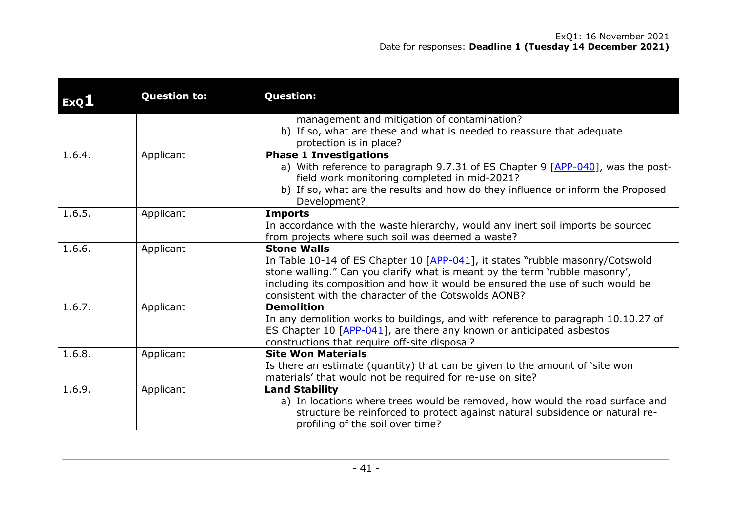| ExQ1   | <b>Question to:</b> | <b>Question:</b>                                                                                                                                                                                                                                                                                                             |
|--------|---------------------|------------------------------------------------------------------------------------------------------------------------------------------------------------------------------------------------------------------------------------------------------------------------------------------------------------------------------|
|        |                     | management and mitigation of contamination?<br>b) If so, what are these and what is needed to reassure that adequate<br>protection is in place?                                                                                                                                                                              |
| 1.6.4. | Applicant           | <b>Phase 1 Investigations</b><br>a) With reference to paragraph 9.7.31 of ES Chapter 9 [APP-040], was the post-<br>field work monitoring completed in mid-2021?<br>b) If so, what are the results and how do they influence or inform the Proposed<br>Development?                                                           |
| 1.6.5. | Applicant           | <b>Imports</b><br>In accordance with the waste hierarchy, would any inert soil imports be sourced<br>from projects where such soil was deemed a waste?                                                                                                                                                                       |
| 1.6.6. | Applicant           | <b>Stone Walls</b><br>In Table 10-14 of ES Chapter 10 [APP-041], it states "rubble masonry/Cotswold<br>stone walling." Can you clarify what is meant by the term 'rubble masonry',<br>including its composition and how it would be ensured the use of such would be<br>consistent with the character of the Cotswolds AONB? |
| 1.6.7. | Applicant           | <b>Demolition</b><br>In any demolition works to buildings, and with reference to paragraph 10.10.27 of<br>ES Chapter 10 [APP-041], are there any known or anticipated asbestos<br>constructions that require off-site disposal?                                                                                              |
| 1.6.8. | Applicant           | <b>Site Won Materials</b><br>Is there an estimate (quantity) that can be given to the amount of 'site won<br>materials' that would not be required for re-use on site?                                                                                                                                                       |
| 1.6.9. | Applicant           | <b>Land Stability</b><br>a) In locations where trees would be removed, how would the road surface and<br>structure be reinforced to protect against natural subsidence or natural re-<br>profiling of the soil over time?                                                                                                    |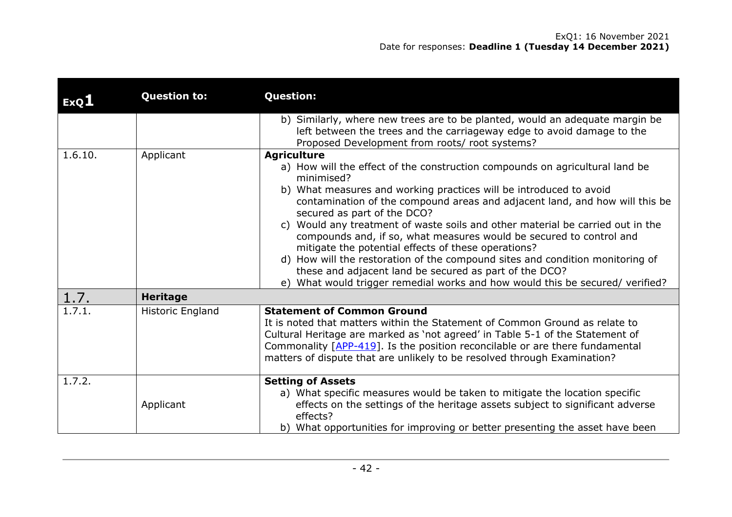| ExQ1    | <b>Question to:</b> | <b>Question:</b>                                                                                                                                                                                                                                                                                                                                                                                                                                                                                                                                                                                                                                                                                                                                   |
|---------|---------------------|----------------------------------------------------------------------------------------------------------------------------------------------------------------------------------------------------------------------------------------------------------------------------------------------------------------------------------------------------------------------------------------------------------------------------------------------------------------------------------------------------------------------------------------------------------------------------------------------------------------------------------------------------------------------------------------------------------------------------------------------------|
|         |                     | b) Similarly, where new trees are to be planted, would an adequate margin be<br>left between the trees and the carriageway edge to avoid damage to the<br>Proposed Development from roots/ root systems?                                                                                                                                                                                                                                                                                                                                                                                                                                                                                                                                           |
| 1.6.10. | Applicant           | <b>Agriculture</b><br>a) How will the effect of the construction compounds on agricultural land be<br>minimised?<br>b) What measures and working practices will be introduced to avoid<br>contamination of the compound areas and adjacent land, and how will this be<br>secured as part of the DCO?<br>Would any treatment of waste soils and other material be carried out in the<br>C)<br>compounds and, if so, what measures would be secured to control and<br>mitigate the potential effects of these operations?<br>d) How will the restoration of the compound sites and condition monitoring of<br>these and adjacent land be secured as part of the DCO?<br>e) What would trigger remedial works and how would this be secured/verified? |
| 1.7.    | <b>Heritage</b>     |                                                                                                                                                                                                                                                                                                                                                                                                                                                                                                                                                                                                                                                                                                                                                    |
| 1.7.1.  | Historic England    | <b>Statement of Common Ground</b><br>It is noted that matters within the Statement of Common Ground as relate to<br>Cultural Heritage are marked as 'not agreed' in Table 5-1 of the Statement of<br>Commonality $[APP-419]$ . Is the position reconcilable or are there fundamental<br>matters of dispute that are unlikely to be resolved through Examination?                                                                                                                                                                                                                                                                                                                                                                                   |
| 1.7.2.  | Applicant           | <b>Setting of Assets</b><br>a) What specific measures would be taken to mitigate the location specific<br>effects on the settings of the heritage assets subject to significant adverse<br>effects?<br>b) What opportunities for improving or better presenting the asset have been                                                                                                                                                                                                                                                                                                                                                                                                                                                                |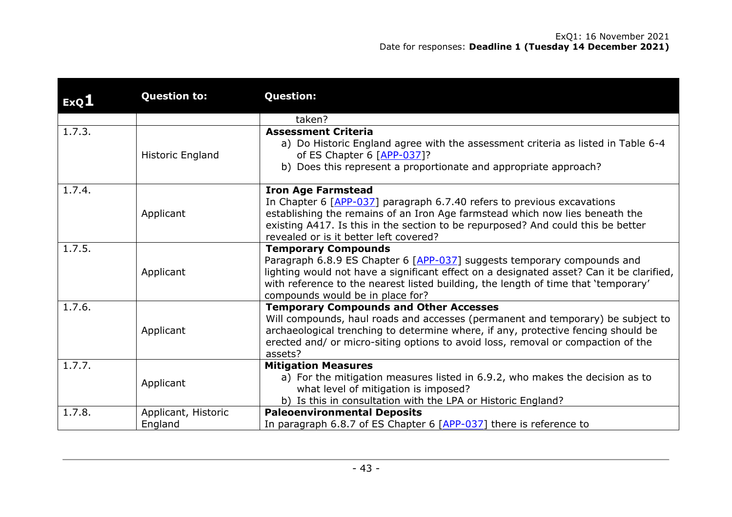| ExQ1   | <b>Question to:</b>            | <b>Question:</b>                                                                                                                                                                                                                                                                                                            |
|--------|--------------------------------|-----------------------------------------------------------------------------------------------------------------------------------------------------------------------------------------------------------------------------------------------------------------------------------------------------------------------------|
|        |                                | taken?                                                                                                                                                                                                                                                                                                                      |
| 1.7.3. | Historic England               | <b>Assessment Criteria</b><br>a) Do Historic England agree with the assessment criteria as listed in Table 6-4<br>of ES Chapter 6 [APP-037]?<br>b) Does this represent a proportionate and appropriate approach?                                                                                                            |
| 1.7.4. | Applicant                      | <b>Iron Age Farmstead</b><br>In Chapter 6 [APP-037] paragraph 6.7.40 refers to previous excavations<br>establishing the remains of an Iron Age farmstead which now lies beneath the<br>existing A417. Is this in the section to be repurposed? And could this be better<br>revealed or is it better left covered?           |
| 1.7.5. | Applicant                      | <b>Temporary Compounds</b><br>Paragraph 6.8.9 ES Chapter 6 [APP-037] suggests temporary compounds and<br>lighting would not have a significant effect on a designated asset? Can it be clarified,<br>with reference to the nearest listed building, the length of time that 'temporary'<br>compounds would be in place for? |
| 1.7.6. | Applicant                      | <b>Temporary Compounds and Other Accesses</b><br>Will compounds, haul roads and accesses (permanent and temporary) be subject to<br>archaeological trenching to determine where, if any, protective fencing should be<br>erected and/ or micro-siting options to avoid loss, removal or compaction of the<br>assets?        |
| 1.7.7. | Applicant                      | <b>Mitigation Measures</b><br>a) For the mitigation measures listed in 6.9.2, who makes the decision as to<br>what level of mitigation is imposed?<br>b) Is this in consultation with the LPA or Historic England?                                                                                                          |
| 1.7.8. | Applicant, Historic<br>England | <b>Paleoenvironmental Deposits</b><br>In paragraph 6.8.7 of ES Chapter 6 [APP-037] there is reference to                                                                                                                                                                                                                    |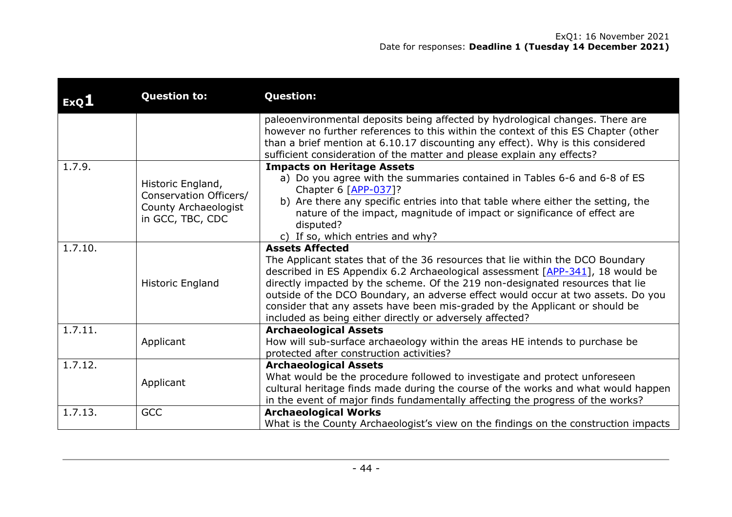| ExQ1    | <b>Question to:</b>                                                                     | <b>Question:</b>                                                                                                                                                                                                                                                                                                                                                                                                                                                                                          |
|---------|-----------------------------------------------------------------------------------------|-----------------------------------------------------------------------------------------------------------------------------------------------------------------------------------------------------------------------------------------------------------------------------------------------------------------------------------------------------------------------------------------------------------------------------------------------------------------------------------------------------------|
|         |                                                                                         | paleoenvironmental deposits being affected by hydrological changes. There are<br>however no further references to this within the context of this ES Chapter (other<br>than a brief mention at 6.10.17 discounting any effect). Why is this considered<br>sufficient consideration of the matter and please explain any effects?                                                                                                                                                                          |
| 1.7.9.  | Historic England,<br>Conservation Officers/<br>County Archaeologist<br>in GCC, TBC, CDC | <b>Impacts on Heritage Assets</b><br>a) Do you agree with the summaries contained in Tables 6-6 and 6-8 of ES<br>Chapter 6 [APP-037]?<br>b) Are there any specific entries into that table where either the setting, the<br>nature of the impact, magnitude of impact or significance of effect are<br>disputed?<br>c) If so, which entries and why?                                                                                                                                                      |
| 1.7.10. | Historic England                                                                        | <b>Assets Affected</b><br>The Applicant states that of the 36 resources that lie within the DCO Boundary<br>described in ES Appendix 6.2 Archaeological assessment [APP-341], 18 would be<br>directly impacted by the scheme. Of the 219 non-designated resources that lie<br>outside of the DCO Boundary, an adverse effect would occur at two assets. Do you<br>consider that any assets have been mis-graded by the Applicant or should be<br>included as being either directly or adversely affected? |
| 1.7.11. | Applicant                                                                               | <b>Archaeological Assets</b><br>How will sub-surface archaeology within the areas HE intends to purchase be<br>protected after construction activities?                                                                                                                                                                                                                                                                                                                                                   |
| 1.7.12. | Applicant                                                                               | <b>Archaeological Assets</b><br>What would be the procedure followed to investigate and protect unforeseen<br>cultural heritage finds made during the course of the works and what would happen<br>in the event of major finds fundamentally affecting the progress of the works?                                                                                                                                                                                                                         |
| 1.7.13. | <b>GCC</b>                                                                              | <b>Archaeological Works</b><br>What is the County Archaeologist's view on the findings on the construction impacts                                                                                                                                                                                                                                                                                                                                                                                        |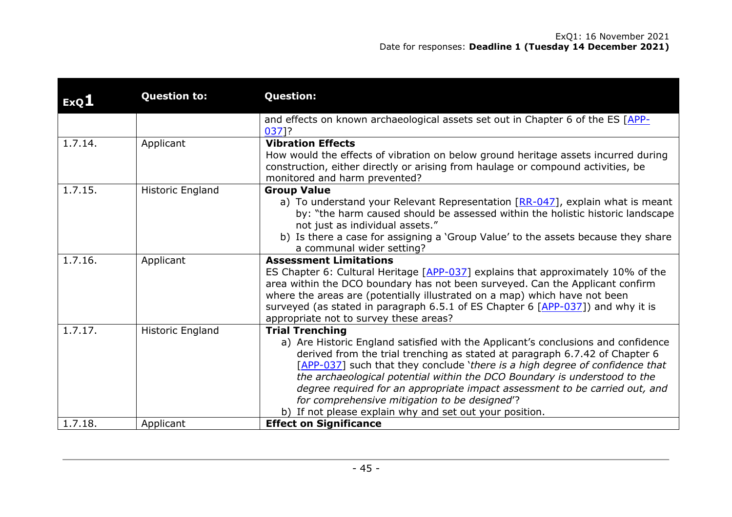| ExQ1    | <b>Question to:</b> | <b>Question:</b>                                                                                                                                                                                                                                                                                                                                                                                                                                                                                                                                   |
|---------|---------------------|----------------------------------------------------------------------------------------------------------------------------------------------------------------------------------------------------------------------------------------------------------------------------------------------------------------------------------------------------------------------------------------------------------------------------------------------------------------------------------------------------------------------------------------------------|
|         |                     | and effects on known archaeological assets set out in Chapter 6 of the ES [APP-<br>0371?                                                                                                                                                                                                                                                                                                                                                                                                                                                           |
| 1.7.14. | Applicant           | <b>Vibration Effects</b><br>How would the effects of vibration on below ground heritage assets incurred during<br>construction, either directly or arising from haulage or compound activities, be<br>monitored and harm prevented?                                                                                                                                                                                                                                                                                                                |
| 1.7.15. | Historic England    | <b>Group Value</b><br>a) To understand your Relevant Representation [RR-047], explain what is meant<br>by: "the harm caused should be assessed within the holistic historic landscape<br>not just as individual assets."<br>b) Is there a case for assigning a 'Group Value' to the assets because they share<br>a communal wider setting?                                                                                                                                                                                                         |
| 1.7.16. | Applicant           | <b>Assessment Limitations</b><br>ES Chapter 6: Cultural Heritage [APP-037] explains that approximately 10% of the<br>area within the DCO boundary has not been surveyed. Can the Applicant confirm<br>where the areas are (potentially illustrated on a map) which have not been<br>surveyed (as stated in paragraph 6.5.1 of ES Chapter 6 [APP-037]) and why it is<br>appropriate not to survey these areas?                                                                                                                                      |
| 1.7.17. | Historic England    | <b>Trial Trenching</b><br>a) Are Historic England satisfied with the Applicant's conclusions and confidence<br>derived from the trial trenching as stated at paragraph 6.7.42 of Chapter 6<br>[APP-037] such that they conclude 'there is a high degree of confidence that<br>the archaeological potential within the DCO Boundary is understood to the<br>degree required for an appropriate impact assessment to be carried out, and<br>for comprehensive mitigation to be designed'?<br>b) If not please explain why and set out your position. |
| 1.7.18. | Applicant           | <b>Effect on Significance</b>                                                                                                                                                                                                                                                                                                                                                                                                                                                                                                                      |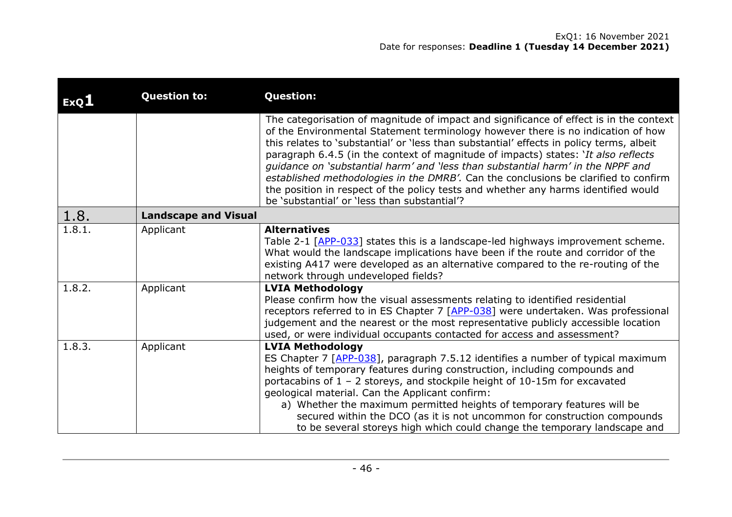| ExQI   | <b>Question to:</b>         | <b>Question:</b>                                                                                                                                                                                                                                                                                                                                                                                                                                                                                                                                                                                                                                                             |
|--------|-----------------------------|------------------------------------------------------------------------------------------------------------------------------------------------------------------------------------------------------------------------------------------------------------------------------------------------------------------------------------------------------------------------------------------------------------------------------------------------------------------------------------------------------------------------------------------------------------------------------------------------------------------------------------------------------------------------------|
|        |                             | The categorisation of magnitude of impact and significance of effect is in the context<br>of the Environmental Statement terminology however there is no indication of how<br>this relates to 'substantial' or 'less than substantial' effects in policy terms, albeit<br>paragraph 6.4.5 (in the context of magnitude of impacts) states: 'It also reflects<br>quidance on 'substantial harm' and 'less than substantial harm' in the NPPF and<br>established methodologies in the DMRB'. Can the conclusions be clarified to confirm<br>the position in respect of the policy tests and whether any harms identified would<br>be 'substantial' or 'less than substantial'? |
| 1.8.   | <b>Landscape and Visual</b> |                                                                                                                                                                                                                                                                                                                                                                                                                                                                                                                                                                                                                                                                              |
| 1.8.1. | Applicant                   | <b>Alternatives</b><br>Table 2-1 [APP-033] states this is a landscape-led highways improvement scheme.<br>What would the landscape implications have been if the route and corridor of the<br>existing A417 were developed as an alternative compared to the re-routing of the<br>network through undeveloped fields?                                                                                                                                                                                                                                                                                                                                                        |
| 1.8.2. | Applicant                   | <b>LVIA Methodology</b><br>Please confirm how the visual assessments relating to identified residential<br>receptors referred to in ES Chapter 7 [APP-038] were undertaken. Was professional<br>judgement and the nearest or the most representative publicly accessible location<br>used, or were individual occupants contacted for access and assessment?                                                                                                                                                                                                                                                                                                                 |
| 1.8.3. | Applicant                   | <b>LVIA Methodology</b><br>ES Chapter 7 [APP-038], paragraph 7.5.12 identifies a number of typical maximum<br>heights of temporary features during construction, including compounds and<br>portacabins of 1 - 2 storeys, and stockpile height of 10-15m for excavated<br>geological material. Can the Applicant confirm:<br>a) Whether the maximum permitted heights of temporary features will be<br>secured within the DCO (as it is not uncommon for construction compounds<br>to be several storeys high which could change the temporary landscape and                                                                                                                 |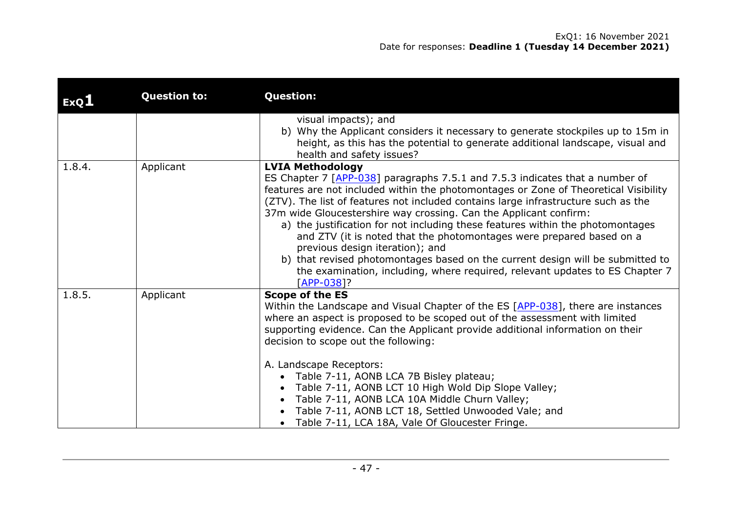| ExQ1   | <b>Question to:</b> | <b>Question:</b>                                                                                                                                                                                                                                                                                                                                                                                                                                                                                                                                                                                                                                                                                                                           |
|--------|---------------------|--------------------------------------------------------------------------------------------------------------------------------------------------------------------------------------------------------------------------------------------------------------------------------------------------------------------------------------------------------------------------------------------------------------------------------------------------------------------------------------------------------------------------------------------------------------------------------------------------------------------------------------------------------------------------------------------------------------------------------------------|
|        |                     | visual impacts); and<br>b) Why the Applicant considers it necessary to generate stockpiles up to 15m in<br>height, as this has the potential to generate additional landscape, visual and<br>health and safety issues?                                                                                                                                                                                                                                                                                                                                                                                                                                                                                                                     |
| 1.8.4. | Applicant           | <b>LVIA Methodology</b><br>ES Chapter 7 [APP-038] paragraphs 7.5.1 and 7.5.3 indicates that a number of<br>features are not included within the photomontages or Zone of Theoretical Visibility<br>(ZTV). The list of features not included contains large infrastructure such as the<br>37m wide Gloucestershire way crossing. Can the Applicant confirm:<br>a) the justification for not including these features within the photomontages<br>and ZTV (it is noted that the photomontages were prepared based on a<br>previous design iteration); and<br>b) that revised photomontages based on the current design will be submitted to<br>the examination, including, where required, relevant updates to ES Chapter 7<br>$[APP-038]$ ? |
| 1.8.5. | Applicant           | <b>Scope of the ES</b><br>Within the Landscape and Visual Chapter of the ES [APP-038], there are instances<br>where an aspect is proposed to be scoped out of the assessment with limited<br>supporting evidence. Can the Applicant provide additional information on their<br>decision to scope out the following:<br>A. Landscape Receptors:<br>• Table 7-11, AONB LCA 7B Bisley plateau;<br>Table 7-11, AONB LCT 10 High Wold Dip Slope Valley;<br>Table 7-11, AONB LCA 10A Middle Churn Valley;<br>Table 7-11, AONB LCT 18, Settled Unwooded Vale; and<br>• Table 7-11, LCA 18A, Vale Of Gloucester Fringe.                                                                                                                            |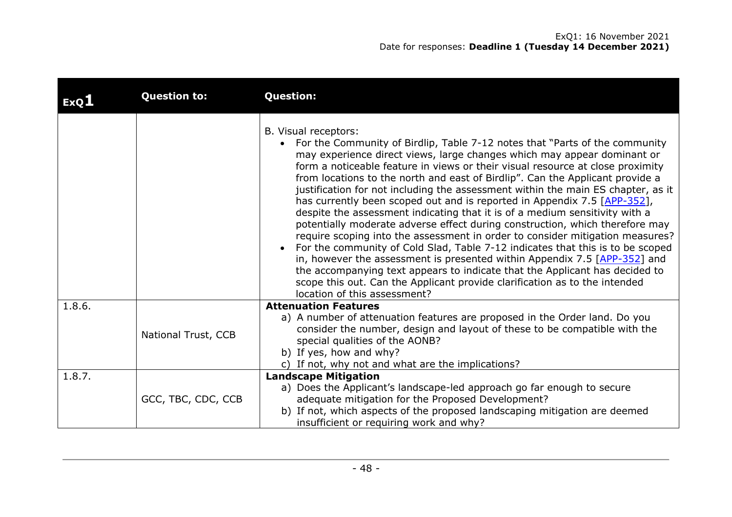### ExQ1: 16 November 2021 Date for responses: **Deadline 1 (Tuesday 14 December 2021)**

| ExQ1   | <b>Question to:</b> | <b>Question:</b>                                                                                                                                                                                                                                                                                                                                                                                                                                                                                                                                                                                                                                                                                                                                                                                                                                                                                                                                                                                                                                                                                                                |
|--------|---------------------|---------------------------------------------------------------------------------------------------------------------------------------------------------------------------------------------------------------------------------------------------------------------------------------------------------------------------------------------------------------------------------------------------------------------------------------------------------------------------------------------------------------------------------------------------------------------------------------------------------------------------------------------------------------------------------------------------------------------------------------------------------------------------------------------------------------------------------------------------------------------------------------------------------------------------------------------------------------------------------------------------------------------------------------------------------------------------------------------------------------------------------|
|        |                     | B. Visual receptors:<br>For the Community of Birdlip, Table 7-12 notes that "Parts of the community<br>may experience direct views, large changes which may appear dominant or<br>form a noticeable feature in views or their visual resource at close proximity<br>from locations to the north and east of Birdlip". Can the Applicant provide a<br>justification for not including the assessment within the main ES chapter, as it<br>has currently been scoped out and is reported in Appendix 7.5 [APP-352],<br>despite the assessment indicating that it is of a medium sensitivity with a<br>potentially moderate adverse effect during construction, which therefore may<br>require scoping into the assessment in order to consider mitigation measures?<br>For the community of Cold Slad, Table 7-12 indicates that this is to be scoped<br>in, however the assessment is presented within Appendix 7.5 $[APP-352]$ and<br>the accompanying text appears to indicate that the Applicant has decided to<br>scope this out. Can the Applicant provide clarification as to the intended<br>location of this assessment? |
| 1.8.6. | National Trust, CCB | <b>Attenuation Features</b><br>a) A number of attenuation features are proposed in the Order land. Do you<br>consider the number, design and layout of these to be compatible with the<br>special qualities of the AONB?<br>b) If yes, how and why?<br>c) If not, why not and what are the implications?                                                                                                                                                                                                                                                                                                                                                                                                                                                                                                                                                                                                                                                                                                                                                                                                                        |
| 1.8.7. | GCC, TBC, CDC, CCB  | <b>Landscape Mitigation</b><br>a) Does the Applicant's landscape-led approach go far enough to secure<br>adequate mitigation for the Proposed Development?<br>b) If not, which aspects of the proposed landscaping mitigation are deemed<br>insufficient or requiring work and why?                                                                                                                                                                                                                                                                                                                                                                                                                                                                                                                                                                                                                                                                                                                                                                                                                                             |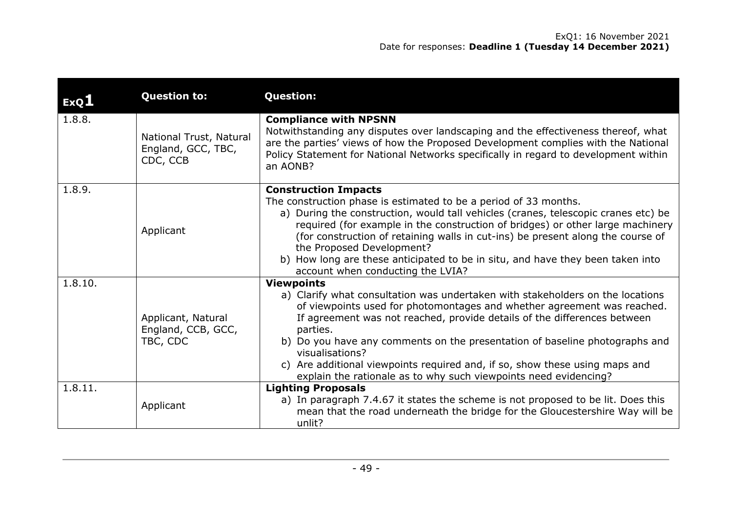| ExQ <sub>1</sub> | <b>Question to:</b>                                       | <b>Question:</b>                                                                                                                                                                                                                                                                                                                                                                                                                                                                                                            |
|------------------|-----------------------------------------------------------|-----------------------------------------------------------------------------------------------------------------------------------------------------------------------------------------------------------------------------------------------------------------------------------------------------------------------------------------------------------------------------------------------------------------------------------------------------------------------------------------------------------------------------|
| 1.8.8.           | National Trust, Natural<br>England, GCC, TBC,<br>CDC, CCB | <b>Compliance with NPSNN</b><br>Notwithstanding any disputes over landscaping and the effectiveness thereof, what<br>are the parties' views of how the Proposed Development complies with the National<br>Policy Statement for National Networks specifically in regard to development within<br>an AONB?                                                                                                                                                                                                                   |
| 1.8.9.           | Applicant                                                 | <b>Construction Impacts</b><br>The construction phase is estimated to be a period of 33 months.<br>a) During the construction, would tall vehicles (cranes, telescopic cranes etc) be<br>required (for example in the construction of bridges) or other large machinery<br>(for construction of retaining walls in cut-ins) be present along the course of<br>the Proposed Development?<br>b) How long are these anticipated to be in situ, and have they been taken into<br>account when conducting the LVIA?              |
| 1.8.10.          | Applicant, Natural<br>England, CCB, GCC,<br>TBC, CDC      | <b>Viewpoints</b><br>a) Clarify what consultation was undertaken with stakeholders on the locations<br>of viewpoints used for photomontages and whether agreement was reached.<br>If agreement was not reached, provide details of the differences between<br>parties.<br>b) Do you have any comments on the presentation of baseline photographs and<br>visualisations?<br>c) Are additional viewpoints required and, if so, show these using maps and<br>explain the rationale as to why such viewpoints need evidencing? |
| 1.8.11.          | Applicant                                                 | <b>Lighting Proposals</b><br>a) In paragraph 7.4.67 it states the scheme is not proposed to be lit. Does this<br>mean that the road underneath the bridge for the Gloucestershire Way will be<br>unlit?                                                                                                                                                                                                                                                                                                                     |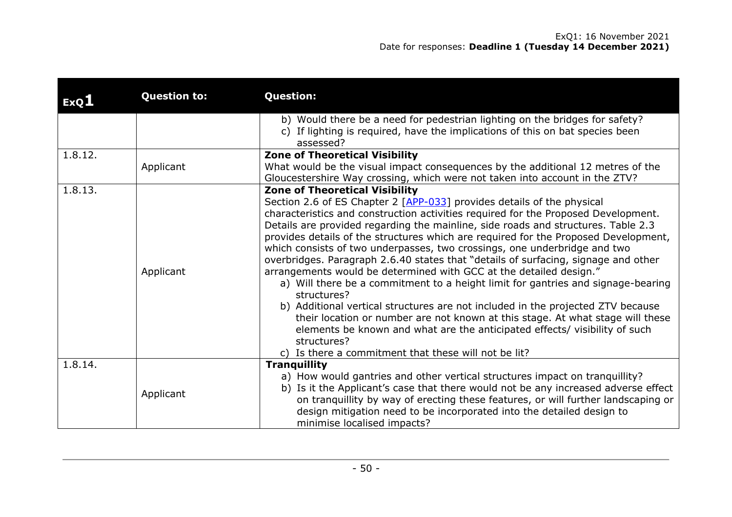| ExQ1    | <b>Question to:</b> | <b>Question:</b>                                                                                                                                                                                                                                                                                                                                                                                                                                                                                                                                                                                                                                                                                                                                                                                                                                                                                                                                                                                                                                        |
|---------|---------------------|---------------------------------------------------------------------------------------------------------------------------------------------------------------------------------------------------------------------------------------------------------------------------------------------------------------------------------------------------------------------------------------------------------------------------------------------------------------------------------------------------------------------------------------------------------------------------------------------------------------------------------------------------------------------------------------------------------------------------------------------------------------------------------------------------------------------------------------------------------------------------------------------------------------------------------------------------------------------------------------------------------------------------------------------------------|
|         |                     | b) Would there be a need for pedestrian lighting on the bridges for safety?<br>c) If lighting is required, have the implications of this on bat species been<br>assessed?                                                                                                                                                                                                                                                                                                                                                                                                                                                                                                                                                                                                                                                                                                                                                                                                                                                                               |
| 1.8.12. | Applicant           | <b>Zone of Theoretical Visibility</b><br>What would be the visual impact consequences by the additional 12 metres of the<br>Gloucestershire Way crossing, which were not taken into account in the ZTV?                                                                                                                                                                                                                                                                                                                                                                                                                                                                                                                                                                                                                                                                                                                                                                                                                                                 |
| 1.8.13. | Applicant           | <b>Zone of Theoretical Visibility</b><br>Section 2.6 of ES Chapter 2 [APP-033] provides details of the physical<br>characteristics and construction activities required for the Proposed Development.<br>Details are provided regarding the mainline, side roads and structures. Table 2.3<br>provides details of the structures which are required for the Proposed Development,<br>which consists of two underpasses, two crossings, one underbridge and two<br>overbridges. Paragraph 2.6.40 states that "details of surfacing, signage and other<br>arrangements would be determined with GCC at the detailed design."<br>a) Will there be a commitment to a height limit for gantries and signage-bearing<br>structures?<br>b) Additional vertical structures are not included in the projected ZTV because<br>their location or number are not known at this stage. At what stage will these<br>elements be known and what are the anticipated effects/ visibility of such<br>structures?<br>c) Is there a commitment that these will not be lit? |
| 1.8.14. | Applicant           | <b>Tranquillity</b><br>a) How would gantries and other vertical structures impact on tranquillity?<br>b) Is it the Applicant's case that there would not be any increased adverse effect<br>on tranquillity by way of erecting these features, or will further landscaping or<br>design mitigation need to be incorporated into the detailed design to<br>minimise localised impacts?                                                                                                                                                                                                                                                                                                                                                                                                                                                                                                                                                                                                                                                                   |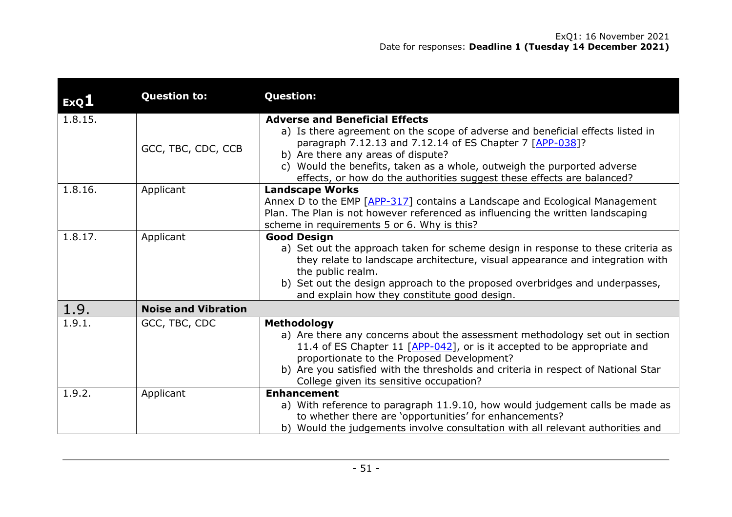| ExQ1    | <b>Question to:</b>        | <b>Question:</b>                                                                                                                                                                                                                                                                                                                                                               |
|---------|----------------------------|--------------------------------------------------------------------------------------------------------------------------------------------------------------------------------------------------------------------------------------------------------------------------------------------------------------------------------------------------------------------------------|
| 1.8.15. | GCC, TBC, CDC, CCB         | <b>Adverse and Beneficial Effects</b><br>a) Is there agreement on the scope of adverse and beneficial effects listed in<br>paragraph 7.12.13 and 7.12.14 of ES Chapter 7 [APP-038]?<br>b) Are there any areas of dispute?<br>c) Would the benefits, taken as a whole, outweigh the purported adverse<br>effects, or how do the authorities suggest these effects are balanced? |
| 1.8.16. | Applicant                  | <b>Landscape Works</b><br>Annex D to the EMP [APP-317] contains a Landscape and Ecological Management<br>Plan. The Plan is not however referenced as influencing the written landscaping<br>scheme in requirements 5 or 6. Why is this?                                                                                                                                        |
| 1.8.17. | Applicant                  | <b>Good Design</b><br>a) Set out the approach taken for scheme design in response to these criteria as<br>they relate to landscape architecture, visual appearance and integration with<br>the public realm.<br>b) Set out the design approach to the proposed overbridges and underpasses,<br>and explain how they constitute good design.                                    |
| 1.9.    | <b>Noise and Vibration</b> |                                                                                                                                                                                                                                                                                                                                                                                |
| 1.9.1.  | GCC, TBC, CDC              | <b>Methodology</b><br>a) Are there any concerns about the assessment methodology set out in section<br>11.4 of ES Chapter 11 [APP-042], or is it accepted to be appropriate and<br>proportionate to the Proposed Development?<br>b) Are you satisfied with the thresholds and criteria in respect of National Star<br>College given its sensitive occupation?                  |
| 1.9.2.  | Applicant                  | <b>Enhancement</b><br>a) With reference to paragraph 11.9.10, how would judgement calls be made as<br>to whether there are 'opportunities' for enhancements?<br>b) Would the judgements involve consultation with all relevant authorities and                                                                                                                                 |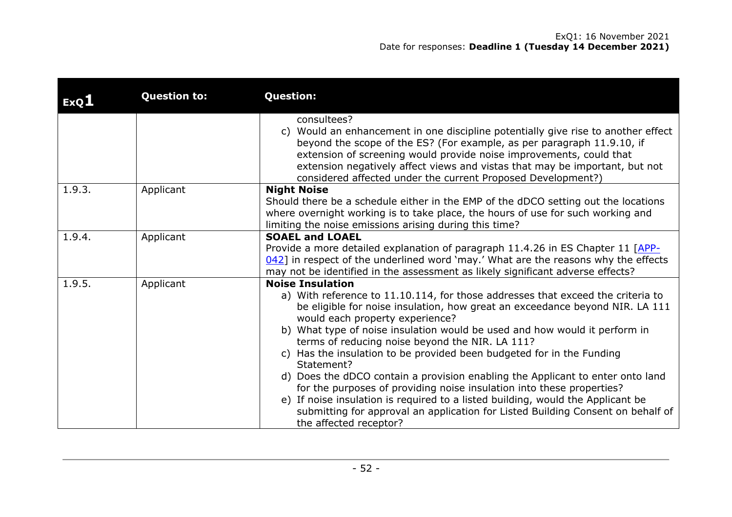| ExQL   | <b>Question to:</b> | <b>Question:</b>                                                                                                                                                                                                                                                                                                                                                                                                                                                                                                                                                                                                                                                                                                                                                                                                 |
|--------|---------------------|------------------------------------------------------------------------------------------------------------------------------------------------------------------------------------------------------------------------------------------------------------------------------------------------------------------------------------------------------------------------------------------------------------------------------------------------------------------------------------------------------------------------------------------------------------------------------------------------------------------------------------------------------------------------------------------------------------------------------------------------------------------------------------------------------------------|
|        |                     | consultees?<br>c) Would an enhancement in one discipline potentially give rise to another effect<br>beyond the scope of the ES? (For example, as per paragraph 11.9.10, if<br>extension of screening would provide noise improvements, could that<br>extension negatively affect views and vistas that may be important, but not<br>considered affected under the current Proposed Development?)                                                                                                                                                                                                                                                                                                                                                                                                                 |
| 1.9.3. | Applicant           | <b>Night Noise</b><br>Should there be a schedule either in the EMP of the dDCO setting out the locations<br>where overnight working is to take place, the hours of use for such working and<br>limiting the noise emissions arising during this time?                                                                                                                                                                                                                                                                                                                                                                                                                                                                                                                                                            |
| 1.9.4. | Applicant           | <b>SOAEL and LOAEL</b><br>Provide a more detailed explanation of paragraph 11.4.26 in ES Chapter 11 [APP-<br>$042$ ] in respect of the underlined word 'may.' What are the reasons why the effects<br>may not be identified in the assessment as likely significant adverse effects?                                                                                                                                                                                                                                                                                                                                                                                                                                                                                                                             |
| 1.9.5. | Applicant           | <b>Noise Insulation</b><br>a) With reference to 11.10.114, for those addresses that exceed the criteria to<br>be eligible for noise insulation, how great an exceedance beyond NIR. LA 111<br>would each property experience?<br>b) What type of noise insulation would be used and how would it perform in<br>terms of reducing noise beyond the NIR. LA 111?<br>c) Has the insulation to be provided been budgeted for in the Funding<br>Statement?<br>d) Does the dDCO contain a provision enabling the Applicant to enter onto land<br>for the purposes of providing noise insulation into these properties?<br>e) If noise insulation is required to a listed building, would the Applicant be<br>submitting for approval an application for Listed Building Consent on behalf of<br>the affected receptor? |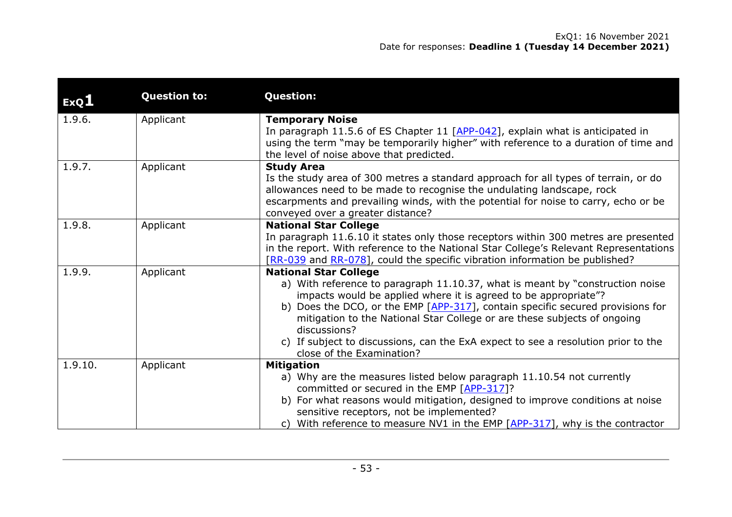| ExQ1    | <b>Question to:</b> | <b>Question:</b>                                                                                                                                                                                                                                                                                                                                                                                                                                                                 |
|---------|---------------------|----------------------------------------------------------------------------------------------------------------------------------------------------------------------------------------------------------------------------------------------------------------------------------------------------------------------------------------------------------------------------------------------------------------------------------------------------------------------------------|
| 1.9.6.  | Applicant           | <b>Temporary Noise</b><br>In paragraph 11.5.6 of ES Chapter 11 [APP-042], explain what is anticipated in<br>using the term "may be temporarily higher" with reference to a duration of time and<br>the level of noise above that predicted.                                                                                                                                                                                                                                      |
| 1.9.7.  | Applicant           | <b>Study Area</b><br>Is the study area of 300 metres a standard approach for all types of terrain, or do<br>allowances need to be made to recognise the undulating landscape, rock<br>escarpments and prevailing winds, with the potential for noise to carry, echo or be<br>conveyed over a greater distance?                                                                                                                                                                   |
| 1.9.8.  | Applicant           | <b>National Star College</b><br>In paragraph 11.6.10 it states only those receptors within 300 metres are presented<br>in the report. With reference to the National Star College's Relevant Representations<br>[RR-039 and RR-078], could the specific vibration information be published?                                                                                                                                                                                      |
| 1.9.9.  | Applicant           | <b>National Star College</b><br>a) With reference to paragraph 11.10.37, what is meant by "construction noise<br>impacts would be applied where it is agreed to be appropriate"?<br>b) Does the DCO, or the EMP [APP-317], contain specific secured provisions for<br>mitigation to the National Star College or are these subjects of ongoing<br>discussions?<br>c) If subject to discussions, can the ExA expect to see a resolution prior to the<br>close of the Examination? |
| 1.9.10. | Applicant           | <b>Mitigation</b><br>a) Why are the measures listed below paragraph 11.10.54 not currently<br>committed or secured in the EMP [APP-317]?<br>b) For what reasons would mitigation, designed to improve conditions at noise<br>sensitive receptors, not be implemented?<br>c) With reference to measure NV1 in the EMP $[APP-317]$ , why is the contractor                                                                                                                         |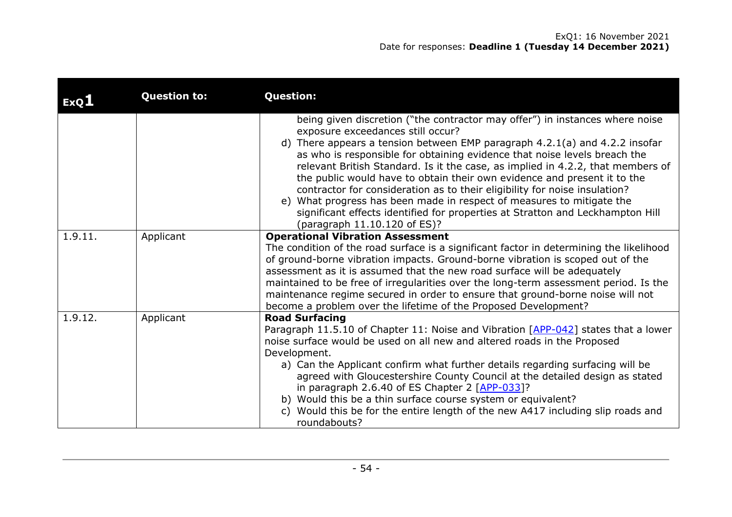| ExQ <sub>1</sub> | <b>Question to:</b> | <b>Question:</b>                                                                                                                                                                                                                                                                                                                                                                                                                                                                                                                                                                                                                                                                                                      |
|------------------|---------------------|-----------------------------------------------------------------------------------------------------------------------------------------------------------------------------------------------------------------------------------------------------------------------------------------------------------------------------------------------------------------------------------------------------------------------------------------------------------------------------------------------------------------------------------------------------------------------------------------------------------------------------------------------------------------------------------------------------------------------|
|                  |                     | being given discretion ("the contractor may offer") in instances where noise<br>exposure exceedances still occur?<br>d) There appears a tension between EMP paragraph 4.2.1(a) and 4.2.2 insofar<br>as who is responsible for obtaining evidence that noise levels breach the<br>relevant British Standard. Is it the case, as implied in 4.2.2, that members of<br>the public would have to obtain their own evidence and present it to the<br>contractor for consideration as to their eligibility for noise insulation?<br>e) What progress has been made in respect of measures to mitigate the<br>significant effects identified for properties at Stratton and Leckhampton Hill<br>(paragraph 11.10.120 of ES)? |
| 1.9.11.          | Applicant           | <b>Operational Vibration Assessment</b><br>The condition of the road surface is a significant factor in determining the likelihood<br>of ground-borne vibration impacts. Ground-borne vibration is scoped out of the<br>assessment as it is assumed that the new road surface will be adequately<br>maintained to be free of irregularities over the long-term assessment period. Is the<br>maintenance regime secured in order to ensure that ground-borne noise will not<br>become a problem over the lifetime of the Proposed Development?                                                                                                                                                                         |
| 1.9.12.          | Applicant           | <b>Road Surfacing</b><br>Paragraph 11.5.10 of Chapter 11: Noise and Vibration [APP-042] states that a lower<br>noise surface would be used on all new and altered roads in the Proposed<br>Development.<br>a) Can the Applicant confirm what further details regarding surfacing will be<br>agreed with Gloucestershire County Council at the detailed design as stated<br>in paragraph 2.6.40 of ES Chapter 2 $[APP-033]$ ?<br>b) Would this be a thin surface course system or equivalent?<br>c) Would this be for the entire length of the new A417 including slip roads and<br>roundabouts?                                                                                                                       |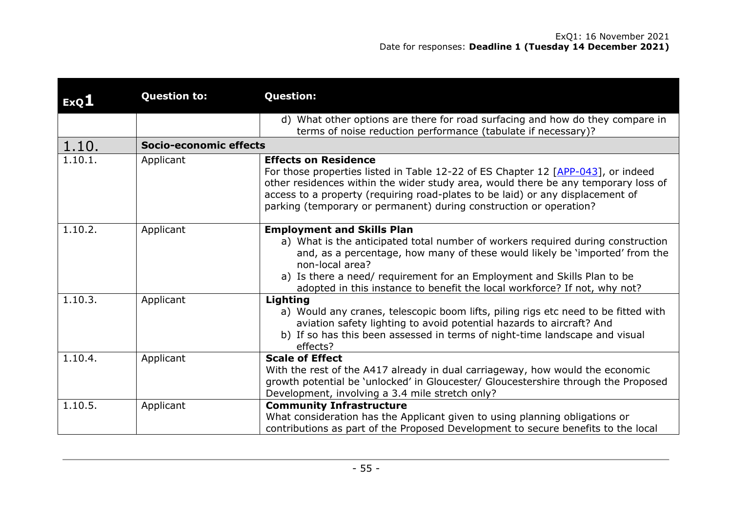| ExQ1    | <b>Question to:</b>    | <b>Question:</b>                                                                                                                                                                                                                                                                                                                                                               |
|---------|------------------------|--------------------------------------------------------------------------------------------------------------------------------------------------------------------------------------------------------------------------------------------------------------------------------------------------------------------------------------------------------------------------------|
|         |                        | d) What other options are there for road surfacing and how do they compare in<br>terms of noise reduction performance (tabulate if necessary)?                                                                                                                                                                                                                                 |
| 1.10.   | Socio-economic effects |                                                                                                                                                                                                                                                                                                                                                                                |
| 1.10.1. | Applicant              | <b>Effects on Residence</b><br>For those properties listed in Table 12-22 of ES Chapter 12 [APP-043], or indeed<br>other residences within the wider study area, would there be any temporary loss of<br>access to a property (requiring road-plates to be laid) or any displacement of<br>parking (temporary or permanent) during construction or operation?                  |
| 1.10.2. | Applicant              | <b>Employment and Skills Plan</b><br>a) What is the anticipated total number of workers required during construction<br>and, as a percentage, how many of these would likely be 'imported' from the<br>non-local area?<br>a) Is there a need/ requirement for an Employment and Skills Plan to be<br>adopted in this instance to benefit the local workforce? If not, why not? |
| 1.10.3. | Applicant              | Lighting<br>a) Would any cranes, telescopic boom lifts, piling rigs etc need to be fitted with<br>aviation safety lighting to avoid potential hazards to aircraft? And<br>b) If so has this been assessed in terms of night-time landscape and visual<br>effects?                                                                                                              |
| 1.10.4. | Applicant              | <b>Scale of Effect</b><br>With the rest of the A417 already in dual carriageway, how would the economic<br>growth potential be 'unlocked' in Gloucester/ Gloucestershire through the Proposed<br>Development, involving a 3.4 mile stretch only?                                                                                                                               |
| 1.10.5. | Applicant              | <b>Community Infrastructure</b><br>What consideration has the Applicant given to using planning obligations or<br>contributions as part of the Proposed Development to secure benefits to the local                                                                                                                                                                            |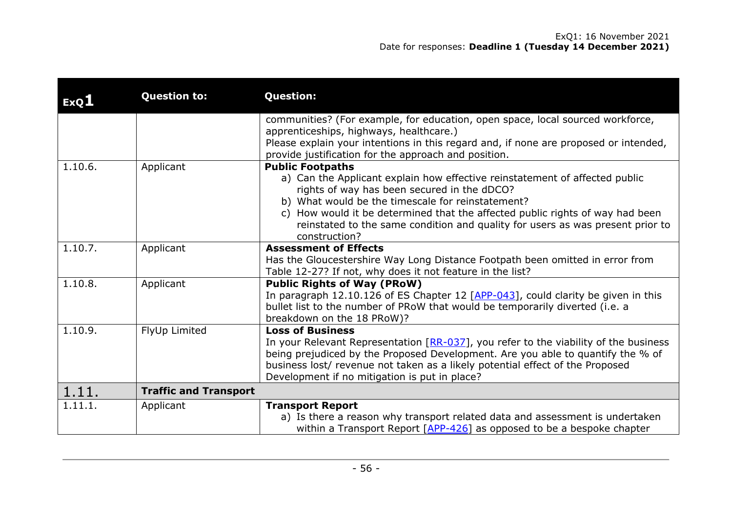| ExQI    | <b>Question to:</b>          | <b>Question:</b>                                                                                                                                                |
|---------|------------------------------|-----------------------------------------------------------------------------------------------------------------------------------------------------------------|
|         |                              | communities? (For example, for education, open space, local sourced workforce,                                                                                  |
|         |                              | apprenticeships, highways, healthcare.)                                                                                                                         |
|         |                              | Please explain your intentions in this regard and, if none are proposed or intended,                                                                            |
|         |                              | provide justification for the approach and position.                                                                                                            |
| 1.10.6. | Applicant                    | <b>Public Footpaths</b>                                                                                                                                         |
|         |                              | a) Can the Applicant explain how effective reinstatement of affected public                                                                                     |
|         |                              | rights of way has been secured in the dDCO?                                                                                                                     |
|         |                              | b) What would be the timescale for reinstatement?                                                                                                               |
|         |                              | c) How would it be determined that the affected public rights of way had been<br>reinstated to the same condition and quality for users as was present prior to |
|         |                              | construction?                                                                                                                                                   |
| 1.10.7. | Applicant                    | <b>Assessment of Effects</b>                                                                                                                                    |
|         |                              | Has the Gloucestershire Way Long Distance Footpath been omitted in error from                                                                                   |
|         |                              | Table 12-27? If not, why does it not feature in the list?                                                                                                       |
| 1.10.8. | Applicant                    | <b>Public Rights of Way (PRoW)</b>                                                                                                                              |
|         |                              | In paragraph 12.10.126 of ES Chapter 12 $[APP-043]$ , could clarity be given in this                                                                            |
|         |                              | bullet list to the number of PRoW that would be temporarily diverted (i.e. a                                                                                    |
|         |                              | breakdown on the 18 PRoW)?                                                                                                                                      |
| 1.10.9. | FlyUp Limited                | <b>Loss of Business</b>                                                                                                                                         |
|         |                              | In your Relevant Representation $[RR-037]$ , you refer to the viability of the business                                                                         |
|         |                              | being prejudiced by the Proposed Development. Are you able to quantify the % of                                                                                 |
|         |                              | business lost/ revenue not taken as a likely potential effect of the Proposed                                                                                   |
|         |                              | Development if no mitigation is put in place?                                                                                                                   |
| 1.11.   | <b>Traffic and Transport</b> |                                                                                                                                                                 |
| 1.11.1. | Applicant                    | <b>Transport Report</b>                                                                                                                                         |
|         |                              | a) Is there a reason why transport related data and assessment is undertaken                                                                                    |
|         |                              | within a Transport Report $[APP-426]$ as opposed to be a bespoke chapter                                                                                        |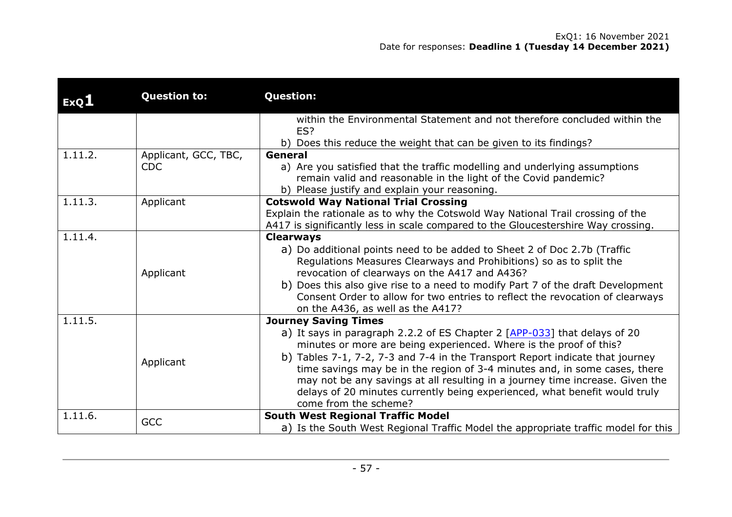| ExQL    | <b>Question to:</b>  | <b>Question:</b>                                                                                                                                                     |
|---------|----------------------|----------------------------------------------------------------------------------------------------------------------------------------------------------------------|
|         |                      | within the Environmental Statement and not therefore concluded within the                                                                                            |
|         |                      | ES?                                                                                                                                                                  |
|         |                      | b) Does this reduce the weight that can be given to its findings?                                                                                                    |
| 1.11.2. | Applicant, GCC, TBC, | General                                                                                                                                                              |
|         | <b>CDC</b>           | a) Are you satisfied that the traffic modelling and underlying assumptions                                                                                           |
|         |                      | remain valid and reasonable in the light of the Covid pandemic?                                                                                                      |
|         |                      | b) Please justify and explain your reasoning.                                                                                                                        |
| 1.11.3. | Applicant            | <b>Cotswold Way National Trial Crossing</b>                                                                                                                          |
|         |                      | Explain the rationale as to why the Cotswold Way National Trail crossing of the<br>A417 is significantly less in scale compared to the Gloucestershire Way crossing. |
| 1.11.4. |                      | <b>Clearways</b>                                                                                                                                                     |
|         |                      | a) Do additional points need to be added to Sheet 2 of Doc 2.7b (Traffic                                                                                             |
|         |                      | Regulations Measures Clearways and Prohibitions) so as to split the                                                                                                  |
|         | Applicant            | revocation of clearways on the A417 and A436?                                                                                                                        |
|         |                      | b) Does this also give rise to a need to modify Part 7 of the draft Development                                                                                      |
|         |                      | Consent Order to allow for two entries to reflect the revocation of clearways                                                                                        |
|         |                      | on the A436, as well as the A417?                                                                                                                                    |
| 1.11.5. |                      | <b>Journey Saving Times</b>                                                                                                                                          |
|         |                      | a) It says in paragraph 2.2.2 of ES Chapter 2 [APP-033] that delays of 20                                                                                            |
|         |                      | minutes or more are being experienced. Where is the proof of this?                                                                                                   |
|         | Applicant            | b) Tables 7-1, 7-2, 7-3 and 7-4 in the Transport Report indicate that journey                                                                                        |
|         |                      | time savings may be in the region of 3-4 minutes and, in some cases, there                                                                                           |
|         |                      | may not be any savings at all resulting in a journey time increase. Given the                                                                                        |
|         |                      | delays of 20 minutes currently being experienced, what benefit would truly                                                                                           |
|         |                      | come from the scheme?                                                                                                                                                |
| 1.11.6. | <b>GCC</b>           | <b>South West Regional Traffic Model</b>                                                                                                                             |
|         |                      | a) Is the South West Regional Traffic Model the appropriate traffic model for this                                                                                   |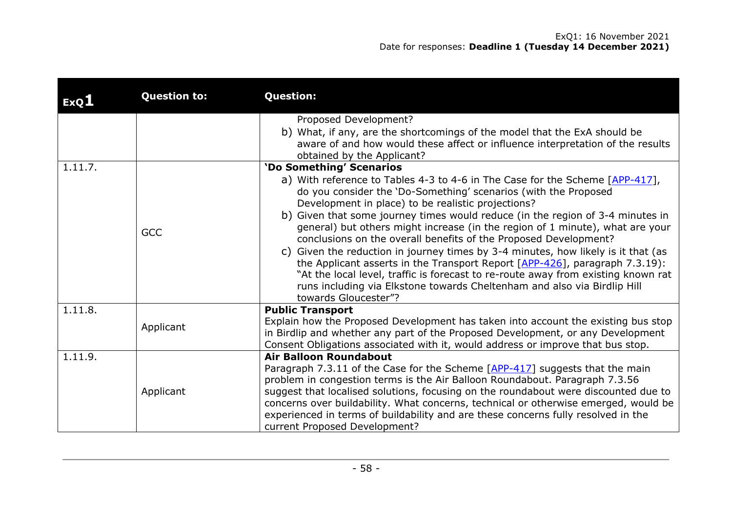| ExQ1    | <b>Question to:</b> | <b>Question:</b>                                                                                                                                                                                                                                                                                                                                                                                                                                                |
|---------|---------------------|-----------------------------------------------------------------------------------------------------------------------------------------------------------------------------------------------------------------------------------------------------------------------------------------------------------------------------------------------------------------------------------------------------------------------------------------------------------------|
|         |                     | Proposed Development?<br>b) What, if any, are the shortcomings of the model that the ExA should be                                                                                                                                                                                                                                                                                                                                                              |
|         |                     | aware of and how would these affect or influence interpretation of the results<br>obtained by the Applicant?                                                                                                                                                                                                                                                                                                                                                    |
| 1.11.7. |                     | 'Do Something' Scenarios                                                                                                                                                                                                                                                                                                                                                                                                                                        |
|         |                     | a) With reference to Tables 4-3 to 4-6 in The Case for the Scheme [APP-417],<br>do you consider the 'Do-Something' scenarios (with the Proposed<br>Development in place) to be realistic projections?                                                                                                                                                                                                                                                           |
|         | <b>GCC</b>          | b) Given that some journey times would reduce (in the region of 3-4 minutes in<br>general) but others might increase (in the region of 1 minute), what are your<br>conclusions on the overall benefits of the Proposed Development?                                                                                                                                                                                                                             |
|         |                     | c) Given the reduction in journey times by 3-4 minutes, how likely is it that (as<br>the Applicant asserts in the Transport Report $[APP-426]$ , paragraph 7.3.19):<br>"At the local level, traffic is forecast to re-route away from existing known rat<br>runs including via Elkstone towards Cheltenham and also via Birdlip Hill<br>towards Gloucester"?                                                                                                    |
| 1.11.8. |                     | <b>Public Transport</b>                                                                                                                                                                                                                                                                                                                                                                                                                                         |
|         | Applicant           | Explain how the Proposed Development has taken into account the existing bus stop<br>in Birdlip and whether any part of the Proposed Development, or any Development<br>Consent Obligations associated with it, would address or improve that bus stop.                                                                                                                                                                                                         |
| 1.11.9. |                     | <b>Air Balloon Roundabout</b>                                                                                                                                                                                                                                                                                                                                                                                                                                   |
|         | Applicant           | Paragraph 7.3.11 of the Case for the Scheme [APP-417] suggests that the main<br>problem in congestion terms is the Air Balloon Roundabout. Paragraph 7.3.56<br>suggest that localised solutions, focusing on the roundabout were discounted due to<br>concerns over buildability. What concerns, technical or otherwise emerged, would be<br>experienced in terms of buildability and are these concerns fully resolved in the<br>current Proposed Development? |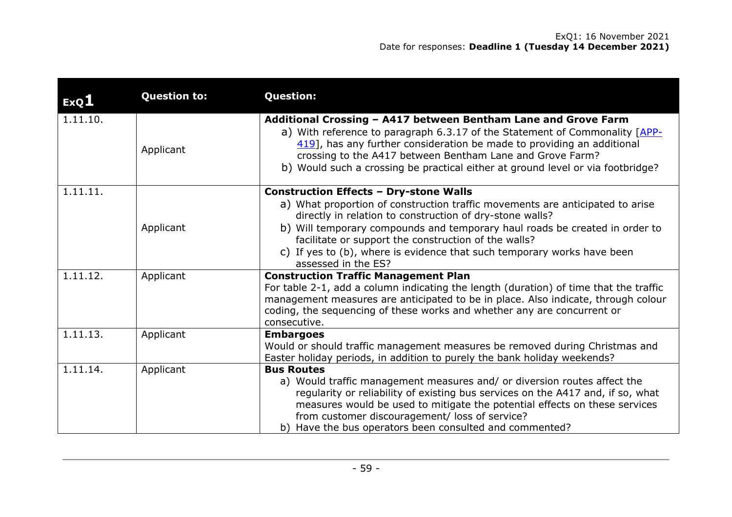| ExQ1     | <b>Question to:</b> | <b>Question:</b>                                                                                                                                                                                                                                                                                                                                                                                                                    |
|----------|---------------------|-------------------------------------------------------------------------------------------------------------------------------------------------------------------------------------------------------------------------------------------------------------------------------------------------------------------------------------------------------------------------------------------------------------------------------------|
| 1.11.10. | Applicant           | Additional Crossing - A417 between Bentham Lane and Grove Farm<br>a) With reference to paragraph 6.3.17 of the Statement of Commonality [APP-<br>419], has any further consideration be made to providing an additional<br>crossing to the A417 between Bentham Lane and Grove Farm?<br>b) Would such a crossing be practical either at ground level or via footbridge?                                                             |
| 1.11.11. | Applicant           | <b>Construction Effects - Dry-stone Walls</b><br>a) What proportion of construction traffic movements are anticipated to arise<br>directly in relation to construction of dry-stone walls?<br>b) Will temporary compounds and temporary haul roads be created in order to<br>facilitate or support the construction of the walls?<br>c) If yes to (b), where is evidence that such temporary works have been<br>assessed in the ES? |
| 1.11.12. | Applicant           | <b>Construction Traffic Management Plan</b><br>For table 2-1, add a column indicating the length (duration) of time that the traffic<br>management measures are anticipated to be in place. Also indicate, through colour<br>coding, the sequencing of these works and whether any are concurrent or<br>consecutive.                                                                                                                |
| 1.11.13. | Applicant           | <b>Embargoes</b><br>Would or should traffic management measures be removed during Christmas and<br>Easter holiday periods, in addition to purely the bank holiday weekends?                                                                                                                                                                                                                                                         |
| 1.11.14. | Applicant           | <b>Bus Routes</b><br>a) Would traffic management measures and/ or diversion routes affect the<br>regularity or reliability of existing bus services on the A417 and, if so, what<br>measures would be used to mitigate the potential effects on these services<br>from customer discouragement/ loss of service?<br>b) Have the bus operators been consulted and commented?                                                         |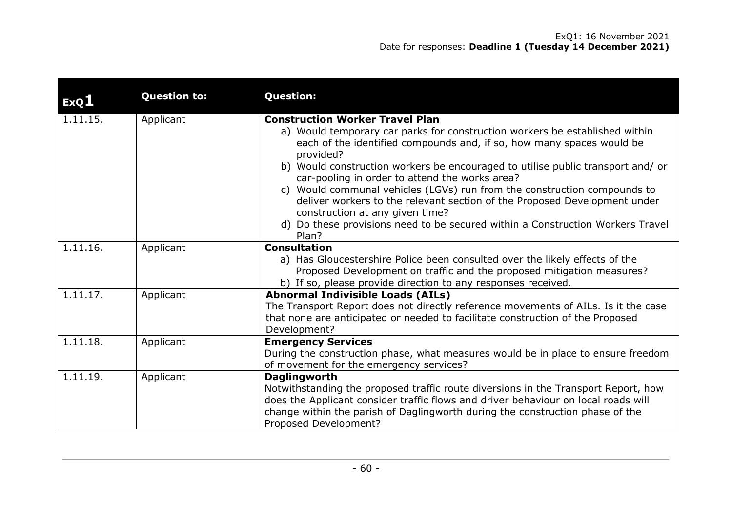| ExQ1     | <b>Question to:</b> | <b>Question:</b>                                                                                                                                                                                                                                                                                                                                                                                                                                                                                                                            |
|----------|---------------------|---------------------------------------------------------------------------------------------------------------------------------------------------------------------------------------------------------------------------------------------------------------------------------------------------------------------------------------------------------------------------------------------------------------------------------------------------------------------------------------------------------------------------------------------|
| 1.11.15. | Applicant           | <b>Construction Worker Travel Plan</b><br>a) Would temporary car parks for construction workers be established within<br>each of the identified compounds and, if so, how many spaces would be<br>provided?<br>b) Would construction workers be encouraged to utilise public transport and/or<br>car-pooling in order to attend the works area?<br>c) Would communal vehicles (LGVs) run from the construction compounds to<br>deliver workers to the relevant section of the Proposed Development under<br>construction at any given time? |
|          |                     | d) Do these provisions need to be secured within a Construction Workers Travel<br>Plan?                                                                                                                                                                                                                                                                                                                                                                                                                                                     |
| 1.11.16. | Applicant           | <b>Consultation</b><br>a) Has Gloucestershire Police been consulted over the likely effects of the<br>Proposed Development on traffic and the proposed mitigation measures?<br>b) If so, please provide direction to any responses received.                                                                                                                                                                                                                                                                                                |
| 1.11.17. | Applicant           | <b>Abnormal Indivisible Loads (AILs)</b><br>The Transport Report does not directly reference movements of AILs. Is it the case<br>that none are anticipated or needed to facilitate construction of the Proposed<br>Development?                                                                                                                                                                                                                                                                                                            |
| 1.11.18. | Applicant           | <b>Emergency Services</b><br>During the construction phase, what measures would be in place to ensure freedom<br>of movement for the emergency services?                                                                                                                                                                                                                                                                                                                                                                                    |
| 1.11.19. | Applicant           | <b>Daglingworth</b><br>Notwithstanding the proposed traffic route diversions in the Transport Report, how<br>does the Applicant consider traffic flows and driver behaviour on local roads will<br>change within the parish of Daglingworth during the construction phase of the<br>Proposed Development?                                                                                                                                                                                                                                   |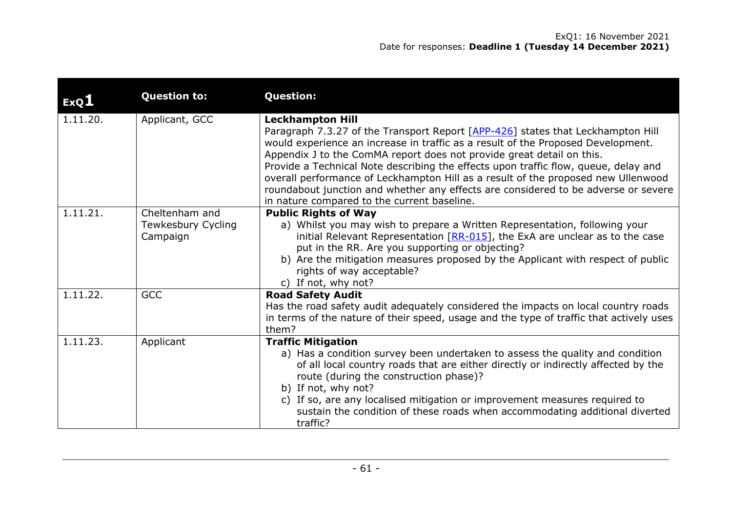| ExQL     | <b>Question to:</b>                              | <b>Question:</b>                                                                                                                                                                                                                                                                                                                                                                                                                                                                                                                                                                         |
|----------|--------------------------------------------------|------------------------------------------------------------------------------------------------------------------------------------------------------------------------------------------------------------------------------------------------------------------------------------------------------------------------------------------------------------------------------------------------------------------------------------------------------------------------------------------------------------------------------------------------------------------------------------------|
| 1.11.20. | Applicant, GCC                                   | <b>Leckhampton Hill</b><br>Paragraph 7.3.27 of the Transport Report [APP-426] states that Leckhampton Hill<br>would experience an increase in traffic as a result of the Proposed Development.<br>Appendix J to the ComMA report does not provide great detail on this.<br>Provide a Technical Note describing the effects upon traffic flow, queue, delay and<br>overall performance of Leckhampton Hill as a result of the proposed new Ullenwood<br>roundabout junction and whether any effects are considered to be adverse or severe<br>in nature compared to the current baseline. |
| 1.11.21. | Cheltenham and<br>Tewkesbury Cycling<br>Campaign | <b>Public Rights of Way</b><br>a) Whilst you may wish to prepare a Written Representation, following your<br>initial Relevant Representation $[RR-015]$ , the ExA are unclear as to the case<br>put in the RR. Are you supporting or objecting?<br>b) Are the mitigation measures proposed by the Applicant with respect of public<br>rights of way acceptable?<br>c) If not, why not?                                                                                                                                                                                                   |
| 1.11.22. | <b>GCC</b>                                       | <b>Road Safety Audit</b><br>Has the road safety audit adequately considered the impacts on local country roads<br>in terms of the nature of their speed, usage and the type of traffic that actively uses<br>them?                                                                                                                                                                                                                                                                                                                                                                       |
| 1.11.23. | Applicant                                        | <b>Traffic Mitigation</b><br>a) Has a condition survey been undertaken to assess the quality and condition<br>of all local country roads that are either directly or indirectly affected by the<br>route (during the construction phase)?<br>b) If not, why not?<br>c) If so, are any localised mitigation or improvement measures required to<br>sustain the condition of these roads when accommodating additional diverted<br>traffic?                                                                                                                                                |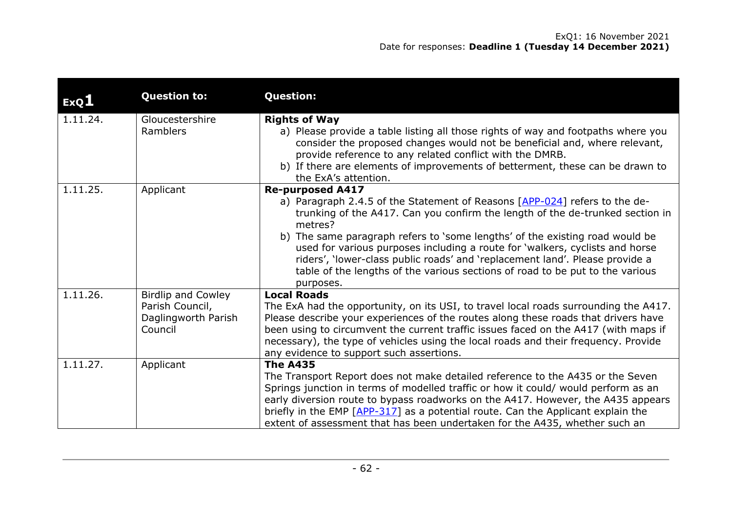| ExQ1     | <b>Question to:</b>                                                            | <b>Question:</b>                                                                                                                                                                                                                                                                                                                                                                                                                                                                                                                                |
|----------|--------------------------------------------------------------------------------|-------------------------------------------------------------------------------------------------------------------------------------------------------------------------------------------------------------------------------------------------------------------------------------------------------------------------------------------------------------------------------------------------------------------------------------------------------------------------------------------------------------------------------------------------|
| 1.11.24. | Gloucestershire<br>Ramblers                                                    | <b>Rights of Way</b><br>a) Please provide a table listing all those rights of way and footpaths where you<br>consider the proposed changes would not be beneficial and, where relevant,<br>provide reference to any related conflict with the DMRB.<br>b) If there are elements of improvements of betterment, these can be drawn to<br>the ExA's attention.                                                                                                                                                                                    |
| 1.11.25. | Applicant                                                                      | <b>Re-purposed A417</b><br>a) Paragraph 2.4.5 of the Statement of Reasons [APP-024] refers to the de-<br>trunking of the A417. Can you confirm the length of the de-trunked section in<br>metres?<br>b) The same paragraph refers to 'some lengths' of the existing road would be<br>used for various purposes including a route for 'walkers, cyclists and horse<br>riders', 'lower-class public roads' and 'replacement land'. Please provide a<br>table of the lengths of the various sections of road to be put to the various<br>purposes. |
| 1.11.26. | <b>Birdlip and Cowley</b><br>Parish Council,<br>Daglingworth Parish<br>Council | <b>Local Roads</b><br>The ExA had the opportunity, on its USI, to travel local roads surrounding the A417.<br>Please describe your experiences of the routes along these roads that drivers have<br>been using to circumvent the current traffic issues faced on the A417 (with maps if<br>necessary), the type of vehicles using the local roads and their frequency. Provide<br>any evidence to support such assertions.                                                                                                                      |
| 1.11.27. | Applicant                                                                      | <b>The A435</b><br>The Transport Report does not make detailed reference to the A435 or the Seven<br>Springs junction in terms of modelled traffic or how it could/ would perform as an<br>early diversion route to bypass roadworks on the A417. However, the A435 appears<br>briefly in the EMP [APP-317] as a potential route. Can the Applicant explain the<br>extent of assessment that has been undertaken for the A435, whether such an                                                                                                  |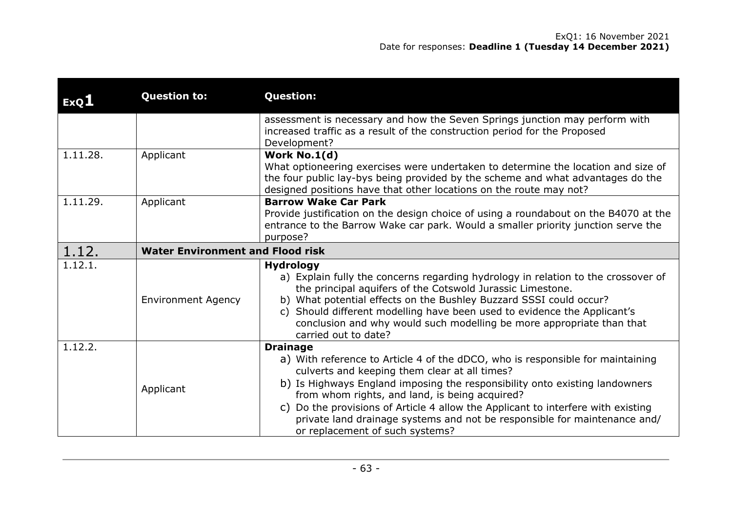| ExQL     | <b>Question to:</b>                     | <b>Question:</b>                                                                                                                                                                                                                                                                                                                                                                                                                                                                           |  |  |  |  |  |
|----------|-----------------------------------------|--------------------------------------------------------------------------------------------------------------------------------------------------------------------------------------------------------------------------------------------------------------------------------------------------------------------------------------------------------------------------------------------------------------------------------------------------------------------------------------------|--|--|--|--|--|
|          |                                         | assessment is necessary and how the Seven Springs junction may perform with<br>increased traffic as a result of the construction period for the Proposed<br>Development?                                                                                                                                                                                                                                                                                                                   |  |  |  |  |  |
| 1.11.28. | Applicant                               | Work No.1(d)<br>What optioneering exercises were undertaken to determine the location and size of<br>the four public lay-bys being provided by the scheme and what advantages do the<br>designed positions have that other locations on the route may not?                                                                                                                                                                                                                                 |  |  |  |  |  |
| 1.11.29. | Applicant                               | <b>Barrow Wake Car Park</b><br>Provide justification on the design choice of using a roundabout on the B4070 at the<br>entrance to the Barrow Wake car park. Would a smaller priority junction serve the<br>purpose?                                                                                                                                                                                                                                                                       |  |  |  |  |  |
| 1.12.    | <b>Water Environment and Flood risk</b> |                                                                                                                                                                                                                                                                                                                                                                                                                                                                                            |  |  |  |  |  |
| 1.12.1.  | <b>Environment Agency</b>               | <b>Hydrology</b><br>a) Explain fully the concerns regarding hydrology in relation to the crossover of<br>the principal aquifers of the Cotswold Jurassic Limestone.<br>b) What potential effects on the Bushley Buzzard SSSI could occur?<br>c) Should different modelling have been used to evidence the Applicant's<br>conclusion and why would such modelling be more appropriate than that<br>carried out to date?                                                                     |  |  |  |  |  |
| 1.12.2.  | Applicant                               | <b>Drainage</b><br>a) With reference to Article 4 of the dDCO, who is responsible for maintaining<br>culverts and keeping them clear at all times?<br>b) Is Highways England imposing the responsibility onto existing landowners<br>from whom rights, and land, is being acquired?<br>Do the provisions of Article 4 allow the Applicant to interfere with existing<br>C)<br>private land drainage systems and not be responsible for maintenance and/<br>or replacement of such systems? |  |  |  |  |  |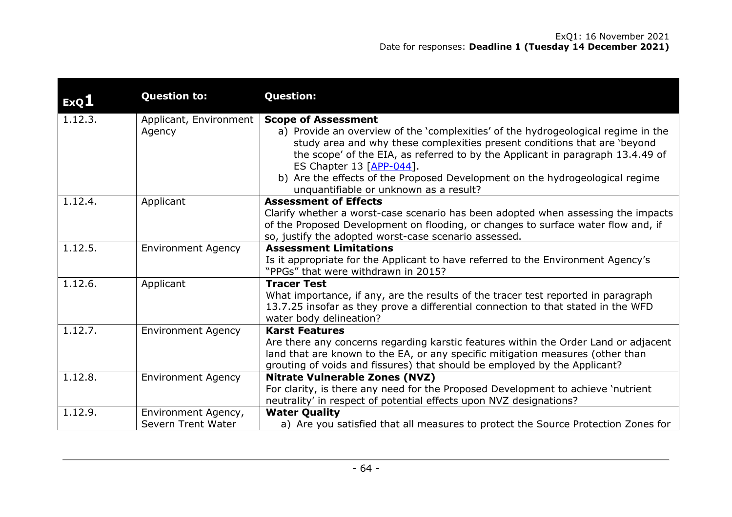| ExQ1    | <b>Question to:</b>                       | <b>Question:</b>                                                                                                                                                                                                                                                                                                                                                                                                                        |
|---------|-------------------------------------------|-----------------------------------------------------------------------------------------------------------------------------------------------------------------------------------------------------------------------------------------------------------------------------------------------------------------------------------------------------------------------------------------------------------------------------------------|
| 1.12.3. | Applicant, Environment<br>Agency          | <b>Scope of Assessment</b><br>a) Provide an overview of the 'complexities' of the hydrogeological regime in the<br>study area and why these complexities present conditions that are 'beyond<br>the scope' of the EIA, as referred to by the Applicant in paragraph 13.4.49 of<br>ES Chapter 13 $[APP-044]$ .<br>b) Are the effects of the Proposed Development on the hydrogeological regime<br>unquantifiable or unknown as a result? |
| 1.12.4. | Applicant                                 | <b>Assessment of Effects</b><br>Clarify whether a worst-case scenario has been adopted when assessing the impacts<br>of the Proposed Development on flooding, or changes to surface water flow and, if<br>so, justify the adopted worst-case scenario assessed.                                                                                                                                                                         |
| 1.12.5. | <b>Environment Agency</b>                 | <b>Assessment Limitations</b><br>Is it appropriate for the Applicant to have referred to the Environment Agency's<br>"PPGs" that were withdrawn in 2015?                                                                                                                                                                                                                                                                                |
| 1.12.6. | Applicant                                 | <b>Tracer Test</b><br>What importance, if any, are the results of the tracer test reported in paragraph<br>13.7.25 insofar as they prove a differential connection to that stated in the WFD<br>water body delineation?                                                                                                                                                                                                                 |
| 1.12.7. | <b>Environment Agency</b>                 | <b>Karst Features</b><br>Are there any concerns regarding karstic features within the Order Land or adjacent<br>land that are known to the EA, or any specific mitigation measures (other than<br>grouting of voids and fissures) that should be employed by the Applicant?                                                                                                                                                             |
| 1.12.8. | <b>Environment Agency</b>                 | <b>Nitrate Vulnerable Zones (NVZ)</b><br>For clarity, is there any need for the Proposed Development to achieve 'nutrient<br>neutrality' in respect of potential effects upon NVZ designations?                                                                                                                                                                                                                                         |
| 1.12.9. | Environment Agency,<br>Severn Trent Water | <b>Water Quality</b><br>a) Are you satisfied that all measures to protect the Source Protection Zones for                                                                                                                                                                                                                                                                                                                               |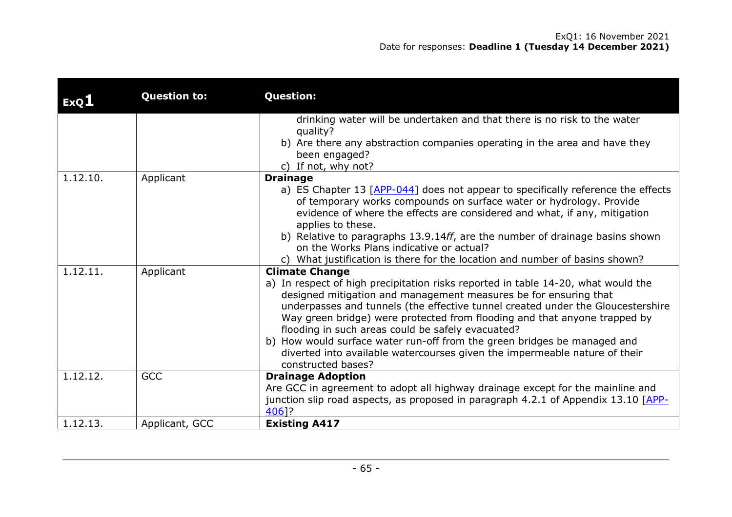| ExQ <sub>1</sub> | <b>Question to:</b> | <b>Question:</b>                                                                                                                                        |  |  |  |  |  |  |
|------------------|---------------------|---------------------------------------------------------------------------------------------------------------------------------------------------------|--|--|--|--|--|--|
|                  |                     | drinking water will be undertaken and that there is no risk to the water                                                                                |  |  |  |  |  |  |
|                  |                     | quality?                                                                                                                                                |  |  |  |  |  |  |
|                  |                     | b) Are there any abstraction companies operating in the area and have they<br>been engaged?                                                             |  |  |  |  |  |  |
|                  |                     | c) If not, why not?                                                                                                                                     |  |  |  |  |  |  |
| 1.12.10.         | Applicant           | <b>Drainage</b>                                                                                                                                         |  |  |  |  |  |  |
|                  |                     | a) ES Chapter 13 [APP-044] does not appear to specifically reference the effects<br>of temporary works compounds on surface water or hydrology. Provide |  |  |  |  |  |  |
|                  |                     | evidence of where the effects are considered and what, if any, mitigation                                                                               |  |  |  |  |  |  |
|                  |                     | applies to these.                                                                                                                                       |  |  |  |  |  |  |
|                  |                     | b) Relative to paragraphs 13.9.14ff, are the number of drainage basins shown                                                                            |  |  |  |  |  |  |
|                  |                     | on the Works Plans indicative or actual?                                                                                                                |  |  |  |  |  |  |
|                  |                     | c) What justification is there for the location and number of basins shown?                                                                             |  |  |  |  |  |  |
| 1.12.11.         | Applicant           | <b>Climate Change</b>                                                                                                                                   |  |  |  |  |  |  |
|                  |                     | a) In respect of high precipitation risks reported in table 14-20, what would the                                                                       |  |  |  |  |  |  |
|                  |                     | designed mitigation and management measures be for ensuring that                                                                                        |  |  |  |  |  |  |
|                  |                     | underpasses and tunnels (the effective tunnel created under the Gloucestershire                                                                         |  |  |  |  |  |  |
|                  |                     | Way green bridge) were protected from flooding and that anyone trapped by<br>flooding in such areas could be safely evacuated?                          |  |  |  |  |  |  |
|                  |                     | b) How would surface water run-off from the green bridges be managed and                                                                                |  |  |  |  |  |  |
|                  |                     | diverted into available watercourses given the impermeable nature of their                                                                              |  |  |  |  |  |  |
|                  |                     | constructed bases?                                                                                                                                      |  |  |  |  |  |  |
| 1.12.12.         | <b>GCC</b>          | <b>Drainage Adoption</b>                                                                                                                                |  |  |  |  |  |  |
|                  |                     | Are GCC in agreement to adopt all highway drainage except for the mainline and                                                                          |  |  |  |  |  |  |
|                  |                     | junction slip road aspects, as proposed in paragraph 4.2.1 of Appendix 13.10 [APP-                                                                      |  |  |  |  |  |  |
|                  |                     | 406]?                                                                                                                                                   |  |  |  |  |  |  |
| 1.12.13.         | Applicant, GCC      | <b>Existing A417</b>                                                                                                                                    |  |  |  |  |  |  |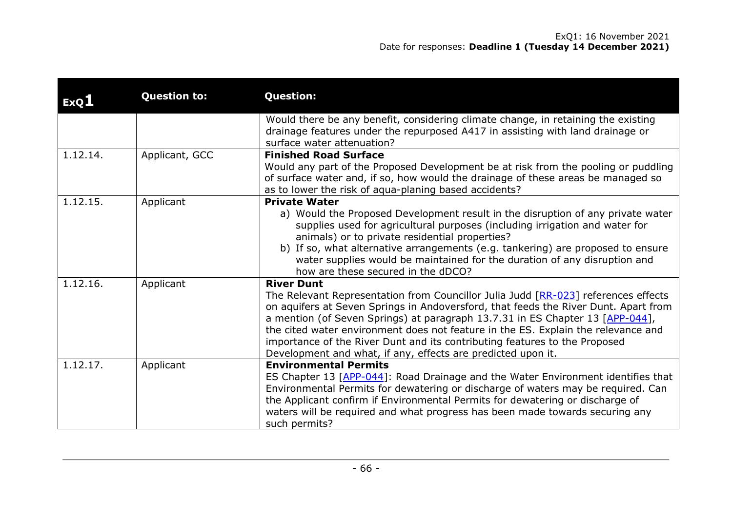| ExQI     | <b>Question to:</b> | <b>Question:</b>                                                                                                                                                                                                                                                                                                                                                                                                                                                                                                   |  |  |  |
|----------|---------------------|--------------------------------------------------------------------------------------------------------------------------------------------------------------------------------------------------------------------------------------------------------------------------------------------------------------------------------------------------------------------------------------------------------------------------------------------------------------------------------------------------------------------|--|--|--|
|          |                     | Would there be any benefit, considering climate change, in retaining the existing<br>drainage features under the repurposed A417 in assisting with land drainage or<br>surface water attenuation?                                                                                                                                                                                                                                                                                                                  |  |  |  |
| 1.12.14. | Applicant, GCC      | <b>Finished Road Surface</b><br>Would any part of the Proposed Development be at risk from the pooling or puddling<br>of surface water and, if so, how would the drainage of these areas be managed so<br>as to lower the risk of aqua-planing based accidents?                                                                                                                                                                                                                                                    |  |  |  |
| 1.12.15. | Applicant           | <b>Private Water</b><br>a) Would the Proposed Development result in the disruption of any private water<br>supplies used for agricultural purposes (including irrigation and water for<br>animals) or to private residential properties?<br>b) If so, what alternative arrangements (e.g. tankering) are proposed to ensure<br>water supplies would be maintained for the duration of any disruption and<br>how are these secured in the dDCO?                                                                     |  |  |  |
| 1.12.16. | Applicant           | <b>River Dunt</b><br>The Relevant Representation from Councillor Julia Judd [RR-023] references effects<br>on aquifers at Seven Springs in Andoversford, that feeds the River Dunt. Apart from<br>a mention (of Seven Springs) at paragraph 13.7.31 in ES Chapter 13 [APP-044],<br>the cited water environment does not feature in the ES. Explain the relevance and<br>importance of the River Dunt and its contributing features to the Proposed<br>Development and what, if any, effects are predicted upon it. |  |  |  |
| 1.12.17. | Applicant           | <b>Environmental Permits</b><br>ES Chapter 13 [APP-044]: Road Drainage and the Water Environment identifies that<br>Environmental Permits for dewatering or discharge of waters may be required. Can<br>the Applicant confirm if Environmental Permits for dewatering or discharge of<br>waters will be required and what progress has been made towards securing any<br>such permits?                                                                                                                             |  |  |  |